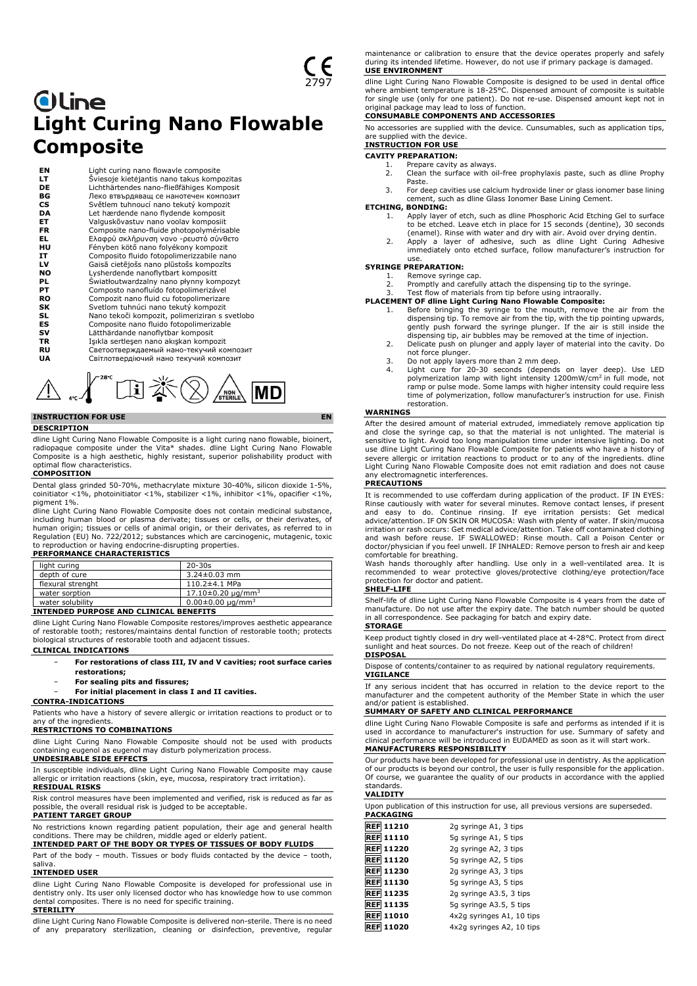# **Oline Light Curing Nano Flowable Composite**

**EN** Light curing nano flowavle composite<br> **LT** Sviesoje kietėjantis nano takus komp<br>
Lichthärtendes nano-fließfähiges Kom<br> **BG** *Deko* Brabpagang ce nanoreveu kompo<br>
CS Světlem tuhnoucí nano tekutý kompo **LT** Šviesoje kietėjantis nano takus kompozitas **DE** Lichthärtendes nano-fließfähiges Komposit **BG** Леко втвърдяващ се нанотечен композит **CS** Světlem tuhnoucí nano tekutý kompozit **DA** Let hærdende nano flydende komposit<br>**ET** Valguskõvastuv nano voolav komposiit **ET** Valguskõvastuv nano voolav komposiit<br>**FR** Composite nano-fluide photopolyméris **FR** Composite nano-fluide photopolymérisable<br> **EL** Ελαφρύ σκλήρυνση νανο -ρευστό σύνθετο<br> **HU** Fényben kötő nano folyékony kompozit **EL** Ελαφρύ σκλήρυνση νανο -ρευστό σύνθετο **HU** Fényben kötő nano folyékony kompozit **IT** Composito fluido fotopolimerizzabile nano **LV** Gaisā cietējošs nano plūstošs kompozīts **NO** Lysherdende nanoflytbart kompositt **PL** Światłoutwardzalny nano płynny kompozyt **PT** Composto nanofluído fotopolimerizável **RO** Compozit nano fluid cu fotopolimerizare<br>
SV Svetlom tuhnúci nano tekutý kompozit<br> **SLS** Composite nano fluido fotopolimerizable<br> **ES** Composite nano fluido fotopolimerizable<br>
2011 Lätthärdande nanoflytbar komposit **SK** Svetlom tuhnúci nano tekutý kompozit **SL** Nano tekoči kompozit, polimeriziran s svetlobo Composite nano fluido fotopolimerizable **SV** Lätthärdande nanoflytbar komposit<br> **SV** Lätthärdande nanoflytbar komposit<br> **TR** Işıkla sertleşen nano akışkan kompo **TR** Işıkla sertleşen nano akışkan kompozit<br>**RU CBeTOOTBED** жлаемый нано-текучий ко **RU** Светоотверждаемый нано-текучий композит<br>**UA** Світлотвердіючий нано текучий композит **UA** Світлотвердіючий нано текучий композит

# 田米② **MD** NON

# **INSTRUCTION FOR USE EN**

**DESCRIPTION**

dline Light Curing Nano Flowable Composite is a light curing nano flowable, bioinert,<br>radiopaque composite under the Vita\* shades. dline Light Curing Nano Flowable<br>Composite is a high aesthetic, highly resis optimal flow characteristics.

# **COMPOSITION**

Dental glass grinded 50-70%, methacrylate mixture 30-40%, silicon dioxide 1-5%, coinitiator <1%, photoinitiator <1%, stabilizer <1%, inhibitor <1%, opacifier <1%, pigment 1%.

dline Light Curing Nano Flowable Composite does not contain medicinal substance, including human blood or plasma derivate; tissues or cells, or their derivates, of<br>human origin; tissues or cells of animal origin, or their derivates, as referred to in<br>Regulation (EU) No. 722/2012; substances which are c to reproduction or having endocrine-disrupting properties.

| <b>PERFORMANCE CHARACTERISTICS</b> |
|------------------------------------|
|                                    |

| light curing      | $20 - 30s$                 |
|-------------------|----------------------------|
| depth of cure     | $3.24 \pm 0.03$ mm         |
| flexural strenght | $110.2 \pm 4.1$ MPa        |
| water sorption    | $17.10\pm0.20 \mu q/mm^3$  |
| water solubility  | $0.00 \pm 0.00 \mu q/mm^3$ |

# **INTENDED PURPOSE AND CLINICAL BENEFITS**

dline Light Curing Nano Flowable Composite restores/improves aesthetic appearance of restorable tooth; restores/maintains dental function of restorable tooth; protects biological structures of restorable tooth and adjacent tissues.

## **CLINICAL INDICATIONS**

- − **For restorations of class III, IV and V cavities; root surface caries restorations;**
- − **For sealing pits and fissures;**
- − **For initial placement in class I and II cavities.**

#### **CONTRA-INDICATIONS**

Patients who have a history of severe allergic or irritation reactions to product or to any of the ingredients.

# **RESTRICTIONS TO COMBINATIONS**

dline Light Curing Nano Flowable Composite should not be used with products containing eugenol as eugenol may disturb polymerization process.

# **UNDESIRABLE SIDE EFFECTS**

In susceptible individuals, dline Light Curing Nano Flowable Composite may cause allergic or irritation reactions (skin, eye, mucosa, respiratory tract irritation). **RESIDUAL RISKS**

Risk control measures have been implemented and verified, risk is reduced as far as possible, the overall residual risk is judged to be acceptable. **PATIENT TARGET GROUP**

No restrictions known regarding patient population, their age and general health

# conditions. There may be children, middle aged or elderly patient. **INTENDED PART OF THE BODY OR TYPES OF TISSUES OF BODY FLUIDS**

Part of the body – mouth. Tissues or body fluids contacted by the device – tooth, saliva.

#### **INTENDED USER**

dline Light Curing Nano Flowable Composite is developed for professional use in dentistry only. Its user only licensed doctor who has knowledge how to use common dental composites. There is no need for specific training. **STERILITY**

dline Light Curing Nano Flowable Composite is delivered non-sterile. There is no need of any preparatory sterilization, cleaning or disinfection, preventive, regular

maintenance or calibration to ensure that the device operates properly and safely during its intended lifetime. However, do not use if primary package is damaged. **USE ENVIRONMENT**

dline Light Curing Nano Flowable Composite is designed to be used in dental office where ambient temperature is 18-25°C. Dispensed amount of composite is suitable for single use (only for one patient). Do not re-use. Dispensed amount kept not in

# original package may lead to loss of function. **CONSUMABLE COMPONENTS AND ACCESSORIES**

No accessories are supplied with the device. Cunsumables, such as application tips, are supplied with the device.

#### **INSTRUCTION FOR USE CAVITY PREPARATION:**

- 
- 1. Prepare cavity as always.<br>2. Clean the surface with o Clean the surface with oil-free prophylaxis paste, such as dline Prophy Paste.
- 3. For deep cavities use calcium hydroxide liner or glass ionomer base lining cement, such as dline Glass Ionomer Base Lining Cement.

# **ETCHING, BONDING:**<br>1. Apply laver

- Apply layer of etch, such as dline Phosphoric Acid Etching Gel to surface to be etched. Leave etch in place for 15 seconds (dentine), 30 seconds
- (enamel). Rinse with water and dry with air. Avoid over drying dentin. 2. Apply a layer of adhesive, such as dline Light Curing Adhesive immediately onto etched surface, follow manufacturer's instruction for

# use. **SYRINGE PREPARATION:**

1. Remove syringe cap. 2. Promptly and carefully attach the dispensing tip to the syringe. 3. Test flow of materials from tip before using intraorally.

- 
- **PLACEMENT OF dline Light Curing Nano Flowable Composite:**
	- 1. Before bringing the syringe to the mouth, remove the air from the dispensing tip. To remove air from the tip, with the tip pointing upwards, gently push forward the syringe plunger. If the air is still inside the dispensing tip, air bubbles may be removed at the time of injection.
	- 2. Delicate push on plunger and apply layer of material into the cavity. Do not force plunger.
	- 3. Do not apply layers more than 2 mm deep.<br>4. Light cure for 20-30, seconds, (depends)
	- 4. Light cure for 20-30 seconds (depends on layer deep). Use LED polymerization lamp with light intensity 1200mW/cm<sup>2</sup> in full mode, not ramp or pulse mode. Some lamps with higher intensity could require less time of polymerization, follow manufacturer's instruction for use. Finish restoration.

#### **WARNINGS**

After the desired amount of material extruded, immediately remove application tip and close the syringe cap, so that the material is not unlighted. The material is sensitive to light. Avoid too long manipulation time under intensive lighting. Do not use dline Light Curing Nano Flowable Composite for patients who have a history of severe allergic or irritation reactions to product or to any of the ingredients. dline Light Curing Nano Flowable Composite does not emit radiation and does not cause any electromagnetic interferences.

#### **PRECAUTIONS**

It is recommended to use cofferdam during application of the product. IF IN EYES: Rinse cautiously with water for several minutes. Remove contact lenses, if present<br>and easy to do. Continue rinsing. If eye irritation persists: Get medical<br>advice/attention. IF ON SKIN OR MUCOSA: Wash with plen irritation or rash occurs: Get medical advice/attention. Take off contaminated clothing and wash before reuse. IF SWALLOWED: Rinse mouth. Call a Poison Center or doctor/physician if you feel unwell. IF INHALED: Remove person to fresh air and keep comfortable for breathing.

Wash hands thoroughly after handling. Use only in a well-ventilated area. It is recommended to wear protective gloves/protective clothing/eye protection/face protection for doctor and patient.

#### **SHELF-LIFE**

Shelf-life of dline Light Curing Nano Flowable Composite is 4 years from the date of manufacture. Do not use after the expiry date. The batch number should be quoted in all correspondence. See packaging for batch and expiry date. **STORAGE**

Keep product tightly closed in dry well-ventilated place at 4-28°C. Protect from direct sunlight and heat sources. Do not freeze. Keep out of the reach of children! **DISPOSAL**

Dispose of contents/container to as required by national regulatory requirements. **VIGILANCE**

If any serious incident that has occurred in relation to the device report to the manufacturer and the competent authority of the Member State in which the user and/or patient is established.

#### **SUMMARY OF SAFETY AND CLINICAL PERFORMANCE**

dline Light Curing Nano Flowable Composite is safe and performs as intended if it is used in accordance to manufacturer's instruction for use. Summary of safety and clinical performance will be introduced in EUDAMED as soon as it will start work. **MANUFACTURERS RESPONSIBILITY**

Our products have been developed for professional use in dentistry. As the application of our products is beyond our control, the user is fully responsible for the application. Of course, we guarantee the quality of our products in accordance with the applied standards.

## **VALIDITY**

Upon publication of this instruction for use, all previous versions are superseded. **PACKAGING**

| <b>REF 11210</b> | 2g syringe A1, 3 tips     |
|------------------|---------------------------|
| <b>REF 11110</b> | 5g syringe A1, 5 tips     |
| <b>REF 11220</b> | 2g syringe A2, 3 tips     |
| <b>REF 11120</b> | 5g syringe A2, 5 tips     |
| <b>REF 11230</b> | 2g syringe A3, 3 tips     |
| <b>REF 11130</b> | 5g syringe A3, 5 tips     |
| REF 11235        | 2g syringe A3.5, 3 tips   |
| REF 11135        | 5g syringe A3.5, 5 tips   |
| <b>REF 11010</b> | 4x2g syringes A1, 10 tips |
| <b>REF 11020</b> | 4x2q syringes A2, 10 tips |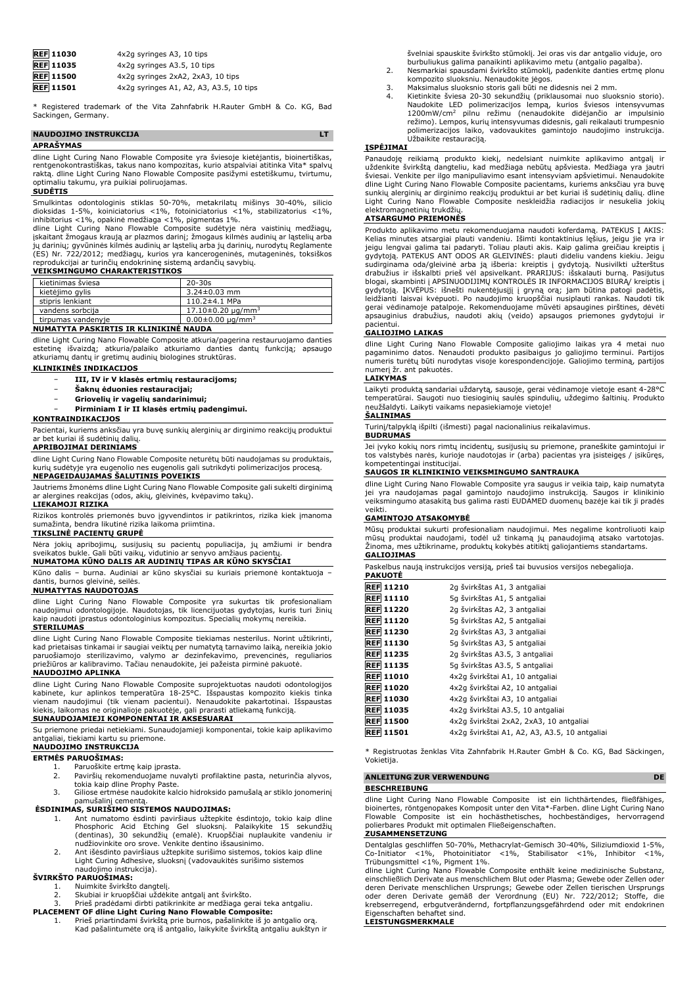| <b>REF</b> 11030 | 4x2q syringes A3, 10 tips               |
|------------------|-----------------------------------------|
| <b>REF</b> 11035 | 4x2q syringes A3.5, 10 tips             |
| <b>REF</b> 11500 | 4x2q syringes 2xA2, 2xA3, 10 tips       |
| <b>REF</b> 11501 | 4x2g syringes A1, A2, A3, A3.5, 10 tips |

\* Registered trademark of the Vita Zahnfabrik H.Rauter GmbH & Co. KG, Bad Sackingen, Germany.

### **NAUDOJIMO INSTRUKCIJA LT APRAŠYMAS**

dline Light Curing Nano Flowable Composite yra šviesoje kietėjantis, bioinertiškas, rentgenokontrastiškas, takus nano kompozitas, kurio atspalviai atitinka Vita\* spalvų raktą. dline Light Curing Nano Flowable Composite pasižymi estetiškumu, tvirtumu, optimaliu takumu, yra puikiai poliruojamas.

#### **SUDĖTIS**

Smulkintas odontologinis stiklas 50-70%, metakrilatų mišinys 30-40%, silicio<br>dioksidas 1-5%, koiniciatorius <1%, fotoiniciatorius <1%, stabilizatorius <1%,<br>inhibitorius <1%, opakinė medžiaga <1%, pigmentas 1%.<br>dline Light

jų darinių; gyvūninės kilmės audinių ar ląstelių arba jų darinių, nurodytų Reglamente (ES) Nr. 722/2012; medžiagų, kurios yra kancerogeninės, mutageninės, toksiškos reprodukcijai ar turinčių endokrininę sistemą ardančių savybių.

### **VEIKSMINGUMO CHARAKTERISTIKOS**

| kietinimas šviesa                        | $20 - 30s$                        |
|------------------------------------------|-----------------------------------|
| kietėjimo gylis                          | $3.24 \pm 0.03$ mm                |
| stipris lenkiant                         | $110.2 \pm 4.1$ MPa               |
| vandens sorbcija                         | $17.10\pm0.20$ ug/mm <sup>3</sup> |
| tirpumas vandenyje                       | $0.00 \pm 0.00 \mu q/mm^3$        |
| NUMBER TVTA BACKERTIC IB KUTNIKING NAUDA |                                   |

#### **NUMATYTA PASKIRTIS IR KLINIKINĖ NAUDA**

dline Light Curing Nano Flowable Composite atkuria/pagerina restauruojamo danties estetinę išvaizdą; atkuria/palaiko atkuriamo danties dantų funkciją; apsaugo atkuriamų dantų ir gretimų audinių biologines struktūras.

## **KLINIKINĖS INDIKACIJOS**

- − **III, IV ir V klasės ertmių restauracijoms;**
- − **Šaknų ėduonies restauracijai;**
- − **Griovelių ir vagelių sandarinimui;**

# − **Pirminiam I ir II klasės ertmių padengimui.**

#### **KONTRAINDIKACIJOS**

Pacientai, kuriems anksčiau yra buvę sunkių alerginių ar dirginimo reakcijų produktui ar bet kuriai iš sudėtinių dalių.

# **APRIBOJIMAI DERINIAMS**

dline Light Curing Nano Flowable Composite neturėtų būti naudojamas su produktais, kurių sudėtyje yra eugenolio nes eugenolis gali sutrikdyti polimerizacijos procesą. **NEPAGEIDAUJAMAS ŠALUTINIS POVEIKIS**

Jautriems žmonėms dline Light Curing Nano Flowable Composite gali sukelti dirginimą ar alergines reakcijas (odos, akių, gleivinės, kvėpavimo takų). **LIEKAMOJI RIZIKA**

Rizikos kontrolės priemonės buvo įgyvendintos ir patikrintos, rizika kiek įmanoma sumažinta, bendra likutinė rizika laikoma priimtina.

# **TIKSLINĖ PACIENTŲ GRUPĖ**

Nėra jokių apribojimų, susijusių su pacientų populiacija, jų amžiumi ir bendra sveikatos bukle. Gali būti vaikų, vidutinio ar senyvo amžiaus pacientų. **NUMATOMA KŪNO DALIS AR AUDINIŲ TIPAS AR KŪNO SKYSČIAI**

Kūno dalis – burna. Audiniai ar kūno skysčiai su kuriais priemonė kontaktuoja – dantis, burnos gleivinė, seilės.

# **NUMATYTAS NAUDOTOJAS**

dline Light Curing Nano Flowable Composite yra sukurtas tik profesionaliam naudojimui odontologijoje. Naudotojas, tik licencijuotas gydytojas, kuris turi žinių kaip naudoti įprastus odontologinius kompozitus. Specialių mokymų nereikia. **STERILUMAS**

dline Light Curing Nano Flowable Composite tiekiamas nesterilus. Norint užtikrinti, kad prietaisas tinkamai ir saugiai veiktų per numatytą tarnavimo laiką, nereikia jokio paruošiamojo sterilizavimo, valymo ar dezinfekavimo, prevencinės, reguliarios priežiūros ar kalibravimo. Tačiau nenaudokite, jei pažeista pirminė pakuotė.

## **NAUDOJIMO APLINKA**

dline Light Curing Nano Flowable Composite suprojektuotas naudoti odontologijos kabinete, kur aplinkos temperatūra 18-25°C. Išspaustas kompozito kiekis tinka<br>vienam naudojimui (tik vienam pacientui). Nenaudokite pakartotinai. Išspaustas<br>kiekis, laikomas ne originalioje pakuotėje, gali prarasti atlieka **SUNAUDOJAMIEJI KOMPONENTAI IR AKSESUARAI**

Su priemone priedai netiekiami. Sunaudojamieji komponentai, tokie kaip aplikavimo antgaliai, tiekiami kartu su priemone.

# **NAUDOJIMO INSTRUKCIJA**

# **ERTMĖS PARUOŠIMAS:**

- 1. Paruoškite ertmę kaip įprasta. 2. Paviršių rekomenduojame nuvalyti profilaktine pasta, neturinčia alyvos,
	-
	- tokia kaip dline Prophy Paste. 3. Giliose ertmėse naudokite kalcio hidroksido pamušalą ar stiklo jonomerinį

# pamušalinį cementą. **ĖSDINIMAS, SURIŠIMO SISTEMOS NAUDOJIMAS:**

- 1. Ant numatomo ėsdinti paviršiaus užtepkite ėsdintojo, tokio kaip dline Phosphoric Acid Etching Gel sluoksnį. Palaikykite 15 sekundžių (dentinas), 30 sekundžių (emalė). Kruopščiai nuplaukite vandeniu ir
- nudžiovinkite oro srove. Venkite dentino išsausinimo. 2. Ant išėsdinto paviršiaus užtepkite surišimo sistemos, tokios kaip dline Light Curing Adhesive, sluoksnį (vadovaukitės surišimo sistemos naudojimo instrukcija).

# **ŠVIRKŠTO PARUOŠIMAS:**

- 1. Nuimkite švirkšto dangtelį.<br>2. Skubiai ir kruopščiai uždėk
- 
- 2. Skubiai ir kruopščiai uždėkite antgalį ant švirkšto. 3. Prieš pradėdami dirbti patikrinkite ar medžiaga gerai teka antgaliu.
- **PLACEMENT OF dline Light Curing Nano Flowable Composite:** 1. Prieš priartindami švirkštą prie burnos, pašalinkite iš jo antgalio orą.
	- Kad pašalintumėte orą iš antgalio, laikykite švirkštą antgaliu aukštyn ir

švelniai spauskite švirkšto stūmoklį. Jei oras vis dar antgalio viduje, oro<br>burbuliukus galima panaikinti aplikavimo metu (antgalio pagalba).<br>2. Nesmarkiai spausdami švirkšto stūmoklį, padenkite danties ertmę plonu

- kompozito sluoksniu. Nenaudokite jėgos.
- 
- 3. Maksimalus sluoksnio storis gali būti ne didesnis nei 2 mm.<br>4. Kietinkite šviesa 20-30 sekundžių (priklausomai nuo sluoksnio storio).<br>Naudokite LED polimerizacijos lempą, kurios šviesos intensyvumas<br>1200mW/cm<sup>2</sup> pilnu r polimerizacijos laiko, vadovaukites gamintojo naudojimo instrukcija. Užbaikite restauraciją.

# **ĮSPĖJIMAI**

Panaudoję reikiamą produkto kiekį, nedelsiant nuimkite aplikavimo antgalį ir uždenkite švirkštą dangteliu, kad medžiaga nebūtų apšviesta. Medžiaga yra jautri šviesai. Venkite per ilgo manipuliavimo esant intensyviam apšvietimui. Nenaudokite dline Light Curing Nano Flowable Composite pacientams, kuriems anksčiau yra buvę sunkių alerginių ar dirginimo reakcijų produktui ar bet kuriai iš sudėtinių dalių. dline Light Curing Nano Flowable Composite neskleidžia radiacijos ir nesukelia jokių elektromagnetinių trukdžių.

#### **ATSARGUMO PRIEMONĖS**

Produkto aplikavimo metu rekomenduojama naudoti koferdamą. PATEKUS Į AKIS: Kelias minutes atsargiai plauti vandeniu. Išimti kontaktinius lęšius, jeigu jie yra ir jeigu lengvai galima tai padaryti. Toliau plauti akis. Kaip galima greičiau kreiptis į<br>gydytoją. PATEKUS ANT ODOS AR GLEIVINĖS: plauti dideliu vandens kiekiu. Jeigu<br>sudirginama oda/gleivinė arba ją išberia: kreiptis į gydy blogai, skambinti į APSINUODIJIMŲ KONTROLES IR INFORMACIJOS BIURA/ kreiptis į<br>gydytoją. ĮKVĖPUS: išnešti nukentėjusijį į gryną orą; jam būtina patogi padėtis,<br>leidžianti laisvai kvėpuoti. Po naudojimo kruopščiai gerai vėdinamoje patalpoje. Rekomenduojame mūvėti apsaugines pirštines, dėvėti apsauginius drabužius, naudoti akių (veido) apsaugos priemones gydytojui ir pacientui.

#### **GALIOJIMO LAIKAS**

dline Light Curing Nano Flowable Composite galiojimo laikas yra 4 metai nuo pagaminimo datos. Nenaudoti produkto pasibaigus jo galiojimo terminui. Partijos numeris turėtų būti nurodytas visoje korespondencijoje. Galiojimo terminą, partijos numerį žr. ant pakuotės.

#### **LAIKYMAS**

Laikyti produktą sandariai uždarytą, sausoje, gerai vėdinamoje vietoje esant 4-28°C temperatūrai. Saugoti nuo tiesioginių saulės spindulių, uždegimo šaltinių. Produkto neužšaldyti. Laikyti vaikams nepasiekiamoje vietoje! **ŠALINIMAS**

Turinį/talpyklą išpilti (išmesti) pagal nacionalinius reikalavimus.

#### **BUDRUMAS**

Jei įvyko kokių nors rimtų incidentų, susijusių su priemone, praneškite gamintojui ir tos valstybės narės, kurioje naudotojas ir (arba) pacientas yra įsisteigęs / įsikūręs, kompetentingai institucijai.

### **SAUGOS IR KLINIKINIO VEIKSMINGUMO SANTRAUKA**

dline Light Curing Nano Flowable Composite yra saugus ir veikia taip, kaip numatyta jei yra naudojamas pagal gamintojo naudojimo instrukciją. Saugos ir klinikinio veiksmingumo atasakitą bus galima rasti EUDAMED duomenų bazėje kai tik ji pradės veikt

### **GAMINTOJO ATSAKOMYBĖ**

Mūsų produktai sukurti profesionaliam naudojimui. Mes negalime kontroliuoti kaip mūsų produktai naudojami, todėl už tinkamą jų panaudojimą atsako vartotojas. Žinoma, mes užtikriname, produktų kokybės atitiktį galiojantiems standartams. **GALIOJIMAS**

Paskelbus naują instrukcijos versiją, prieš tai buvusios versijos nebegalioja.

| PAKUOTE             |                                               |
|---------------------|-----------------------------------------------|
| <b>REF 11210</b>    | 2g švirkštas A1, 3 antgaliai                  |
| <b>REF 11110</b>    | 5q švirkštas A1, 5 antgaliai                  |
| <b>REF 11220</b>    | 2g švirkštas A2, 3 antgaliai                  |
| <b>REF 11120</b>    | 5q švirkštas A2, 5 antgaliai                  |
| <b>REF 11230</b>    | 2g švirkštas A3, 3 antgaliai                  |
| <b>REF 11130</b>    | 5q švirkštas A3, 5 antgaliai                  |
| <b>REF 11235</b>    | 2q švirkštas A3.5, 3 antgaliai                |
| <b>REF 11135</b>    | 5g švirkštas A3.5, 5 antgaliai                |
| <b>REF 11010</b>    | 4x2q švirkštai A1, 10 antgaliai               |
| <b>REF 11020</b>    | 4x2q švirkštai A2, 10 antgaliai               |
| <b>REF 11030</b>    | 4x2q švirkštai A3, 10 antgaliai               |
| <b>REF</b><br>11035 | 4x2q švirkštai A3.5, 10 antgaliai             |
| <b>REF 11500</b>    | 4x2q švirkštai 2xA2, 2xA3, 10 antgaliai       |
| <b>REF</b><br>11501 | 4x2q švirkštai A1, A2, A3, A3.5, 10 antgaliai |

\* Registruotas ženklas Vita Zahnfabrik H.Rauter GmbH & Co. KG, Bad Säckingen, Vokietija.

### **ANLEITUNG ZUR VERWENDUNG DE**

**BESCHREIBUNG**

dline Light Curing Nano Flowable Composite ist ein lichthärtendes, fließfähiges,<br>bioinertes, röntgenopakes Komposit unter den Vita\*-Farben. dline Light Curing Nano<br>Flowable Composite ist ein hochästhetisches, hochbes polierbares Produkt mit optimalen Fließeigenschaften.

# **ZUSAMMENSETZUNG**

Dentalglas geschliffen 50-70%, Methacrylat-Gemisch 30-40%, Siliziumdioxid 1-5%, Co-Initiator <1%, Photoinitiator <1%, Stabilisator <1%, Inhibitor <1%, Trübungsmittel <1%, Pigment 1%.

dline Light Curing Nano Flowable Composite enthält keine medizinische Substanz, einschließlich Derivate aus menschlichem Blut oder Plasma; Gewebe oder Zellen oder deren Derivate menschlichen Ursprungs; Gewebe oder Zellen tierischen Ursprungs oder deren Derivate gemäß der Verordnung (EU) Nr. 722/2012; Stoffe, die krebserregend, erbgutverändernd, fortpflanzungsgefährdend oder mit endokrinen Eigenschaften behaftet sind. **LEISTUNGSMERKMALE**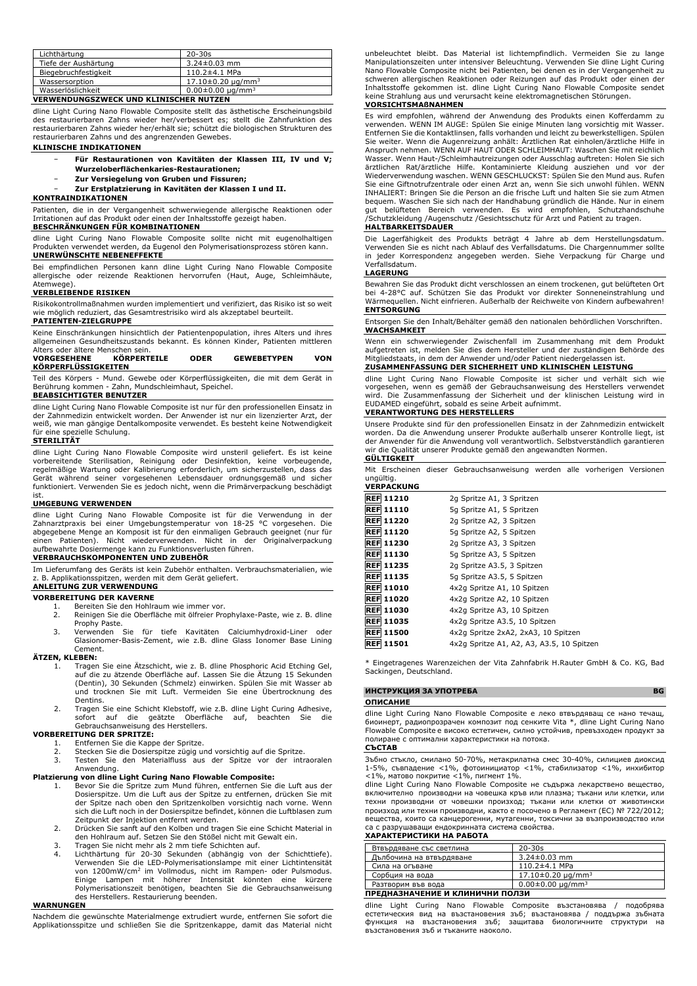| Lichthärtung         | $20 - 30s$                         |
|----------------------|------------------------------------|
| Tiefe der Aushärtung | $3.24 \pm 0.03$ mm                 |
| Biegebruchfestigkeit | $110.2 \pm 4.1$ MPa                |
| Wassersorption       | $17.10\pm0.20 \mu q/mm^3$          |
| Wasserlöslichkeit    | $0.00 \pm 0.00$ ug/mm <sup>3</sup> |

# **VERWENDUNGSZWECK UND KLINISCHER NUTZEN**

dline Light Curing Nano Flowable Composite stellt das ästhetische Erscheinungsbild des restaurierbaren Zahns wieder her/verbessert es; stellt die Zahnfunktion des restaurierbaren Zahns wieder her/erhält sie; schützt die biologischen Strukturen des restaurierbaren Zahns und des angrenzenden Gewebes.

## **KLINISCHE INDIKATIONEN**

- − **Für Restaurationen von Kavitäten der Klassen III, IV und V;**
	- **Wurzeloberflächenkaries-Restaurationen;**
	- − **Zur Versiegelung von Gruben und Fissuren;**
- − **Zur Erstplatzierung in Kavitäten der Klassen I und II.**

# **KONTRAINDIKATIONEN**

Patienten, die in der Vergangenheit schwerwiegende allergische Reaktionen oder Irritationen auf das Produkt oder einen der Inhaltsstoffe gezeigt haben. **BESCHRÄNKUNGEN FÜR KOMBINATIONEN**

dline Light Curing Nano Flowable Composite sollte nicht mit eugenolhaltigen Produkten verwendet werden, da Eugenol den Polymerisationsprozess stören kann. **UNERWÜNSCHTE NEBENEFFEKTE**

Bei empfindlichen Personen kann dline Light Curing Nano Flowable Composite allergische oder reizende Reaktionen hervorrufen (Haut, Auge, Schleimhäute,

# Atemwege). **VERBLEIBENDE RISIKEN**

Risikokontrollmaßnahmen wurden implementiert und verifiziert, das Risiko ist so weit wie möglich reduziert, das Gesamtrestrisiko wird als akzeptabel beurteilt. **PATIENTEN-ZIELGRUPPE**

Keine Einschränkungen hinsichtlich der Patientenpopulation, ihres Alters und ihres allgemeinen Gesundheitszustands bekannt. Es können Kinder, Patienten mittleren

#### Alters oder ältere Menschen sein.<br> **VORGESEHENE KÖRPERT VORGESEHENE KÖRPERTEILE ODER GEWEBETYPEN VON KÖRPERFLÜSSIGKEITEN**

Teil des Körpers - Mund. Gewebe oder Körperflüssigkeiten, die mit dem Gerät in Berührung kommen - Zahn, Mundschleimhaut, Speichel. **BEABSICHTIGTER BENUTZER**

dline Light Curing Nano Flowable Composite ist nur für den professionellen Einsatz in der Zahnmedizin entwickelt worden. Der Anwender ist nur ein lizenzierter Arzt, der weiß, wie man gängige Dentalkomposite verwendet. Es besteht keine Notwendigkeit für eine spezielle Schulung.

#### **STERILITÄT**

dline Light Curing Nano Flowable Composite wird unsteril geliefert. Es ist keine<br>vorbereitende Sterilisation, Reinigung oder Desinfektion, keine vorbeugende,<br>regelmäßige Wartung oder Kalibrierung erforderlich, um sicher Gerät während seiner vorgesehenen Lebensdauer ordnungsgemäß und sicher funktioniert. Verwenden Sie es jedoch nicht, wenn die Primärverpackung beschädigt

# ist. **UMGEBUNG VERWENDEN**

dline Light Curing Nano Flowable Composite ist für die Verwendung in der<br>Zahnarztpraxis bei einer Umgebungstemperatur von 18-25 °C vorgesehen. Die<br>abgegebene-Menge-an-Komposit-ist-für-den-einmaligen-Gebrauch-geeignet-(nureinen Patienten). Nicht wiederverwenden. Nicht in der Originalverpackung<br>aufbewahrte Dosiermenge kann zu Funktionsverlusten führen.<br>**VERBRAUCHSKOMPONENTEN UND ZUBEHÖR** 

Im Lieferumfang des Geräts ist kein Zubehör enthalten. Verbrauchsmaterialien, wie z. B. Applikationsspitzen, werden mit dem Gerät geliefert. **ANLEITUNG ZUR VERWENDUNG**

#### **VORBEREITUNG DER KAVERNE**

- - 1. Bereiten Sie den Hohlraum wie immer vor. 2. Reinigen Sie die Oberfläche mit ölfreier Prophylaxe-Paste, wie z. B. dline Prophy Paste.
	- 3. Verwenden Sie für tiefe Kavitäten Calciumhydroxid-Liner oder Glasionomer-Basis-Zement, wie z.B. dline Glass Ionomer Base Lining Cement.

### **ÄTZEN, KLEBEN:**

- 1. Tragen Sie eine Ätzschicht, wie z. B. dline Phosphoric Acid Etching Gel, auf die zu ätzende Oberfläche auf. Lassen Sie die Ätzung 15 Sekunden (Dentin), 30 Sekunden (Schmelz) einwirken. Spülen Sie mit Wasser ab und trocknen Sie mit Luft. Vermeiden Sie eine Übertrocknung des Dentins.
- 2. Tragen Sie eine Schicht Klebstoff, wie z.B. dline Light Curing Adhesive, sofort auf die geätzte Oberfläche auf, beachten Sie die Gebrauchsanweisung des Herstellers.

#### **VORBEREITUNG DER SPRITZE:**

- 1. Entfernen Sie die Kappe der Spritze.
- 2. Stecken Sie die Dosierspitze zügig und vorsichtig auf die Spritze.
- 3. Testen Sie den Materialfluss aus der Spitze vor der intraoralen Anwendung.

- **Platzierung von dline Light Curing Nano Flowable Composite:** 1. Bevor Sie die Spritze zum Mund führen, entfernen Sie die Luft aus der Dosierspitze. Um die Luft aus der Spitze zu entfernen, drücken Sie mit der Spitze nach oben den Spritzenkolben vorsichtig nach vorne. Wenn sich die Luft noch in der Dosierspitze befindet, können die Luftblasen zum Zeitpunkt der Injektion entfernt werden.
	- 2. Drücken Sie sanft auf den Kolben und tragen Sie eine Schicht Material in den Hohlraum auf. Setzen Sie den Stößel nicht mit Gewalt ein. 3. Tragen Sie nicht mehr als 2 mm tiefe Schichten auf.
	-
	- 4. Lichthärtung für 20-30 Sekunden (abhängig von der Schichttiefe).<br>Verwenden Sie die LED-Polymerisationslampe mit einer Lichtintensität<br>von 1200mW/cm<sup>2</sup> im Vollmodus, nicht im Rampen- oder Pulsmodus.<br>Einige Lampen mit höh des Herstellers. Restaurierung beenden.

#### **WARNUNGEN**

Nachdem die gewünschte Materialmenge extrudiert wurde, entfernen Sie sofort die Applikationsspitze und schließen Sie die Spritzenkappe, damit das Material nicht unbeleuchtet bleibt. Das Material ist lichtempfindlich. Vermeiden Sie zu lange Manipulationszeiten unter intensiver Beleuchtung. Verwenden Sie dline Light Curing Nano Flowable Composite nicht bei Patienten, bei denen es in der Vergangenheit zu schweren allergischen Reaktionen oder Reizungen auf das Produkt oder einen der Inhaltsstoffe gekommen ist. dline Light Curing Nano Flowable Composite sendet keine Strahlung aus und verursacht keine elektromagnetischen Störungen.

#### **VORSICHTSMAßNAHMEN**

Es wird empfohlen, während der Anwendung des Produkts einen Kofferdamm zu verwenden. WENN IM AUGE: Spülen Sie einige Minuten lang vorsichtig mit Wasser. Entfernen Sie die Kontaktlinsen, falls vorhanden und leicht zu bewerkstelligen. Spülen<br>Sie weiter. Wenn die Augenreizung anhält: Ärztlichen Rat einholen/ärztliche Hilfe in<br>Anspruch nehmen. WENN AUF HAUT ODER SCHLEIMHAUT: W ärztlichen Rat/ärztliche Hilfe. Kontaminierte Kleidung ausziehen und vor der Wiederverwendung waschen. WENN GESCHLUCKST: Spülen Sie den Mund aus. Rufen Sie eine Giftnotrufzentrale oder einen Arzt an, wenn Sie sich unwohl fühlen. WENN INHALIERT: Bringen Sie die Person an die frische Luft und halten Sie sie zum Atmen bequem. Waschen Sie sich nach der Handhabung gründlich die Hände. Nur in einem gut belüfteten Bereich verwenden. Es wird empfohlen, Schutzhandschuhe /Schutzkleidung /Augenschutz /Gesichtsschutz für Arzt und Patient zu tragen.

#### **HALTBARKEITSDAUER**

Die Lagerfähigkeit des Produkts beträgt 4 Jahre ab dem Herstellungsdatum. Verwenden Sie es nicht nach Ablauf des Verfallsdatums. Die Chargennummer sollte in jeder Korrespondenz angegeben werden. Siehe Verpackung für Charge und Verfallsdatum.

#### **LAGERUNG**

Bewahren Sie das Produkt dicht verschlossen an einem trockenen, gut belüfteten Ort bei 4-28°C auf. Schützen Sie das Produkt vor direkter Sonneneinstrahlung und Wärmequellen. Nicht einfrieren. Außerhalb der Reichweite von Kindern aufbewahren! **ENTSORGUNG**

#### Entsorgen Sie den Inhalt/Behälter gemäß den nationalen behördlichen Vorschriften. **WACHSAMKEIT**

Wenn ein schwerwiegender Zwischenfall im Zusammenhang mit dem Produkt aufgetreten ist, melden Sie dies dem Hersteller und der zuständigen Behörde des Mitgliedstaats, in dem der Anwender und/oder Patient niedergelassen ist.

#### **ZUSAMMENFASSUNG DER SICHERHEIT UND KLINISCHEN LEISTUNG**

dline Light Curing Nano Flowable Composite ist sicher und verhält sich wie vorgesehen, wenn es gemäß der Gebrauchsanweisung des Herstellers verwendet wird. Die Zusammenfassung der Sicherheit und der klinischen Leistung wird in EUDAMED eingeführt, sobald es seine Arbeit aufnimmt.

#### **VERANTWORTUNG DES HERSTELLERS**

Unsere Produkte sind für den professionellen Einsatz in der Zahnmedizin entwickelt worden. Da die Anwendung unserer Produkte außerhalb unserer Kontrolle liegt, ist der Anwender für die Anwendung voll verantwortlich. Selbstverständlich garantieren wir die Qualität unserer Produkte gemäß den angewandten Normen. **GÜLTIGKEIT**

Mit Erscheinen dieser Gebrauchsanweisung werden alle vorherigen Versionen ungültig. **VERPACKUNG**

| VERPALNUNG       |                                           |  |
|------------------|-------------------------------------------|--|
| <b>REF 11210</b> | 2g Spritze A1, 3 Spritzen                 |  |
| <b>REF 11110</b> | 5q Spritze A1, 5 Spritzen                 |  |
| <b>REF 11220</b> | 2g Spritze A2, 3 Spitzen                  |  |
| <b>REF 11120</b> | 5q Spritze A2, 5 Spitzen                  |  |
| <b>REF 11230</b> | 2g Spritze A3, 3 Spitzen                  |  |
| <b>REF 11130</b> | 5q Spritze A3, 5 Spitzen                  |  |
| <b>REF 11235</b> | 2g Spritze A3.5, 3 Spitzen                |  |
| <b>REF 11135</b> | 5g Spritze A3.5, 5 Spitzen                |  |
| <b>REF 11010</b> | 4x2q Spritze A1, 10 Spitzen               |  |
| <b>REF 11020</b> | 4x2q Spritze A2, 10 Spitzen               |  |
| <b>REF 11030</b> | 4x2q Spritze A3, 10 Spitzen               |  |
| <b>REF 11035</b> | 4x2q Spritze A3.5, 10 Spitzen             |  |
| <b>REF 11500</b> | 4x2q Spritze 2xA2, 2xA3, 10 Spitzen       |  |
| <b>REF 11501</b> | 4x2q Spritze A1, A2, A3, A3.5, 10 Spitzen |  |

\* Eingetragenes Warenzeichen der Vita Zahnfabrik H.Rauter GmbH & Co. KG, Bad Sackingen, Deutschland.

# **ИНСТРУКЦИЯ ЗА УПОТРЕБА BG**

# **ОПИСАНИЕ**

dline Light Curing Nano Flowable Composite е леко втвърдяващ се нано течащ, биоинерт, радиопрозрачен композит под сенките Vita \*, dline Light Curing Nano Flowable Composite е високо естетичен, силно устойчив, превъзходен продукт за полиране с оптимални характеристики на потока.

# **СЪСТАВ**

Зъбно стъкло, смилано 50-70%, метакрилатна смес 30-40%, силициев диоксид 1-5%, съвпадение <1%, фотоинициатор <1%, стабилизатор <1%, инхибитор <1%, матово покритие <1%, пигмент 1%.

dline Light Curing Nano Flowable Composite не съдържа лекарствено вещество, включително производни на човешка кръв или плазма; тъкани или клетки, или техни производни от човешки произход; тъкани или клетки от животински произход или техни производни, както е посочено в Регламент (ЕС) № 722/2012; вещества, които са канцерогенни, мутагенни, токсични за възпроизводство или са с разрушаващи ендокринната система свойства. **ХАРАКТЕРИСТИКИ НА РАБОТА**

| Втвърдяване със светлина                         | $20 - 30s$                |  |
|--------------------------------------------------|---------------------------|--|
| Дълбочина на втвърдяване                         | $3.24 \pm 0.03$ mm        |  |
| Сила на огъване                                  | $110.2 \pm 4.1$ MPa       |  |
| Сорбция на вода                                  | $17.10\pm0.20 \mu q/mm^3$ |  |
| $0.00 \pm 0.00 \mu q/mm^3$<br>Разтворим във вода |                           |  |
| ПРЕДНАЗНАЧЕНИЕ И КЛИНИЧНИ ПОЛЗИ                  |                           |  |

dline Light Curing Nano Flowable Composite възстановява / подобрява естетическия вид на възстановения зъб; възстановява / поддържа зъбната<br>функция на възстановения зъб: защитава биологичните структури на зашитава биологичните структури на възстановения зъб и тъканите наоколо.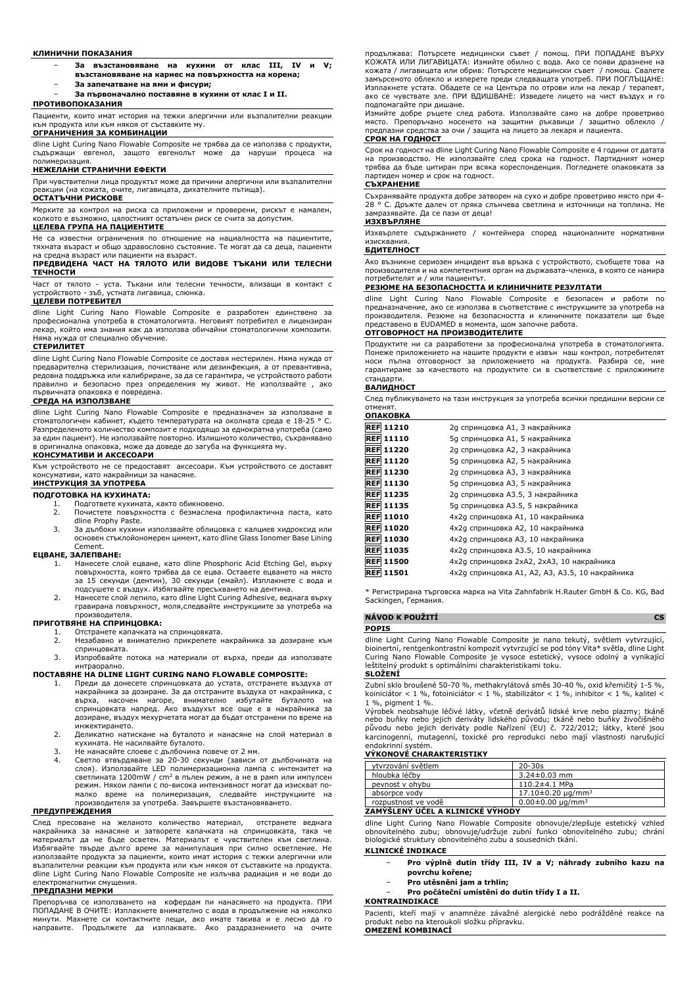#### **КЛИНИЧНИ ПОКАЗАНИЯ**

- − **За възстановяване на кухини от клас III, IV и V; възстановяване на кариес на повърхността на корена;**
- − **За запечатване на ями и фисури;** − **За първоначално поставяне в кухини от клас I и II.**
- **ПРОТИВОПОКАЗАНИЯ**

Пациенти, които имат история на тежки алергични или възпалителни реакции към продукта или към някоя от съставките му. **ОГРАНИЧЕНИЯ ЗА КОМБИНАЦИИ**

dline Light Curing Nano Flowable Composite не трябва да се използва с продукти, съдържащи евгенол, защото евгенолът може да наруши процеса на полимеризация.

#### **НЕЖЕЛАНИ СТРАНИЧНИ ЕФЕКТИ**

При чувствителни лица продуктът може да причини алергични или възпалителни реакции (на кожата, очите, лигавицата, дихателните пътища). **ОСТАТЪЧНИ РИСКОВЕ**

Мерките за контрол на риска са приложени и проверени, рискът е намален, колкото е възможно, цялостният остатъчен риск се счита за допустим.

### **ЦЕЛЕВА ГРУПА НА ПАЦИЕНТИТЕ**

Не са известни ограничения по отношение на нациалността на пациентите, тяхната възраст и общо здравословно състояние. Те могат да са деца, пациенти на средна възраст или пациенти на възраст.

#### **ПРЕДВИДЕНА ЧАСТ НА ТЯЛОТО ИЛИ ВИДОВЕ ТЪКАНИ ИЛИ ТЕЛЕСНИ ТЕЧНОСТИ**

Част от тялото - уста. Тъкани или телесни течности, влизащи в контакт с устройството - зъб, устната лигавица, слюнка.

# **ЦЕЛЕВИ ПОТРЕБИТЕЛ**

dline Light Curing Nano Flowable Composite е разработен единствено за професионална употреба в стоматологията. Неговият потребител е лицензиран лекар, който има знания как да използва обичайни стоматологични композити.<br>Няма нужда от специално обучение. Няма нужда от специално обучение.

#### **СТЕРИЛИТЕТ**

dline Light Curing Nano Flowable Composite се доставя нестерилен. Няма нужда от предварителна стерилизация, почистване или дезинфекция, а от превантивна, редовна поддръжка или калибриране, за да се гарантира, че устройството работи правилно и безопасно през определения му живот. Не използвайте , ако първичната опаковка е повредена.

#### **СРЕДА НА ИЗПОЛЗВАНЕ**

dline Light Curing Nano Flowable Composite е предназначен за използване в стоматологичен кабинет, където температурата на околната среда е 18-25 Разпределеното количество композит е подходящо за еднократна употреба (само за един пациент). Не използвайте повторно. Излишното количество, съхранявано може да доведе до загуба на функцията му.

## **КОНСУМАТИВИ И АКСЕСОАРИ**

Към устройството не се предоставят аксесоари. Към устройството се доставят консумативи, като накрайници за нанасяне. **ИНСТРУКЦИЯ ЗА УПОТРЕБА**

# **ПОДГОТОВКА НА КУХИНАТА:**

- 1. Подгответе кухината, както обикновено.
	- 2. Почистете повърхността с безмаслена профилактична паста, като dline Prophy Paste.
- 3. За дълбоки кухини използвайте облицовка с калциев хидроксид или основен стъклойономерен цимент, като dline Glass Ionomer Base Lining Cement.

#### **ЕЦВАНЕ, ЗАЛЕПВАНЕ:**

- 1. Нанесете слой ецване, като dline Phosphoric Acid Etching Gel, върху повърхността, която трябва да се ецва. Оставете ецването на място за 15 секунди (дентин), 30 секунди (емайл). Изплакнете с вода и подсушете с въздух. Избягвайте пресъхването на дентина.
- 2. Нанесете слой лепило, като dline Light Curing Adhesive, веднага върху гравирана повърхност, моля,следвайте инструкциите за употреба на производителя.

#### **ПРИГОТВЯНЕ НА СПРИНЦОВКА:**

1. Отстранете капачката на спринцовката.<br>2. В Незабавно и внимателно прикрепете

- 2. Незабавно и внимателно прикрепете накрайника за дозиране към спринцовката.
- 3. Изпробвайте потока на материали от върха, преди да използвате

# интраорално. **ПОСТАВЯНЕ НА DLINE LIGHT CURING NANO FLOWABLE COMPOSITE:**

- 1. Преди да донесете спринцовката до устата, отстранете въздуха от накрайника за дозиране. За да отстраните въздуха от накрайника, с върха, насочен нагоре, внимателно избутайте буталото на спринцовката напред. Ако въздухът все още е в накрайника за дозиране, въздух мехурчетата могат да бъдат отстранени по време на инжектирането.
- 2. Деликатно натискане на буталото и нанасяне на слой материал в кухината. Не насилвайте буталото.
- 3. Не нанасяйте слоеве с дълбочина повече от 2 мм.
- 4. Светло втвърдяване за 20-30 секунди (зависи от дълбочината на слоя). Използвайте LED полимеризационна лампа с интензитет на светлината 1200mW / cm<sup>2</sup> в пълен режим, а не в рамп или импулсен режим. Някои лампи с по-висока интензивност могат да изискват по-малко време на полимеризация, следвайте инструкциите на производителя за употреба. Завършете възстановяването.

# **ПРЕДУПРЕЖДЕНИЯ**

След пресоване на желаното количество материал, отстранете веднага накрайника за нанасяне и затворете капачката на спринцовката, така че<br>материалът да не бъде осветен. Материалът е чувствителен към светлина.<br>Избягвайте твърде дълго време за манипулация при силно осветление. Не използвайте продукта за пациенти, които имат история с тежки алергични или възпалителни реакции към продукта или към някоя от съставките на продукта. dline Light Curing Nano Flowable Composite не излъчва радиация и не води до електромагнитни смущения.

### **ПРЕДПАЗНИ МЕРКИ**

Препоръчва се използването на кофердам пи нанасянето на продукта. ПРИ ПОПАДАНЕ В ОЧИТЕ: Изплакнете внимателно с вода в продължение на няколко минути. Махнете си контактните лещи, ако имате такива и е лесно да го направите. Продължете да изплаквате. Ако раздразнението на очите

продължава: Потърсете медицински съвет / помощ. ПРИ ПОПАДАНЕ ВЪРХУ КОЖАТА ИЛИ ЛИГАВИЦАТА: Измийте обилно с вода. Ако се появи дразнене на кожата / лигавицата или обрив: Потърсете медицински съвет / помощ. Свалете замърсеното облекло и изперете преди следващата употреб. ПРИ ПОГЛЪЩАНЕ: Изплакнете устата. Обадете се на Центъра по отрови или на лекар / терапевт, ако се чувствате зле. ПРИ ВДИШВАНЕ: Изведете лицето на чист въздух и го подпомагайте при дишане.

Измийте добре ръцете след работа. Използвайте само на добре проветриво място. Препоръчано носенето на защитни ръкавици / защитно облекло / предпазни средства за очи / защита на лицето за лекаря и пациента.

#### **СРОК НА ГОДНОСТ**

Срок на годност на dline Light Curing Nano Flowable Composite е 4 години от датата на производство. Не използвайте след срока на годност. Партидният номер трябва да бъде цитиран при всяка кореспонденция. Погледнете опаковката за партиден номер и срок на годност.

# **СЪХРАНЕНИЕ**

Съхранявайте продукта добре затворен на сухо и добре проветриво място при 4- 28 ° C. Дръжте далеч от пряка слънчева светлина и източници на топлина. Не замразявайте. Да се пази от деца!

#### **ИЗХВЪРЛЯНЕ**

Изхвърлете съдържанието / контейнера според националните нормативни изисквания.

### **БДИТЕЛНОСТ**

Ако възникне сериозен инцидент във връзка с устройството, съобщете това на производителя и на компетентния орган на държавата-членка, в която се намира потребителят и / или пациентът.

# **РЕЗЮМЕ НА БЕЗОПАСНОСТТА И КЛИНИЧНИТЕ РЕЗУЛТАТИ**

dline Light Curing Nano Flowable Composite е безопасен и работи по предназначение, ако се използва в съответствие с инструкциите за употреба на производителя. Резюме на безопасността и клиничните показатели ще бъде представено в EUDAMED в момента, щом започне работа.

# **ОТГОВОРНОСТ НА ПРОИЗВОДИТЕЛИТЕ**

Продуктите ни са разработени за професионална употреба в стоматологията. Понеже приложението на нашите продукти е извън наш контрол, потребителят носи пълна отговорност за приложението на продукта. Разбира се, ние гарантираме за качеството на продуктите си в съответствие с приложимите стандарти.

#### **ВАЛИДНОСТ**

След публикуването на тази инструкция за употреба всички предишни версии се отменят. **ОПАКОВКА**

| <b>REF 11210</b> | 2g спринцовка A1, 3 накрайника                  |
|------------------|-------------------------------------------------|
| <b>REF 11110</b> | 5g спринцовка А1, 5 накрайника                  |
| <b>REF 11220</b> | 2g спринцовка A2, 3 накрайника                  |
| <b>REF 11120</b> | 5д спринцовка А2, 5 накрайника                  |
| <b>REF 11230</b> | 2g спринцовка АЗ, 3 накрайника                  |
| <b>REF 11130</b> | 5д спринцовка АЗ, 5 накрайника                  |
| <b>REF 11235</b> | 2g спринцовка A3.5, 3 накрайника                |
| <b>REF 11135</b> | 5д спринцовка АЗ.5, 5 накрайника                |
| <b>REF 11010</b> | 4x2g спринцовка A1, 10 накрайника               |
| <b>REF 11020</b> | 4x2g спринцовка A2, 10 накрайника               |
| <b>REF 11030</b> | 4x2g спринцовка А3, 10 накрайника               |
| <b>REF 11035</b> | 4х2д спринцовка А3.5, 10 накрайника             |
| <b>REF 11500</b> | 4х2g спринцовка 2хА2, 2хА3, 10 накрайника       |
| <b>REF 11501</b> | 4х2g спринцовка A1, A2, A3, A3.5, 10 накрайника |

Регистрирана търговска марка на Vita Zahnfabrik H.Rauter GmbH & Co. KG, Bad Sackingen, Германия.

| NÁVOD K POUŽITÍ                                                                                                                                                             |  |
|-----------------------------------------------------------------------------------------------------------------------------------------------------------------------------|--|
| <b>POPIS</b>                                                                                                                                                                |  |
| dline Light Curing Nano Flowable Composite je nano tekutý, světlem vytvrzující,<br>biojnertní, rentgenkontrastní kompozit vytvrzující se pod tóny Vita* světla, dline Light |  |

bioinertní, rentgenkontrastní kompozit vytvrzující se pod tóny Vita\* světla, dline Light Curing Nano Flowable Composite je vysoce estetický, vysoce odolný a vynikající leštitelný produkt s optimálními charakteristikami toku.

# **SLOŽENÍ**

Zubní sklo broušené 50-70 %, methakrylátová směs 30-40 %, oxid křemičitý 1-5 %, koiniciátor < 1 %, fotoiniciátor < 1 %, stabilizátor < 1 %, inhibitor < 1 %, kalitel < 1 %, pigment 1 %.

Výrobek neobsahuje léčivé látky, včetně derivátů lidské krve nebo plazmy; tkáně<br>nebo buňky nebo jejich deriváty lidského původu; tkáně nebo buňky živočišného<br>původu nebo jejich deriváty podle Nařízení (EU) č. 722/2012; lát

# endokrinní systém. **VÝKONOVÉ CHARAKTERISTIKY**

| vtvrzování světlem  | $20 - 30s$                 |
|---------------------|----------------------------|
| hloubka léčby       | $3.24 \pm 0.03$ mm         |
| pevnost v ohybu     | $110.2 \pm 4.1$ MPa        |
| absorpce vody       | $17.10\pm0.20 \mu q/mm^3$  |
| rozpustnost ve vodě | $0.00 \pm 0.00 \mu q/mm^3$ |

# **ZAMÝŠLENÝ ÚČEL A KLINICKÉ VÝHODY**

dline Light Curing Nano Flowable Composite obnovuje/zlepšuje estetický vzhled obnovitelného zubu; obnovuje/udržuje zubní funkci obnovitelného zubu; chrání biologické struktury obnovitelného zubu a sousedních tkání.

# **KLINICKÉ INDIKACE**

- − **Pro výplně dutin třídy III, IV a V; náhrady zubního kazu na**
- **povrchu kořene;**
- − **Pro utěsnění jam a trhlin;**
- − **Pro počáteční umístění do dutin třídy I a II.**

### **KONTRAINDIKACE**

Pacienti, kteří mají v anamnéze závažné alergické nebo podrážděné reakce na produkt nebo na kteroukoli složku přípravku. **OMEZENÍ KOMBINACÍ**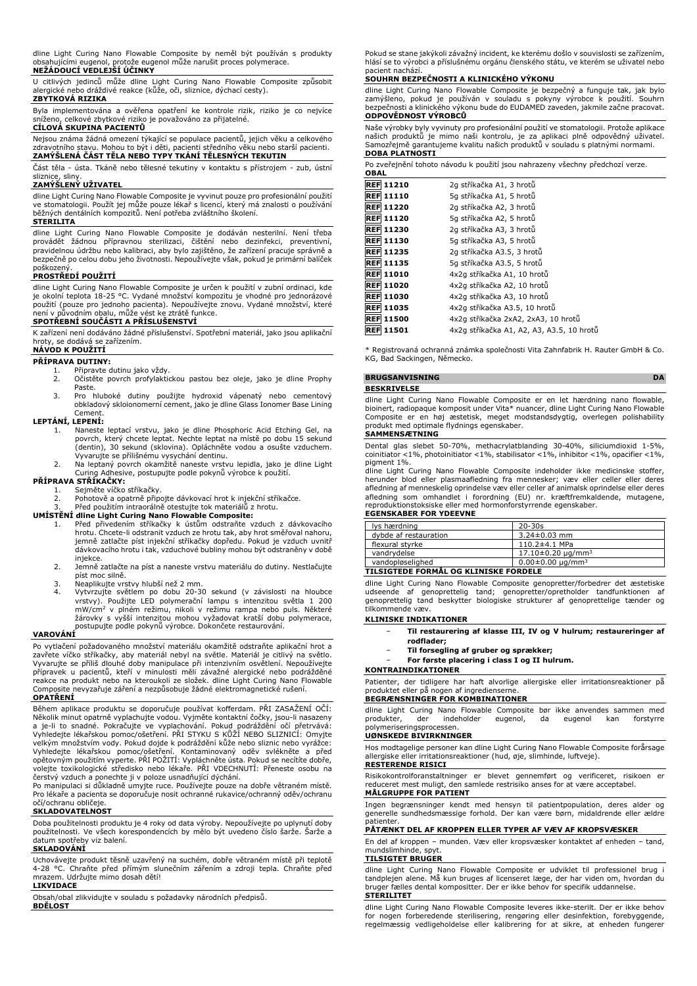dline Light Curing Nano Flowable Composite by neměl být používán s produkty obsahujícími eugenol, protože eugenol může narušit proces polymerace.

### **NEŽÁDOUCÍ VEDLEJŠÍ ÚČINKY**

U citlivých jedinců může dline Light Curing Nano Flowable Composite způsobit alergické nebo dráždivé reakce (kůže, oči, sliznice, dýchací cesty).

# **ZBYTKOVÁ RIZIKA**

Byla implementována a ověřena opatření ke kontrole rizik, riziko je co nejvíce<br>sníženo, celkové zbytkové riziko je považováno za přijatelné. celkové zbytkové riziko je považováno za přijatelné.

# **CÍLOVÁ SKUPINA PACIENTŮ**

Nejsou známa žádná omezení týkající se populace pacientů, jejich věku a celkového zdravotního stavu. Mohou to být i děti, pacienti středního věku nebo starší pacienti. **ZAMÝŠLENÁ ČÁST TĚLA NEBO TYPY TKÁNÍ TĚLESNÝCH TEKUTIN**

Část těla - ústa. Tkáně nebo tělesné tekutiny v kontaktu s přístrojem - zub, ústní sliznice, sliny.

# **ZAMÝŠLENÝ UŽIVATEL**

dline Light Curing Nano Flowable Composite je vyvinut pouze pro profesionální použití ve stomatologii. Použít jej může pouze lékař s licencí, který má znalosti o používání běžných dentálních kompozitů. Není potřeba zvláštního školení.

# **STERILITA**

dline Light Curing Nano Flowable Composite je dodavan nesterilni. Neni treba<br>provádět žádnou přípravnou sterilizaci, číštění nebo dezinfekci, preventivní,<br>pravidelnou-údržbu-nebo-kalibraci,-aby-bylo-zajištěno, že-zařízeníbezpečně po celou dobu jeho životnosti. Nepoužívejte však, pokud je primární balíček poškozený.

# **PROSTŘEDÍ POUŽITÍ**

dline Light Curing Nano Flowable Composite je určen k použití v zubní ordinaci, kde je okolní teplota 18-25 °C. Vydané množství kompozitu je vhodné pro jednorázové použití (pouze pro jednoho pacienta). Nepoužívejte znovu. Vydané množství, které není v původním obalu, může vést ke ztrátě funkce.

### **SPOTŘEBNÍ SOUČÁSTI A PŘÍSLUŠENSTVÍ**

K zařízení není dodáváno žádné příslušenství. Spotřební materiál, jako jsou aplikační<br>hroty, se dodává se zařízením. hroty, se dodává se

# **NÁVOD K POUŽITÍ**

- **PŘÍPRAVA DUTINY:**<br>1. Připravte c<br>2. Očistěte p
	- 1. Připravte dutinu jako vždy. 2. Očistěte povrch profylaktickou pastou bez oleje, jako je dline Prophy Paste
	- 3. Pro hluboké dutiny použijte hydroxid vápenatý nebo cementový obkladový skloionomerní cement, jako je dline Glass Ionomer Base Lining Cement.

#### **LEPTÁNÍ, LEPENÍ:**

- 1. Naneste leptací vrstvu, jako je dline Phosphoric Acid Etching Gel, na povrch, který chcete leptat. Nechte leptat na místě po dobu 15 sekund (dentin), 30 sekund (sklovina). Opláchněte vodou a osušte vzduchem.
- Vyvarujte se přílišnému vysychání dentinu. 2. Na leptaný povrch okamžitě naneste vrstvu lepidla, jako je dline Light Curing Adhesive, postupujte podle pokynů výrobce k použití.

# **PŘÍPRAVA STŘÍKAČKY:**

- 1. Sejměte víčko stříkačky.<br>2. Pohotově a onatrně přinc
- 2. Pohotově a opatrně připojte dávkovací hrot k injekční stříkačce. 3. Před použitím intraorálně otestujte tok materiálů z hrotu.
- 
- **UMÍSTĚNÍ dline Light Curing Nano Flowable Composite:**
	- 1. Před přivedením stříkačky k ústům odstraňte vzduch z dávkovacího<br>hrotu. Chcete-li odstranit vzduch ze hrotu tak, aby hrot směřoval nahoru,<br>jemně zatlačte píst injekční stříkačky dopředu. Pokud je vzduch uvnitř<br>dávkovací injekce.
	- 2. Jemně zatlačte na píst a naneste vrstvu materiálu do dutiny. Nestlačujte píst moc silně.
	- 3. Neaplikujte vrstvy hlubší než 2 mm.
	- 4. Vytvrzujte světlem po dobu 20-30 sekund (v závislosti na hloubce<br>vrstvy). Použijte LED polymerační lampu s intenzitou světla 1 200<br>mW/cm<sup>2</sup> v plném režimu, nikoli v režimu rampa nebo puls. Některé<br>žárovky s vyšší intenz

### **VAROVÁNÍ**

Po vytlačení požadovaného množství materiálu okamžitě odstraňte aplikační hrot a zavřete víčko stříkačky, aby materiál nebyl na světle. Materiál je citlivý na světlo. Vyvarujte se příliš dlouhé doby manipulace při intenzivním osvětlení. Nepoužívejte<br>přípravek u pacientů, kteří v minulosti měli závažné alergické nebo podrážděné<br>reakce na produkt nebo na kteroukoli ze složek. dline Light Composite nevyzařuje záření a nezpůsobuje žádné elektromagnetické rušení. **OPATŘENÍ**

Během aplikace produktu se doporučuje používat kofferdam. PRI ZASAZENI OCI:<br>Několik minut opatrně vyplachujte vodou. Vyjměte kontaktní čočky, jsou-il nasazeny<br>a je-li to snadné. Pokračujte ve vyplachování. Pokud podráždění

čerstvý vzduch a ponechte ji v poloze usnadňující dýchání. Po manipulaci si důkladně umyjte ruce. Používejte pouze na dobře větraném místě. Pro lékaře a pacienta se doporučuje nosit ochranné rukavice/ochranný oděv/ochranu očí/ochranu obličeje.

# **SKLADOVATELNOST**

Doba použitelnosti produktu je 4 roky od data výroby. Nepoužívejte po uplynutí doby použitelnosti. Ve všech korespondencích by mělo být uvedeno číslo šarže. Šarže a datum spotřeby viz balení.

#### **SKLADOVÁNÍ**

Uchovávejte produkt těsně uzavřený na suchém, dobře větraném místě při teplotě 4-28 °C. Chraňte před přímým slunečním zářením a zdroji tepla. Chraňte před mrazem. Udržujte mimo dosah dětí!

#### **LIKVIDACE**

Obsah/obal zlikvidujte v souladu s požadavky národních předpisů. **BDĚLOST**

Pokud se stane jakýkoli závažný incident, ke kterému došlo v souvislosti se zařízením, hlásí se to výrobci a příslušnému orgánu členského státu, ve kterém se uživatel nebo pacient nachází.

### **SOUHRN BEZPEČNOSTI A KLINICKÉHO VÝKONU**

dline Light Curing Nano Flowable Composite je bezpečný a funguje tak, jak bylo zamýšleno, pokud je používán v souladu s pokyny výrobce k použití. Souhrn bezpečnosti a klinického výkonu bude do EUDAMED zaveden, jakmile začne pracovat. **ODPOVĚDNOST VÝROBCŮ**

Naše výrobky byly vyvinuty pro profesionální použití ve stomatologii. Protože aplikace<br>našich produktů je mimo naši kontrolu, je za aplikaci plně odpovědný uživatel.<br>Samozřejmě garantujeme kvalitu naších produkt **DOBA PLATNOSTI**

Po zveřejnění tohoto návodu k použití jsou nahrazeny všechny předchozí verze.

| OBAL             |                                           |
|------------------|-------------------------------------------|
| <b>REF 11210</b> | 2g stříkačka A1, 3 hrotů                  |
| <b>REF 11110</b> | 5g stříkačka A1, 5 hrotů                  |
| <b>REF 11220</b> | 2g stříkačka A2, 3 hrotů                  |
| <b>REF 11120</b> | 5g stříkačka A2, 5 hrotů                  |
| <b>REF 11230</b> | 2g stříkačka A3, 3 hrotů                  |
| <b>REF</b> 11130 | 5g stříkačka A3, 5 hrotů                  |
| <b>REF 11235</b> | 2g stříkačka A3.5, 3 hrotů                |
| <b>REF 11135</b> | 5g stříkačka A3.5, 5 hrotů                |
| <b>REF 11010</b> | 4x2a stříkačka A1, 10 hrotů               |
| <b>REF 11020</b> | 4x2g stříkačka A2, 10 hrotů               |
| <b>REF 11030</b> | 4x2g stříkačka A3, 10 hrotů               |
| <b>REF 11035</b> | 4x2a stříkačka A3.5, 10 hrotů             |
| <b>REF 11500</b> | 4x2q stříkačka 2xA2, 2xA3, 10 hrotů       |
| <b>REF 11501</b> | 4x2q stříkačka A1, A2, A3, A3.5, 10 hrotů |

\* Registrovaná ochranná známka společnosti Vita Zahnfabrik H. Rauter GmbH & Co. KG, Bad Sackingen, Německo.

#### **BRUGSANVISNING DA BESKRIVELSE**

dline Light Curing Nano Flowable Composite er en let hærdning nano flowable,<br>bioinert, radiopaque komposit under Vita\* nuancer, dline Light Curing Nano Flowable<br>Composite er en høj æstetisk, meget modstandsdygtig, overlege produkt med optimale flydnings egenskaber.

# **SAMMENSÆTNING**

Dental glas slebet 50-70%, methacrylatblanding 30-40%, siliciumdioxid 1-5%, coinitiator <1%, photoinitiator <1%, stabilisator <1%, inhibitor <1%, opacifier <1%, pigment 1%.

dline Light Curing Nano Flowable Composite indeholder ikke medicinske stoffer, herunder blod eller plasmaafledning fra mennesker; væv eller celler eller deres afledning af menneskelig oprindelse væv eller celler af animalsk oprindelse eller deres afledning som omhandlet i forordning (EU) nr. kræftfremkaldende, mutagene, reproduktionstoksiske eller med hormonforstyrrende egenskaber. **EGENSKABER FOR YDEEVNE**

| EGENSRADER FOR TUEEVINE |                                    |
|-------------------------|------------------------------------|
| lys hærdning            | $20 - 30s$                         |
| dybde af restauration   | $3.24 \pm 0.03$ mm                 |
| flexural styrke         | $110.2 \pm 4.1$ MPa                |
| vandrydelse             | $17.10\pm0.20 \mu q/mm^3$          |
| vandopløselighed        | $0.00 \pm 0.00$ ug/mm <sup>3</sup> |
|                         |                                    |

## **TILSIGTEDE FORMÅL OG KLINISKE FORDELE**

dline Light Curing Nano Flowable Composite genopretter/forbedrer det æstetiske udseende af genoprettelig tand; genopretter/opretholder tandfunktionen af genoprettelig tand beskytter biologiske strukturer af genoprettelige tænder og tilkommende væv.

### **KLINISKE INDIKATIONER**

- − **Til restaurering af klasse III, IV og V hulrum; restaureringer af rodflader;**
- − **Til forsegling af gruber og sprækker;**
- − **For første placering i class I og II hulrum.**

## **KONTRAINDIKATIONER**

Patienter, der tidligere har haft alvorlige allergiske eller irritationsreaktioner på produktet eller på nogen af ingredienserne.

# **BEGRÆNSNINGER FOR KOMBINATIONER**

dline Light Curing Nano Flowable Composite bør ikke anvendes sammen med produkter, der indeholder eugenol, da eugenol kan forstyrre .<br>polymeriseringsprocessen.

# **UØNSKEDE BIVIRKNINGER**

Hos modtagelige personer kan dline Light Curing Nano Flowable Composite forårsage allergiske eller irritationsreaktioner (hud, øje, slimhinde, luftveje). **RESTERENDE RISICI**

Risikokontrolforanstaltninger er blevet gennemført og verificeret, risikoen er reduceret mest muligt, den samlede restrisiko anses for at være acceptabel. **MÅLGRUPPE FOR PATIENT**

Ingen begrænsninger kendt med hensyn til patientpopulation, deres alder og generelle sundhedsmæssige forhold. Der kan være børn, midaldrende eller ældre patienter.

### **PÅTÆNKT DEL AF KROPPEN ELLER TYPER AF VÆV AF KROPSVÆSKER**

En del af kroppen – munden. Væv eller kropsvæsker kontaktet af enheden – tand, mundslimhinde, spyt.

## **TILSIGTET BRUGER**

dline Light Curing Nano Flowable Composite er udviklet til professionel brug i tandplejen alene. Må kun bruges af licenseret læge, der har viden om, hvordan du bruger fælles dental kompositter. Der er ikke behov for specifik uddannelse. **STERILITET**

dline Light Curing Nano Flowable Composite leveres ikke-sterilt. Der er ikke behov for nogen forberedende sterilisering, rengøring eller desinfektion, forebyggende, regelmæssig vedligeholdelse eller kalibrering for at sikre, at enheden fungerer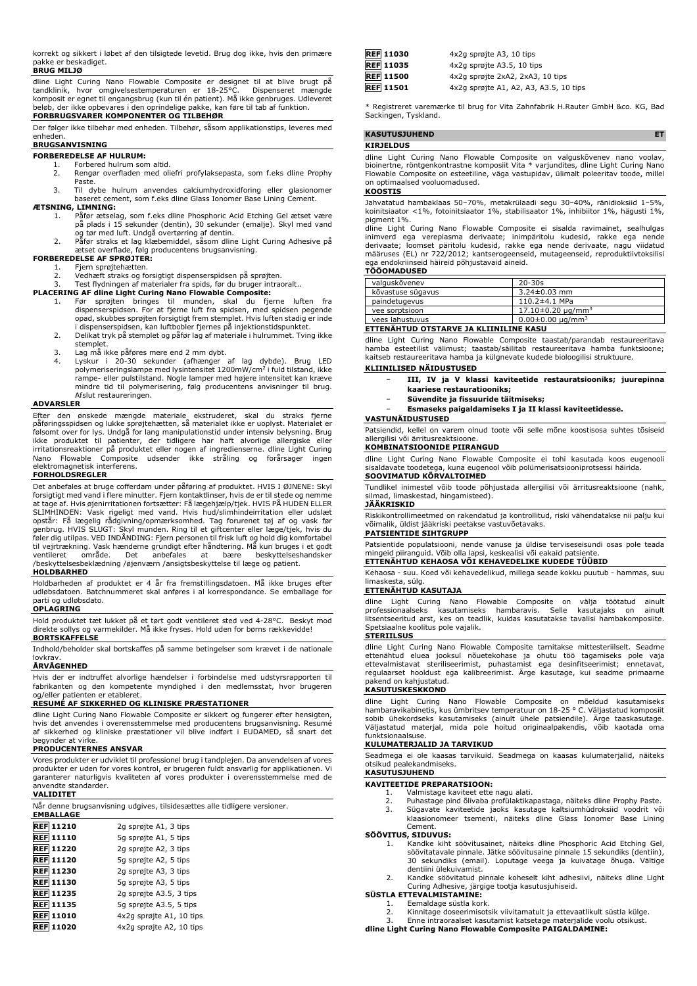korrekt og sikkert i løbet af den tilsigtede levetid. Brug dog ikke, hvis den primære pakke er beskadiget. **BRUG MILJØ**

dline Light Curing Nano Flowable Composite er designet til at blive brugt på tandklinik, hvor omgivelsestemperaturen er 18-25°C. Dispenseret mængde komposit er egnet til engangsbrug (kun til én patient). Må ikke genbruges. Udleveret beløb, der ikke opbevares i den oprindelige pakke, kan føre til tab af funktion. **FORBRUGSVARER KOMPONENTER OG TILBEHØR**

Der følger ikke tilbehør med enheden. Tilbehør, såsom applikationstips, leveres med enheden.

# **BRUGSANVISNING**

- **FORBEREDELSE AF HULRUM:**
	- 1. Forbered hulrum som altid.<br>2. Rengør overfladen med ol 2. Rengør overfladen med oliefri profylaksepasta, som f.eks dline Prophy
	- Paste.
	- 3. Til dybe hulrum anvendes calciumhydroxidforing eller glasionomer baseret cement, som f.eks dline Glass Ionomer Base Lining Cement.

# **ÆTSNING, LIMNING:**

- Påfør ætselag, som f.eks dline Phosphoric Acid Etching Gel ætset være
- på plads i 15 sekunder (dentin), 30 sekunder (emalje). Skyl med vand<br>og tør med luft. Undgå overtørring af dentin.<br>2. Påfør straks et lag klæbemiddel, såsom dline Light Curing Adhesive på<br>aetset overflade, følg producenten
- **FORBEREDELSE AF SPRØJTER:**
	-
	- 1. Fjern sprøjtehætten.<br>2. Vedhæft straks og fo 2. Vedhæft straks og forsigtigt dispenserspidsen på sprøjten.

- 
- 3. Test flydningen af materialer fra spids, før du bruger intraoralt..<br> **PLACERING AF dline Light Curing Nano Flowable Composite:**<br>
1. Før sprøjten bringes til munden, skal du fjerne luften fra<br>
dispenserspidsen. For at fj i dispenserspidsen, kan luftbobler fjernes på injektionstidspunktet. 2. Delikat tryk på stemplet og påfør lag af materiale i hulrummet. Tving ikke
	- stemplet.
	-
	- 3. Lag må ikke påføres mere end 2 mm dybt.<br>4. Lyskur i 20-30 sekunder (afhænger af lag dybde). Brug LED<br> polymeriseringslampe med lysintensitet 1200mW/cm<sup>2</sup> i fuld tilstand, ikke rampe- eller pulstilstand. Nogle lamper med højere intensitet kan kræve mindre tid til polymerisering, følg producentens anvisninger til brug. Afslut restaureringen.

#### **ADVARSLER**

Efter den ønskede mængde materiale ekstruderet, skal du straks fjerne påføringsspidsen og lukke sprøjtehætten, så materialet ikke er uoplyst. Materialet er følsomt over for lys. Undgå for lang manipulationstid under intensiv belysning. Brug ikke produktet til patienter, der tidligere har haft alvorlige allergiske eller irritationsreaktioner på produktet eller nogen af ingredienserne. dline Light Curing Nano Flowable Composite udsender ikke stråling og forårsager ingen elektromagnetisk interferens.

#### **FORHOLDSREGLER**

Det anbefales at bruge cofferdam under påføring af produktet. HVIS I ØJNENE: Skyl forsigtigt med vand i flere minutter. Fjern kontaktlinser, hvis de er til stede og nemme<br>at tage af. Hvis øjenirritationen fortsætter: Få lægehjælp/tjek. HVIS PÅ HUDEN ELLER<br>SLIMHINDEN: Vask rigeligt med vand. Hvis opstår: Få lægelig rådgivning/opmærksomhed. Tag forurenet tøj af og vask før genbrug. HVIS SLUGT: Skyl munden. Ring til et giftcenter eller læge/tjek, hvis du føler dig utilpas. VED INDÅNDING: Fjern personen til frisk luft og hold dig komfortabel til vejrtrækning. Vask hænderne grundigt efter håndtering. Må kun bruges i et godt ventileret område. Det anbefales at bære beskyttelseshandsker /beskyttelsesbeklædning /øjenværn /ansigtsbeskyttelse til læge og patient.

#### **HOLDBARHED**

Holdbarheden af produktet er 4 år fra fremstillingsdatoen. Må ikke bruges efter udløbsdatoen. Batchnummeret skal anføres i al korrespondance. Se emballage for parti og udløbsdato.

#### **OPLAGRING**

Hold produktet tæt lukket på et tørt godt ventileret sted ved 4-28°C. Beskyt mod direkte sollys og varmekilder. Må ikke fryses. Hold uden for børns rækkevidde! **BORTSKAFFELSE**

Indhold/beholder skal bortskaffes på samme betingelser som krævet i de nationale lovkrav.

#### **ÅRVÅGENHED**

Hvis der er indtruffet alvorlige hændelser i forbindelse med udstyrsrapporten til fabrikanten og den kompetente myndighed i den medlemsstat, hvor brugeren og/eller patienten er etableret.

#### **RESUMÉ AF SIKKERHED OG KLINISKE PRÆSTATIONER**

dline Light Curing Nano Flowable Composite er sikkert og fungerer efter hensigten, hvis det anvendes i overensstemmelse med producentens brugsanvisning. Resumé af sikkerhed og kliniske præstationer vil blive indført i EUDAMED, så snart det begynder at virke.

# **PRODUCENTERNES ANSVAR**

Vores produkter er udviklet til professionel brug i tandplejen. Da anvendelsen af vores produkter er uden for vores kontrol, er brugeren fuldt ansvarlig for applikationen. Vi garanterer naturligvis kvaliteten af vores produkter i overensstemmelse med de anvendte standarder.

#### **VALIDITET**

Når denne brugsanvisning udgives, tilsidesættes alle tidligere versioner.

| <b>EMBALLAGE</b> |                          |
|------------------|--------------------------|
| <b>REF 11210</b> | 2g sprøjte A1, 3 tips    |
| <b>REF 11110</b> | 5g sprøjte A1, 5 tips    |
| <b>REF 11220</b> | 2g sprøjte A2, 3 tips    |
| <b>REF 11120</b> | 5g sprøjte A2, 5 tips    |
| <b>REF 11230</b> | 2g sprøjte A3, 3 tips    |
| <b>REF 11130</b> | 5g sprøjte A3, 5 tips    |
| <b>REF 11235</b> | 2g sprøjte A3.5, 3 tips  |
| <b>REF 11135</b> | 5q sprøjte A3.5, 5 tips  |
| <b>REF 11010</b> | 4x2g sprøjte A1, 10 tips |
| <b>REF 11020</b> | 4x2q sprøjte A2, 10 tips |

| <b>REF 11030</b> | 4x2q sprøjte A3, 10 tips               |
|------------------|----------------------------------------|
| <b>REF 11035</b> | 4x2q sprøjte A3.5, 10 tips             |
| <b>REF</b> 11500 | 4x2g sprøjte 2xA2, 2xA3, 10 tips       |
| <b>REF</b> 11501 | 4x2g sprøjte A1, A2, A3, A3.5, 10 tips |

\* Registreret varemærke til brug for Vita Zahnfabrik H.Rauter GmbH &co. KG, Bad Sackingen, Tyskland.

# **KASUTUSJUHEND ET**

# **KIRJELDUS**

dline Light Curing Nano Flowable Composite on valguskõvenev nano voolav, bioinertne, röntgenkontrastne komposiit Vita \* varjundites, dline Light Curing Nano Flowable Composite on esteetiline, väga vastupidav, ülimalt poleeritav toode, millel on optimaalsed vooluomadused.

#### **KOOSTIS**

Jahvatatud hambaklaas 50–70%, metakrülaadi segu 30–40%, ränidioksiid 1–5%, koinitsiaator <1%, fotoinitsiaator 1%, stabilisaator 1%, inhibiitor 1%, hägusti 1%, pigment 1%.

dline Light Curing Nano Flowable Composite ei sisalda ravimainet, sealhulgas<br>inimverd ega vereplasma derivaate; inimpäritolu kudesid, rakke ega nende<br>derivaate; loomset päritolu kudesid, rakke ega nende derivaate, nagu vii ega endokriinseid häireid põhjustavaid aineid.

# **TÖÖOMADUSED**

| valguskõvenev     | $20 - 30s$                 |
|-------------------|----------------------------|
| kõvastuse sügavus | $3.24 \pm 0.03$ mm         |
| paindetugevus     | $110.2 \pm 4.1$ MPa        |
| vee sorptsioon    | $17.10\pm0.20 \mu q/mm^3$  |
| vees lahustuvus   | $0.00 \pm 0.00 \mu q/mm^3$ |
|                   |                            |

## **ETTENÄHTUD OTSTARVE JA KLIINILINE KASU**

dline Light Curing Nano Flowable Composite taastab/parandab restaureeritava hamba esteetilist välimust; taastab/säilitab restaureeritava hamba funktsioone; kaitseb restaureeritava hamba ja külgnevate kudede bioloogilisi struktuure. **KLIINILISED NÄIDUSTUSED**

- 
- − **III, IV ja V klassi kaviteetide restauratsiooniks; juurepinna kaariese restauratiooniks;**
- − **Süvendite ja fissuuride täitmiseks;**
- − **Esmaseks paigaldamiseks I ja II klassi kaviteetidesse.**

#### **VASTUNÄIDUSTUSED**

Patsiendid, kellel on varem olnud toote või selle mõne koostisosa suhtes tõsiseid allergilisi või ärritusreaktsioone.

### **KOMBINATSIOONIDE PIIRANGUD**

dline Light Curing Nano Flowable Composite ei tohi kasutada koos eugenooli sisaldavate toodetega, kuna eugenool võib polümerisatsiooniprotsessi häirida. **SOOVIMATUD KÕRVALTOIMED**

Tundlikel inimestel võib toode põhjustada allergilisi või ärritusreaktsioone (nahk, silmad, limaskestad, hingamisteed). **JÄÄKRISKID**

Riskikontrollimeetmed on rakendatud ja kontrollitud, riski vähendatakse nii palju kui võimalik, üldist jääkriski peetakse vastuvõetavaks.

### **PATSIENTIDE SIHTGRUPP**

Patsientide populatsiooni, nende vanuse ja üldise terviseseisundi osas pole teada mingeid piiranguid. Võib olla lapsi, keskealisi või eakaid patsiente.

# **ETTENÄHTUD KEHAOSA VÕI KEHAVEDELIKE KUDEDE TÜÜBID**

Kehaosa - suu. Koed või kehavedelikud, millega seade kokku puutub - hammas, suu limaskesta, sülg. **ETTENÄHTUD KASUTAJA**

dline Light Curing Nano Flowable Composite on välja töötatud ainult professionaalseks kasutamiseks hambaravis. Selle kasutajaks on ainult litsentseeritud arst, kes on teadlik, kuidas kasutatakse tavalisi hambakomposiite. Spetsiaalne koolitus pole vajalik.

#### **STERIILSUS**

dline Light Curing Nano Flowable Composite tarnitakse mittesteriilselt. Seadme ettenähtud eluea jooksul nõuetekohase ja ohutu töö tagamiseks pole vaja<br>ettevalmistavat steriliseerimist, puhastamist ega desinfitseerimist; ennetavat,<br>regulaarset hooldust ega kalibreerimist. Ärge kasutage, kui seadme pri pakend on kahjustatud.

#### **KASUTUSKESKKOND**

dline Light Curing Nano Flowable Composite on mõeldud kasutamiseks hambaravikabinetis, kus ümbritsev temperatuur on 18-25 ° C. Väljastatud komposiit sobib ühekordseks kasutamiseks (ainult ühele patsiendile). Ärge taaskasutage. Väljastatud materjal, mida pole hoitud originaalpakendis, võib kaotada oma funktsionaalsuse.

#### **KULUMATERJALID JA TARVIKUD**

Seadmega ei ole kaasas tarvikuid. Seadmega on kaasas kulumaterjalid, näiteks otsikud pealekandmiseks. **KASUTUSJUHEND**

#### **KAVITEETIDE PREPARATSIOON:**

- 
- 1. Valmistage kaviteet ette nagu alati.<br>2. Puhastage pind õlivaba profülaktika 2. Puhastage pind õlivaba profülaktikapastaga, näiteks dline Prophy Paste. 3. Sügavate kaviteetide jaoks kasutage kaltsiumhüdroksiid voodrit või
- klaasionomeer tsementi, näiteks dline Glass Ionomer Base Lining Cement.

# **SÖÖVITUS, SIDUVUS:**

- 1. Kandke kiht söövitusainet, näiteks dline Phosphoric Acid Etching Gel, söövitatavale pinnale. Jätke söövitusaine pinnale 15 sekundiks (dentiin), 30 sekundiks (email). Loputage veega ja kuivatage õhuga. Vältige dentiini ülekuivamist.
- 2. Kandke söövitatud pinnale koheselt kiht adhesiivi, näiteks dline Light Curing Adhesive, järgige tootja kasutusjuhiseid. **SÜSTLA ETTEVALMISTAMINE:**

- 1. Eemaldage süstla kork.
- 2. Kinnitage doseerimisotsik viivitamatult ja ettevaatlikult süstla külge. 3. Enne intraoraalset kasutamist katsetage materjalide voolu otsikust.
- **dline Light Curing Nano Flowable Composite PAIGALDAMINE:**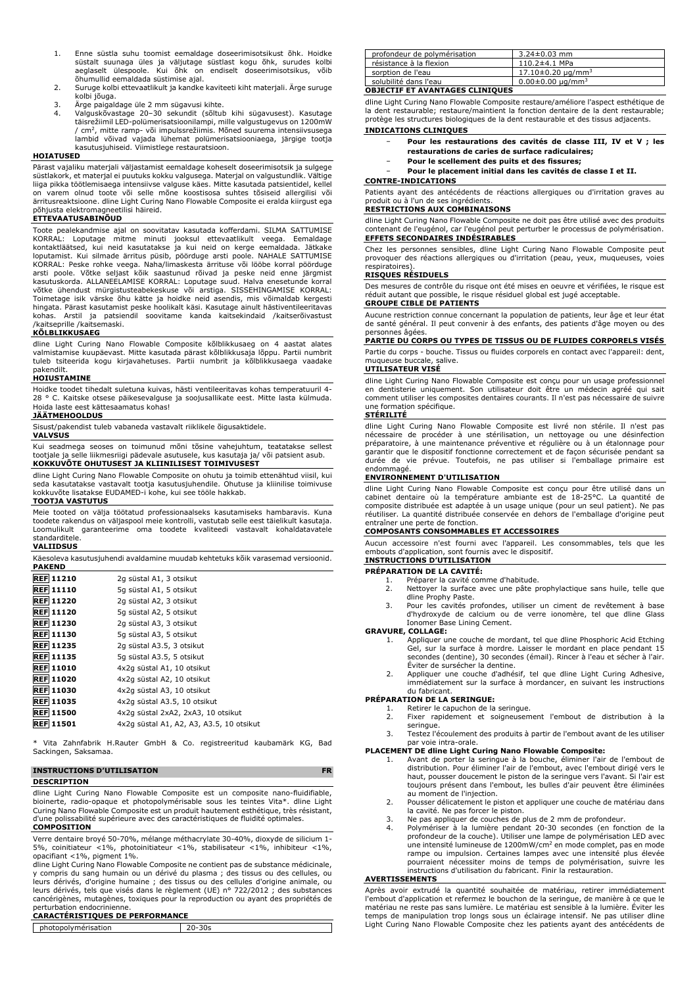- 1. Enne süstla suhu toomist eemaldage doseerimisotsikust õhk. Hoidke süstalt suunaga üles ja väljutage süstlast kogu õhk, surudes kolbi aeglaselt ülespoole. Kui õhk on endiselt doseerimisotsikus, võib õhumullid eemaldada süstimise ajal.
- 2. Suruge kolbi ettevaatlikult ja kandke kaviteeti kiht materjali. Ärge suruge kolbi jõuga.
- 3. Ärge paigaldage üle 2 mm sügavusi kihte.
- 4. Valguskõvastage 20–30 sekundit (sõltub kihi sügavusest). Kasutage täisrežiimil LED-polümerisatsioonilampi, mille valgustugevus on 1200mW / cm<sup>2</sup> , mitte ramp- või impulssrežiimis. Mõned suurema intensiivsusega lambid võivad vajada lühemat polümerisatsiooniaega, järgige tootja kasutusjuhiseid. Viimistlege restauratsioon.

## **HOIATUSED**

Pärast vajaliku materjali väljastamist eemaldage koheselt doseerimisotsik ja sulgege<br>süstlakork, et materjal ei puutuks kokku valgusega. Materjal on valgustundlik. Vältige<br>liiga pikka töötlemisaega intensiivse valguse käes on varem olnud toote või selle mõne koostisosa suhtes tõsiseid allergilisi või ärritusreaktsioone. dline Light Curing Nano Flowable Composite ei eralda kiirgust ega põhjusta elektromagneetilisi häireid.

### **ETTEVAATUSABINÕUD**

Toote pealekandmise ajal on soovitatav kasutada kofferdami. SILMA SATTUMISE KORRAL: Loputage mitme minuti jooksul ettevaatlikult veega. Eemaldage<br>kontaktläätsed, kui neid kasutatakse ja kui neid on kerge eemaldada. Jätkake<br>loputamist. Kui silmade ärritus püsib, pöörduge arsti poole. NAHALE SATTUMI arsti poole. Võtke seljast kõik saastunud rõivad ja peske neid enne järgmist kasutuskorda. ALLANEELAMISE KORRAL: Loputage suud. Halva enesetunde korral võtke ühendust mürgistusteabekeskuse või arstiga. SISSEHINGAMISE KORRAL: Toimetage isik värske õhu kätte ja hoidke neid asendis, mis võimaldab kergesti hingata. Pärast kasutamist peske hoolikalt käsi. Kasutage ainult hästiventileeritavas kohas. Arstil ja patsiendil soovitame kanda kaitsekindaid /kaitserõivastust /kaitseprille /kaitsemaski.

#### **KÕLBLIKKUSAEG**

dline Light Curing Nano Flowable Composite kõlblikkusaeg on 4 aastat alates valmistamise kuupäevast. Mitte kasutada pärast kõlblikkusaja lõppu. Partii numbrit tuleb tsiteerida kogu kirjavahetuses. Partii numbrit ja kõlblikkusaega vaadake pakendilt.

#### **HOIUSTAMINE**

Hoidke toodet tihedalt suletuna kuivas, hästi ventileeritavas kohas temperatuuril 4- 28 ° C. Kaitske otsese päikesevalguse ja soojusallikate eest. Mitte lasta külmuda. Hoida laste eest kättesaamatus kohas!

# **JÄÄTMEHOOLDUS**

Sisust/pakendist tuleb vabaneda vastavalt riiklikele õigusaktidele.

### **VALVSUS**

Kui seadmega seoses on toimunud mõni tõsine vahejuhtum, teatatakse sellest tootjale ja selle liikmesriigi pädevale asutusele, kus kasutaja ja/ või patsient asub. **KOKKUVÕTE OHUTUSEST JA KLIINILISEST TOIMIVUSEST**

dline Light Curing Nano Flowable Composite on ohutu ja toimib ettenähtud viisil, kui seda kasutatakse vastavalt tootja kasutusjuhendile. Ohutuse ja kliinilise toimivuse kokkuvõte lisatakse EUDAMED-i kohe, kui see tööle hakkab.

#### **TOOTJA VASTUTUS**

Meie tooted on välja töötatud professionaalseks kasutamiseks hambaravis. Kuna toodete rakendus on väljaspool meie kontrolli, vastutab selle eest täielikult kasutaja. Loomulikult garanteerime oma toodete kvaliteedi vastavalt kohaldatavatele standarditele.

#### **VALIIDSUS**

Käesoleva kasutusjuhendi avaldamine muudab kehtetuks kõik varasemad versioonid. **PAKEND**

| <b>REF 11210</b> | 2g süstal A1, 3 otsikut                  |
|------------------|------------------------------------------|
| <b>REF 11110</b> | 5g süstal A1, 5 otsikut                  |
| <b>REF 11220</b> | 2g süstal A2, 3 otsikut                  |
| <b>REF 11120</b> | 5g süstal A2, 5 otsikut                  |
| <b>REF 11230</b> | 2g süstal A3, 3 otsikut                  |
| <b>REF 11130</b> | 5g süstal A3, 5 otsikut                  |
| <b>REF 11235</b> | 2q süstal A3.5, 3 otsikut                |
| <b>REF 11135</b> | 5q süstal A3.5, 5 otsikut                |
| <b>REF 11010</b> | 4x2q süstal A1, 10 otsikut               |
| <b>REF 11020</b> | 4x2q süstal A2, 10 otsikut               |
| <b>REF 11030</b> | 4x2q süstal A3, 10 otsikut               |
| <b>REF 11035</b> | 4x2q süstal A3.5, 10 otsikut             |
| <b>REF 11500</b> | 4x2q süstal 2xA2, 2xA3, 10 otsikut       |
| <b>REF 11501</b> | 4x2q süstal A1, A2, A3, A3.5, 10 otsikut |
|                  |                                          |

\* Vita Zahnfabrik H.Rauter GmbH & Co. registreeritud kaubamärk KG, Bad Sackingen, Saksamaa.

### **INSTRUCTIONS D'UTILISATION FR DESCRIPTION**

dline Light Curing Nano Flowable Composite est un composite nano-fluidifiable, bioinerte, radio-opaque et photopolymérisable sous les teintes Vita\*. dline Light Curing Nano Flowable Composite est un produit hautement esthétique, très résistant, d'une polissabilité supérieure avec des caractéristiques de fluidité optimales. **COMPOSITION**

Verre dentaire broyé 50-70%, mélange méthacrylate 30-40%, dioxyde de silicium 1-<br>5%, coinitiateur <1%, photoinitiateur <1%, stabilisateur <1%, inhibiteur <1%. 5%, coinitiateur <1%, photoinitiateur <1%, stabilisateur <1%, inhibiteur <1%, opacifiant <1%, pigment 1%.

dline Light Curing Nano Flowable Composite ne contient pas de substance médicinale, y compris du sang humain ou un dérivé du plasma ; des tissus ou des cellules, ou<br>leurs dérivés, d'origine humaine ; des tissus ou des cellules d'origine animale, ou<br>leurs dérivés, tels que visés dans le règlement (UE) n° 7 cancérigènes, mutagènes, toxiques pour la reproduction ou ayant des propriétés de perturbation endocrinienne.

# **CARACTÉRISTIQUES DE PERFORMANCE**

photopolymérisation 20-30s

#### profondeur de polymérisation 3.24±0.03 mm  $r$ ésistance à la flexion<br>sorption de l'eau  $\begin{array}{|c|c|c|c|c|c|}\n\hline\n110.2±4.1 MPa\n\end{array}$ sorption de l'eau 17.10±0.20 μg/mm<sup>3</sup><br>solubilité dans l'eau  $17.10\pm0.20$  μg/mm<sup>3</sup>  $0.00 \pm 0.00$  µg/mm<sup>3</sup> **OBJECTIF ET AVANTAGES CLINIQUES**

dline Light Curing Nano Flowable Composite restaure/améliore l'aspect esthétique de la dent restaurable; restaure/maintient la fonction dentaire de la dent restaurable; protège les structures biologiques de la dent restaurable et des tissus adjacents. **INDICATIONS CLINIQUES**

- − **Pour les restaurations des cavités de classe III, IV et V ; les restaurations de caries de surface radiculaires;**
	- − **Pour le scellement des puits et des fissures;**
- − **Pour le placement initial dans les cavités de classe I et II.**

#### **CONTRE-INDICATIONS**

Patients ayant des antécédents de réactions allergiques ou d'irritation graves au produit ou à l'un de ses ingrédients.

# **RESTRICTIONS AUX COMBINAISONS**

dline Light Curing Nano Flowable Composite ne doit pas être utilisé avec des produits contenant de l'eugénol, car l'eugénol peut perturber le processus de polymérisation. **EFFETS SECONDAIRES INDÉSIRABLES**

Chez les personnes sensibles, dline Light Curing Nano Flowable Composite peut provoquer des réactions allergiques ou d'irritation (peau, yeux, muqueuses, voies respiratoires).

### **RISQUES RÉSIDUELS**

Des mesures de contrôle du risque ont été mises en oeuvre et vérifiées, le risque est réduit autant que possible, le risque résiduel global est jugé acceptable.

### **GROUPE CIBLE DE PATIENTS** Aucune restriction connue concernant la population de patients, leur âge et leur état

de santé général. Il peut convenir à des enfants, des patients d'âge moyen ou des personnes âgées.

# **PARTIE DU CORPS OU TYPES DE TISSUS OU DE FLUIDES CORPORELS VISÉS**

Partie du corps - bouche. Tissus ou fluides corporels en contact avec l'appareil: dent, muqueuse buccale, salive.

#### **UTILISATEUR VISÉ**

dline Light Curing Nano Flowable Composite est conçu pour un usage professionnel en dentisterie uniquement. Son utilisateur doit être un médecin agréé qui sait comment utiliser les composites dentaires courants. Il n'est pas nécessaire de suivre une formation spécifique.

#### **STÉRILITÉ**

dline Light Curing Nano Flowable Composite est livré non stérile. Il n'est pas<br>nécessaire de procéder à une stérilisation, un nettoyage ou une désinfection<br>préparatoire, à une maintenance préventive et régulière ou à un ét garantir que le dispositif fonctionne correctement et de façon sécurisée pendant sa durée de vie prévue. Toutefois, ne pas utiliser si l'emballage primaire est endommagé.

# **ENVIRONNEMENT D'UTILISATION**

dline Light Curing Nano Flowable Composite est conçu pour être utilisé dans un cabinet dentaire où la température ambiante est de 18-25°C. La quantité de composite distribuée est adaptée à un usage unique (pour un seul patient). Ne pas réutiliser. La quantité distribuée conservée en dehors de l'emballage d'origine peut entraîner une perte de fonction.

### **COMPOSANTS CONSOMMABLES ET ACCESSOIRES**

Aucun accessoire n'est fourni avec l'appareil. Les consommables, tels que les embouts d'application, sont fournis avec le dispositif. **INSTRUCTIONS D'UTILISATION**

- **PRÉPARATION DE LA CAVITÉ:**
	- 1. Préparer la cavité comme d'habitude.<br>2. Nettoyer la surface avec une pâte p 2. Nettoyer la surface avec une pâte prophylactique sans huile, telle que dline Prophy Paste.
	- 3. Pour les cavités profondes, utiliser un ciment de revêtement à base d'hydroxyde de calcium ou de verre ionomère, tel que dline Glass Ionomer Base Lining Cement.

#### **GRAVURE, COLLAGE:**

- Appliquer une couche de mordant, tel que dline Phosphoric Acid Etching Gel, sur la surface à mordre. Laisser le mordant en place pendant 15 secondes (dentine), 30 secondes (émail). Rincer à l'eau et sécher à l'air. Éviter de sursécher la dentine.
- 2. Appliquer une couche d'adhésif, tel que dline Light Curing Adhesive, immédiatement sur la surface à mordancer, en suivant les instructions du fabricant.

# **PRÉPARATION DE LA SERINGUE:**

- 1. Retirer le capuchon de la seringue. 2. Fixer rapidement et soigneusement l'embout de distribution à la seringue.
- 3. Testez l'écoulement des produits à partir de l'embout avant de les utiliser voie intra-orale

# **PLACEMENT DE dline Light Curing Nano Flowable Composite:**

- 1. Avant de porter la seringue à la bouche, éliminer l'air de l'embout de distribution. Pour éliminer l'air de l'embout, avec l'embout dirigé vers le haut, pousser doucement le piston de la seringue vers l'avant. Si l'air est toujours présent dans l'embout, les bulles d'air peuvent être éliminées au moment de l'injection.
- 2. Pousser délicatement le piston et appliquer une couche de matériau dans
- la cavité. Ne pas forcer le piston. 3. Ne pas appliquer de couches de plus de 2 mm de profondeur.
- 4. Polymériser à la lumière pendant 20-30 secondes (en fonction de la profondeur de la couche). Utiliser une lampe de polymérisation LED avec<br>une intensité lumineuse de 1200mW/cm<sup>2</sup> en mode complet, pas en mode rampe ou impulsion. Certaines lampes avec une intensité plus élevée pourraient nécessiter moins de temps de polymérisation, suivre les instructions d'utilisation du fabricant. Finir la restauration.

#### **AVERTISSEMENTS**

Après avoir extrudé la quantité souhaitée de matériau, retirer immédiatement l'embout d'application et refermez le bouchon de la seringue, de manière à ce que le matériau ne reste pas sans lumière. Le matériau est sensible à la lumière. Éviter les temps de manipulation trop longs sous un éclairage intensif. Ne pas utiliser dline Light Curing Nano Flowable Composite chez les patients ayant des antécédents de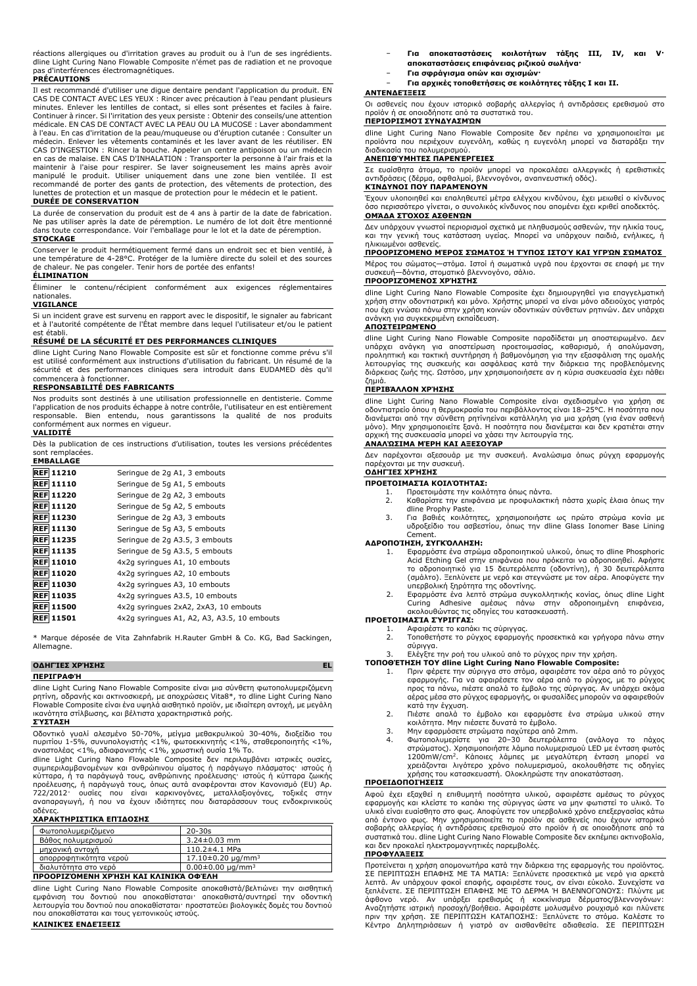| réactions allergiques ou d'irritation graves au produit ou à l'un de ses ingrédients. |
|---------------------------------------------------------------------------------------|
| dline Light Curing Nano Flowable Composite n'émet pas de radiation et ne provoque     |
| pas d'interférences électromagnétiques.                                               |

#### **PRÉCAUTIONS**

Il est recommandé d'utiliser une digue dentaire pendant l'application du produit. EN CAS DE CONTACT AVEC LES YEUX : Rincer avec précaution à l'eau pendant plusieurs minutes. Enlever les lentilles de contact, si elles sont présentes et faciles à faire. Continuer à rincer. Si l'irritation des yeux persiste : Obtenir des conseils/une attention médicale. EN CAS DE CONTACT AVEC LA PEAU OU LA MUCOSE : Laver abondamment à l'eau. En cas d'irritation de la peau/muqueuse ou d'éruption cutanée : Consulter un<br>médecin. Enlever les vêtements contaminés et les laver avant de les réutiliser. EN<br>CAS D'INGESTION : Rincer la bouche. Appeler un centre maintenir à l'aise pour respirer. Se laver soigneusement les mains après avoir<br>manipulé le produit. Utiliser uniquement dans une zone bien ventilée. Il est<br>recommandé de porter des gants de protection, des vêtements de pro lunettes de protection et un masque de protection pour le médecin et le patient.

#### **DURÉE DE CONSERVATION**

La durée de conservation du produit est de 4 ans à partir de la date de fabrication. Ne pas utiliser après la date de péremption. Le numéro de lot doit être mentionné dans toute correspondance. Voir l'emballage pour le lot et la date de péremption.

#### **STOCKAGE**

Conserver le produit hermétiquement fermé dans un endroit sec et bien ventilé, à une température de 4-28°C. Protéger de la lumière directe du soleil et des sources de chaleur. Ne pas congeler. Tenir hors de portée des enfants!

# **ÉLIMINATION**

Éliminer le contenu/récipient conformément aux exigences réglementaires nationales.

#### **VIGILANCE**

Si un incident grave est survenu en rapport avec le dispositif, le signaler au fabricant et à l'autorité compétente de l'État membre dans lequel l'utilisateur et/ou le patient est établi.

#### **RÉSUMÉ DE LA SÉCURITÉ ET DES PERFORMANCES CLINIQUES**

dline Light Curing Nano Flowable Composite est sûr et fonctionne comme prévu s'il est utilisé conformément aux instructions d'utilisation du fabricant. Un résumé de la sécurité et des performances cliniques sera introduit dans EUDAMED dès qu'il commencera à fonctionner.

### **RESPONSABILITÉ DES FABRICANTS**

Nos produits sont destinés à une utilisation professionnelle en dentisterie. Comme l'application de nos produits échappe à notre contrôle, l'utilisateur en est entièrement responsable. Bien entendu, nous garantissons la qualité de nos produits conformément aux normes en vigueur.

#### **VALIDITÉ**

Dès la publication de ces instructions d'utilisation, toutes les versions précédentes sont remplacées. **EMBALLAGE**

| EMBALLAGE           |                                             |
|---------------------|---------------------------------------------|
| <b>REF 11210</b>    | Seringue de 2g A1, 3 embouts                |
| <b>REF</b> 11110    | Seringue de 5g A1, 5 embouts                |
| <b>REF 11220</b>    | Seringue de 2g A2, 3 embouts                |
| <b>REF 11120</b>    | Seringue de 5g A2, 5 embouts                |
| <b>REF 11230</b>    | Seringue de 2g A3, 3 embouts                |
| <b>REF 11130</b>    | Seringue de 5q A3, 5 embouts                |
| <b>REF 11235</b>    | Seringue de 2g A3.5, 3 embouts              |
| <b>REF 11135</b>    | Seringue de 5q A3.5, 5 embouts              |
| <b>REF 11010</b>    | 4x2q syringues A1, 10 embouts               |
| <b>REF 11020</b>    | 4x2q syringues A2, 10 embouts               |
| <b>REF 11030</b>    | 4x2q syringues A3, 10 embouts               |
| <b>REF 11035</b>    | 4x2q syringues A3.5, 10 embouts             |
| <b>REF 11500</b>    | 4x2q syringues 2xA2, 2xA3, 10 embouts       |
| <b>REF</b><br>11501 | 4x2q syringues A1, A2, A3, A3.5, 10 embouts |
|                     |                                             |

\* Marque déposée de Vita Zahnfabrik H.Rauter GmbH & Co. KG, Bad Sackingen, Allemagne.

# **ΟΔΗΓΊΕΣ ΧΡΉΣΗΣ EL**

#### **ΠΕΡΙΓΡΑΦΉ**

dline Light Curing Nano Flowable Composite είναι μια σύνθετη φωτοπολυμεριζόμενη<br>ρητίνη, αδρανής και ακτινοσκιερή, με αποχρώσεις Vita8\*, το dline Light Curing Nano<br>Flowable Composite είναι ένα υψηλά αισθητικό προϊόν, με ιδ ικανότητα στίλβωσης, και βέλτιστα χαρακτηριστικά ροής. **ΣΎΣΤΑΣΗ**

Οδοντικό γυαλί αλεσμένο 50-70%, μείγμα μεθακρυλικού 30-40%, διοξείδιο του<br>πυριτίου 1-5%, συνυπολογιστής <1%, φωτοεκκινητής <1%, σταθεροποιητής <1%,<br>αναστολέας <1%, αδιαφανιστής <1%, χρωστική ουσία 1% Το.<br>αναστολέας <1%, α προέλευσης, ή παράγωγά τους, όπως αυτά αναφέρονται στον Κανονισμό (EU) Αρ.<br>722/2012 · ουσίες που είναι καρκινογόνες, μεταλλαξιογόνες, τοξικές στην<br>αναπαραγωγή, ή που να έχουν ιδιότητες που διαταράσσουν τους ενδοκρινικούς αδένες.

#### **ΧΑΡΑΚΤΗΡΙΣΤΙΚΆ ΕΠΊΔΟΣΗΣ**

| Φωτοπολυμεριζόμενο                                         | $20 - 30s$                |  |
|------------------------------------------------------------|---------------------------|--|
| Βάθος πολυμερισμού                                         | $3.24 \pm 0.03$ mm        |  |
| μηχανική αντοχή                                            | $110.2 \pm 4.1$ MPa       |  |
| απορροφητικότητα νερού                                     | $17.10\pm0.20 \mu q/mm^3$ |  |
| διαλυτότητα στο νερό<br>$0.00 \pm 0.00$ ug/mm <sup>3</sup> |                           |  |
| ΠΡΟΟΡΙΖΌΜΕΝΗ ΧΡΉΣΗ ΚΑΙ ΚΛΙΝΙΚΆ ΟΦΈΛΗ                       |                           |  |

dline Light Curing Nano Flowable Composite αποκαθιστά/βελτιώνει την αισθητική εμφάνιση του δοντιού που αποκαθίσταται· αποκαθιστά/συντηρεί την οδοντική λειτουργία του δοντιού που αποκαθίσταται· προστατεύει βιολογικές δομές του δοντιού που αποκαθίσταται και τους γειτονικούς ιστούς.

#### **ΚΛΙΝΙΚΈΣ ΕΝΔΕΊΞΕΙΣ**

- **Για αποκαταστάσεις κοιλοτήτων τάξης ΙΙΙ, ΙV, και αποκαταστάσεις επιφάνειας ριζικού σωλήνα·**
- − **Για σφράγισμα οπών και σχισμών·**
- − **Για αρχικές τοποθετήσεις σε κοιλότητες τάξης I και II.**

#### **ΑΝΤΕΝΔΕΊΞΕΙΣ**

Οι ασθενείς που έχουν ιστορικό σοβαρής αλλεργίας ή αντιδράσεις ερεθισμού στο προϊόν ή σε οποιοδήποτε από τα συστατικά του.

# **ΠΕΡΙΟΡΙΣΜΟΊ ΣΥΝΔΥΑΣΜΏΝ**

dline Light Curing Nano Flowable Composite δεν πρέπει να χρησιμοποιείται με προϊόντα που περιέχουν ευγενόλη, καθώς η ευγενόλη μπορεί να διαταράξει την διαδικασία του πολυμερισμού.

# **ΑΝΕΠΙΘΎΜΗΤΕΣ ΠΑΡΕΝΈΡΓΕΙΕΣ**

Σε ευαίσθητα άτομα, το προϊόν μπορεί να προκαλέσει αλλεργικές ή ερεθιστικές αντιδράσεις (δέρμα, οφθαλμοί, βλεννογόνοι, αναπνευστική οδός). **ΚΊΝΔΥΝΟΙ ΠΟΥ ΠΑΡΑΜΈΝΟΥΝ**

Έχουν υλοποιηθεί και επαληθευτεί μέτρα ελέγχου κινδύνου, έχει μειωθεί ο κίνδυνος όσο περισσότερο γίνεται, ο συνολικός κίνδυνος που απομένει έχει κριθεί αποδεκτός. **ΟΜΆΔΑ ΣΤΌΧΟΣ ΑΣΘΕΝΏΝ**

Δεν υπάρχουν γνωστοί περιορισμοί σχετικά με πληθυσμούς ασθενών, την ηλικία τους, και την γενική τους κατάσταση υγείας. Μπορεί να υπάρχουν παιδιά, ενήλικες, ή ηλικιωμένοι ασθενείς.

# **ΠΡΟΟΡΙΖΌΜΕΝΟ ΜΈΡΟΣ ΣΏΜΑΤΟΣ Ή ΤΎΠΟΣ ΙΣΤΟΎ ΚΑΙ ΥΓΡΏΝ ΣΏΜΑΤΟΣ**

Μέρος του σώματος—στόμα. Ιστοί ή σωματικά υγρά που έρχονται σε επαφή με την συσκευή—δόντια, στοματικό βλεννογόνο, σάλιο. **ΠΡΟΟΡΙΖΌΜΕΝΟΣ ΧΡΉΣΤΗΣ**

dline Light Curing Nano Flowable Composite έχει δημιουργηθεί για επαγγελματική χρήση στην οδοντιατρική και μόνο. Χρήστης μπορεί να είναι μόνο αδειούχος γιατρός που έχει γνώσει πάνω στην χρήση κοινών οδοντικών σύνθετων ρητινών. Δεν υπάρχει ανάγκη για συγκεκριμένη εκπαίδευση.

## **ΑΠΟΣΤΕΙΡΩΜΈΝΟ**

dline Light Curing Nano Flowable Composite παραδίδεται μη αποστειρωμένο. Δεν υπάρχει ανάγκη για αποστείρωση προετοιμασίας, καθαρισμό, ή απολύμανση,<br>προληπτική και τακτική συντήρηση ή βαθμονόμηση για την εξασφάλιση της ομαλής<br>λειτουργίας της συσκευής και ασφάλειας κατά την διάρκεια της προβλεπόμενη διάρκειας ζωής της. Ωστόσο, μην χρησιμοποιήσετε αν η κύρια συσκευασία έχει πάθει ζημιά.

## **ΠΕΡΙΒΆΛΛΟΝ ΧΡΉΣΗΣ**

dline Light Curing Nano Flowable Composite είναι σχεδιασμένο για χρήση σε<br>οδοντιατρείο όπου η θερμοκρασία του περιβάλλοντος είναι 18–25°C. Η ποσότητα που<br>διανέμεται από την σύνθετη ρητίνηείναι κατάλληλη για μια χρήση (για μόνο). Μην χρησιμοποιείτε ξανά. Η ποσότητα που διανέμεται και δεν κρατιέται στην αρχική της συσκευασία μπορεί να χάσει την λειτουργία της. **ΑΝΑΛΏΣΙΜΑ ΜΈΡΗ ΚΑΙ ΑΞΕΣΟΥΆΡ**

Δεν παρέχονται αξεσουάρ με την συσκευή. Αναλώσιμα όπως ρύγχη εφαρμογής παρέχονται με την συσκευή.

# **ΟΔΗΓΊΕΣ ΧΡΉΣΗΣ**

- **ΠΡΟΕΤΟΙΜΑΣΊΑ ΚΟΙΛΌΤΗΤΑΣ:** 1. Προετοιμάστε την κοιλότητα όπως πάντα. 2. Καθαρίστε την επιφάνεια με προφυλακτική πάστα χωρίς έλαια όπως την dline Prophy Paste.
	- 3. Για βαθιές κοιλότητες, χρησιμοποιήστε ως πρώτο στρώμα κονία με υδροξείδιο του ασβεστίου, όπως την dline Glass Ionomer Base Lining Cement.

#### **ΑΔΡΟΠΟΊΗΣΗ, ΣΥΓΚΌΛΛΗΣΗ:**

- 1. Εφαρμόστε ένα στρώμα αδροποιητικού υλικού, όπως το dline Phosphoric Acid Etching Gel στην επιφάνεια που πρόκειται να αδροποιηθεί. Αφήστε το αδροποιητικό για 15 δευτερόλεπτα (οδοντίνη), ή 30 δευτερόλεπτα (σμάλτο). Ξεπλύνετε με νερό και στεγνώστε με τον αέρα. Αποφύγετε την
- υπερβολική ξηρότητα της οδοντίνης. 2. Εφαρμόστε ένα λεπτό στρώμα συγκολλητικής κονίας, όπως dline Light Curing Adhesive αμέσως πάνω στην αδροποιημένη επιφάνεια, ακολουθώντας τις οδηγίες του κατασκευαστή.

# **ΠΡΟΕΤΟΙΜΑΣΊΑ ΣΎΡΙΓΓΑΣ:**

- 1. Αφαιρέστε το καπάκι τις σύριγγας.<br>2. Τοποθετήστε το ρύγχος εφαρμογι 2. Τοποθετήστε το ρύγχος εφαρμογής προσεκτικά και γρήγορα πάνω στην
- σύριγγα. 3. Ελέγξτε την ροή του υλικού από το ρύγχος πριν την χρήση.

- **TOΠOΘΈΤΗΣΗ TOY dline Light Curing Nano Flowable Composite:**<br>1. Πριν φέρετε την σύριγγα στο στόμα, αφαιρέστε τον αέρα από το ρύγχος<br>εφαρμογής. Για να αφαιρέσετε τον αέρα από το ρύγχος, με το ρύγχος<br>προς τα πάνω, πιέστε απ κατά την έγχυση.
	- 2. Πιέστε απαλά το έμβολο και εφαρμόστε ένα στρώμα υλικού στην κοιλότητα. Μην πιέσετε δυνατά το έμβολο.
	-
	- 3. Μην εφαρμόσετε στρώματα παχύτερα από 2mm. 4. Φωτοπολυμερίστε για 20–30 δευτερόλεπτα (ανάλογα το πάχος στρώματος). Χρησιμοποιήστε λάμπα πολυμερισμού LED με ένταση φωτός 1200mW/cm<sup>2</sup> . Κάποιες λάμπες με μεγαλύτερη ένταση μπορεί να χρειάζονται λιγότερο χρόνο πολυμερισμού, ακολουθήστε τις οδηγίες χρήσης του κατασκευαστή. Ολοκληρώστε την αποκατάσταση.

# **ΠΡΟΕΙΔΟΠΟΙΉΣΕΙΣ**

Αφού έχει εξαχθεί η επιθυμητή ποσότητα υλικού, αφαιρέστε αμέσως το ρύγχος εφαρμογής και κλείστε το καπάκι της σύριγγας ώστε να μην φωτιστεί το υλικό. Το υλικό είναι ευαίσθητο στο φως. Αποφύγετε τον υπερβολικό χρόνο επεξεργασίας κάτω από έντονο φως. Μην χρησιμοποιείτε το προϊόν σε ασθενείς που έχουν ιστορικό σοβαρής αλλεργίας ή αντιδράσεις ερεθισμού στο προϊόν ή σε οποιοδήποτε από τα συστατικά του. dline Light Curing Nano Flowable Composite δεν εκπέμπει ακτινοβολία, και δεν προκαλεί ηλεκτρομαγνητικές παρεμβολές.

#### **ΠΡΟΦΥΛΆΞΕΙΣ**

Προτείνεται η χρήση απομονωτήρα κατά την διάρκεια της εφαρμογής του προϊόντος. ΣΕ ΠΕΡΙΠΤΩΣΗ ΕΠΑΦΗΣ ΜΕ ΤΑ ΜΑΤΙΑ: Ξεπλύνετε προσεκτικά με νερό για αρκετά λεπτά. Αν υπάρχουν φακοί επαφής, αφαιρέστε τους, αν είναι εύκολο. Συνεχίστε να ξεπλένετε. ΣΕ ΠΕΡΙΠΤΩΣΗ ΕΠΑΦΗΣ ΜΕ ΤΟ ΔΕΡΜΑ Ή ΒΛΕΝΝΟΓΟΝΟΥΣ: Πλύντε με άφθονο νερό. Αν υπάρξει ερεθισμός ή κοκκίνισμα δέρματος/βλεννογόνων: Αναζητήστε ιατρική προσοχή/βοήθεια. Αφαιρέστε μολυσμένο ρουχισμό και πλύνετε πριν την χρήση. ΣΕ ΠΕΡΙΠΤΩΣΗ ΚΑΤΑΠΟΣΗΣ: Ξεπλύνετε το στόμα. Καλέστε το Κέντρο Δηλητηριάσεων ή γιατρό αν αισθανθείτε αδιαθεσία. ΣΕ ΠΕΡΙΠΤΩΣΗ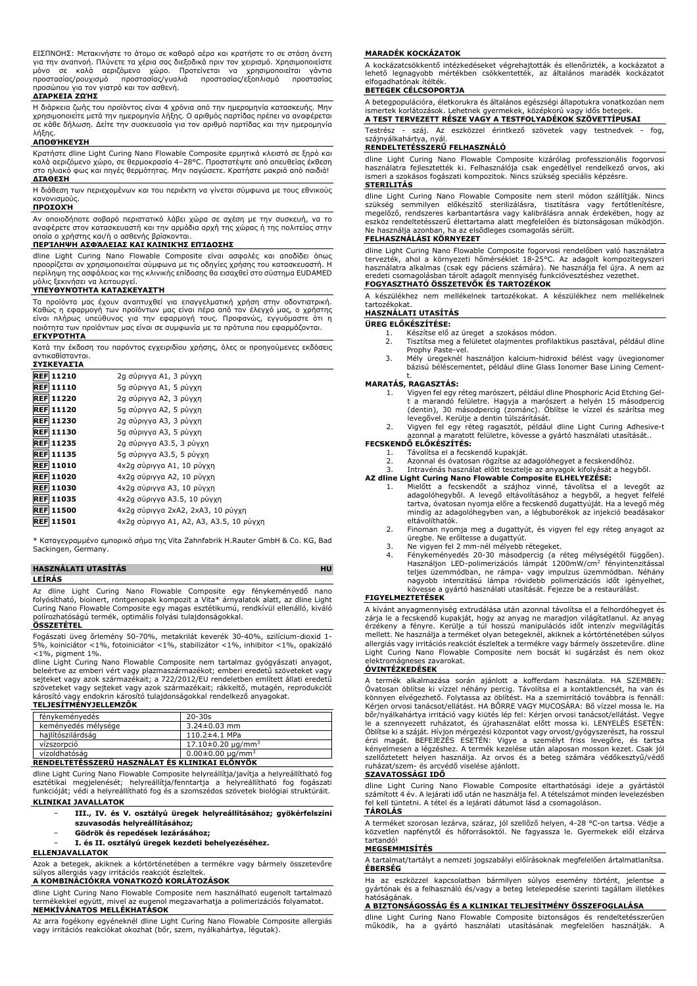ΕΙΣΠΝΟΗΣ: Μετακινήστε το άτομο σε καθαρό αέρα και κρατήστε το σε στάση άνετη<br>για την αναπνοή. Πλύνετε τα χέρια σας διεξοδικά πριν τον χειρισμό. Χρησιμοποιείστε<br>μόνο σε καλά αεριζόμενο χώρο. Προτείνεται να χρ προστασίας/ρουχισμό προστασίας/γυαλιά προστασίας/εξοπλισμό προστασίας προσώπου για τον γιατρό και τον ασθενή.

#### **ΔΙΆΡΚΕΙΑ ΖΩΉΣ**

Η διάρκεια ζωής του προϊόντος είναι 4 χρόνια από την ημερομηνία κατασκευής. Μην<br>χρησιμοποιείτε μετά την ημερομηνία λήξης. Ο αριθμός παρτίδας πρέπει να αναφέρεται<br>σε κάθε δήλωση. Δείτε την συσκευασία για τον αριθμό παρτίδα λήξης.

#### **ΑΠΟΘΉΚΕΥΣΗ**

Κρατήστε dline Light Curing Nano Flowable Composite ερμητικά κλειστό σε ξηρό και καλά αεριζόμενο χώρο, σε θερμοκρασία 4–28°C. Προστατέψτε από απευθείας έκθεση στο ηλιακό φως και πηγές θερμότητας. Μην παγώσετε. Κρατήστε μακριά από παιδιά! **ΔΙΆΘΕΣΗ**

Η διάθεση των περιεχομένων και του περιέκτη να γίνεται σύμφωνα με τους εθνικούς κανονισμούς.

# **ΠΡΟΣΟΧΉ**

Αν οποιοδήποτε σοβαρό περιστατικό λάβει χώρα σε σχέση με την συσκευή, να το αναφέρετε στον κατασκευαστή και την αρμόδια αρχή της χώρας ή της πολιτείας στην οποία ο χρήστης και/ή ο ασθενής βρίσκονται.

#### **ΠΕΡΊΛΗΨΗ ΑΣΦΆΛΕΙΑΣ ΚΑΙ ΚΛΙΝΙΚΉΣ ΕΠΊΔΟΣΗΣ**

dline Light Curing Nano Flowable Composite είναι ασφαλές και αποδίδει όπως προορίζεται αν χρησιμοποιείται σύμφωνα με τις οδηγίες χρήσης του κατασκευαστή. Η περίληψη της ασφάλειας και της κλινικής επίδοσης θα εισαχθεί στο σύστημα EUDAMED μόλις ξεκινήσει να λειτουργεί.

### **ΥΠΕΥΘΥΝΌΤΗΤΑ ΚΑΤΑΣΚΕΥΑΣΤΉ**

Τα προϊόντα μας έχουν αναπτυχθεί για επαγγελματική χρήση στην οδοντιατρική. Καθώς η εφαρμογή των προϊόντων μας είναι πέρα από τον έλεγχό μας, ο χρήστης είναι πλήρως υπεύθυνος για την εφαρμογή τους. Προφανώς, εγγυόμαστε ότι η ποιότητα των προϊόντων μας είναι σε συμφωνία με τα πρότυπα που εφαρμόζονται. **ΕΓΚΥΡΌΤΗΤΑ**

Κατά την έκδοση του παρόντος εγχειριδίου χρήσης, όλες οι προηγούμενες εκδόσεις αντικαθίστανται. **ΣΥΣΚΕΥΑΣΊΑ**

| <u>.</u>         |                                         |
|------------------|-----------------------------------------|
| <b>REF 11210</b> | 2g σύριγγα A1, 3 ρύγχη                  |
| <b>REF 11110</b> | 5g σύριγγα A1, 5 ρύγχη                  |
| <b>REF 11220</b> | 2g σύριγγα A2, 3 ρύγχη                  |
| <b>REF 11120</b> | 5g σύριγγα A2, 5 ρύγχη                  |
| <b>REF 11230</b> | 2g σύριγγα A3, 3 ρύγχη                  |
| <b>REF 11130</b> | 5g σύριγγα A3, 5 ρύγχη                  |
| <b>REF 11235</b> | 2g σύριγγα A3.5, 3 ρύγχη                |
| <b>REF 11135</b> | 5g σύριγγα A3.5, 5 ρύγχη                |
| <b>REF 11010</b> | 4x2g σύριγγα A1, 10 ρύγχη               |
| <b>REF 11020</b> | 4x2g σύριγγα A2, 10 ρύγχη               |
| <b>REF 11030</b> | 4x2g σύριγγα A3, 10 ρύγχη               |
| <b>REF 11035</b> | 4x2g σύριγγα A3.5, 10 ρύγχη             |
| <b>REF 11500</b> | 4x2g σύριγγα 2xA2, 2xA3, 10 ρύγχη       |
| <b>REF 11501</b> | 4x2g σύριγγα A1, A2, A3, A3.5, 10 ρύγχη |
|                  |                                         |

\* Καταγεγραμμένο εμπορικό σήμα της Vita Zahnfabrik H.Rauter GmbH & Co. KG, Bad Sackingen, Germany.

#### **HASZNÁLATI UTASÍTÁS HU LEÍRÁS**

Az dline Light Curing Nano Flowable Composite egy fénykeményedő nano<br>folyósítható, bioinert, röntgenopak kompozit a Vita\* árnyalatok alatt, az dline Light<br>Curing Nano-Flowable-Composite-egy-magas-esztétikumú, rendkívül ell polírozhatóságú termék, optimális folyási tulajdonságokkal.

# **ÖSSZETÉTEL**

Fogászati üveg őrlemény 50-70%, metakrilát keverék 30-40%, szilícium-dioxid 1- 5%, koiniciátor <1%, fotoiniciátor <1%, stabilizátor <1%, inhibitor <1%, opakizáló <1%, pigment 1%.

dline Light Curing Nano Flowable Composite nem tartalmaz gyógyászati anyagot, beleértve az emberi vért vagy plazmaszármazékot; emberi eredetű szöveteket vagy sejteket vagy azok származékait; a 722/2012/EU rendeletben említett állati eredetű szöveteket vagy sejteket vagy azok származékait; rákkeltő, mutagén, reprodukciót<br>károsító vagy endokrin károsító tulajdonságokkal rendelkező anyagokat.<br>**TELJESÍTMÉNYJELLEMZŐK** 

| fénykeményedés                                 | $20 - 30s$                  |  |
|------------------------------------------------|-----------------------------|--|
| keményedés mélysége                            | $3.24 \pm 0.03$ mm          |  |
| hailítószilárdság                              | $110.2 \pm 4.1$ MPa         |  |
| vízszorpció                                    | $17.10 \pm 0.20 \mu q/mm^3$ |  |
| vízoldhatóság                                  | $0.00 \pm 0.00 \mu q/mm^3$  |  |
| RENDELTETÉSSZERŰ HASZNÁLAT ÉS KLINIKAI ELŐNYÖK |                             |  |

dline Light Curing Nano Flowable Composite helyreállítja/javítja a helyreállítható fog<br>esztétikai megjelenését; helyreállítja/fenntartja a helyreállítható fog fogászati<br>funkcióját; védi a helyreállítható fog és a szo **KLINIKAI JAVALLATOK**

- − **III., IV. és V. osztályú üregek helyreállításához; gyökérfelszíni**
- **szuvasodás helyreállításához;**
- − **Gödrök és repedések lezárásához;**
- − **I. és II. osztályú üregek kezdeti behelyezéséhez.**

# **ELLENJAVALLATOK**

Azok a betegek, akiknek a kórtörténetében a termékre vagy bármely összetevőre súlyos allergiás vagy irritációs reakciót észleltek.

# **A KOMBINÁCIÓKRA VONATKOZÓ KORLÁTOZÁSOK**

dline Light Curing Nano Flowable Composite nem használható eugenolt tartalmazó termékekkel együtt, mivel az eugenol megzavarhatja a polimerizációs folyamatot. **NEMKÍVÁNATOS MELLÉKHATÁSOK**

Az arra fogékony egyéneknél dline Light Curing Nano Flowable Composite allergiás vagy irritációs reakciókat okozhat (bőr, szem, nyálkahártya, légutak).

#### **MARADÉK KOCKÁZATOK**

A kockázatcsökkentő intézkedéseket végrehajtották és ellenőrizték, a kockázatot a lehető legnagyobb mértékben csökkentették, az általános maradék kockázatot elfogadhatónak ítélték.

#### **BETEGEK CÉLCSOPORTJA**

A betegpopulációra, életkorukra és általános egészségi állapotukra vonatkozóan nem ismertek korlátozások. Lehetnek gyermekek, középkorú vagy idős betegek.

**A TEST TERVEZETT RÉSZE VAGY A TESTFOLYADÉKOK SZÖVETTÍPUSAI**

Testrész - száj. Az eszközzel érintkező szövetek vagy testnedvek - fog, szájnyálkahártya, nyál.

# **RENDELTETÉSSZERŰ FELHASZNÁLÓ**

dline Light Curing Nano Flowable Composite kizárólag professzionális fogorvosi használatra fejlesztették ki. Felhasználója csak engedéllyel rendelkező orvos, aki ismeri a szokásos fogászati kompozitok. Nincs szükség speciális képzésre. **STERILITÁS**

dline Light Curing Nano Flowable Composite nem steril modon szallitják. Nincs<br>szükség semmilyen előkészítő sterilizálásra, tisztításra vagy fertőtlenítésre,<br>megelőző, rendszeres karbantartásra vagy kalibrálásra annak érdek eszköz rendeltetésszerű élettartama alatt megfelelően és biztonságosan működjön.<br>Ne használja azonban, ha az elsődleges csomagolás sérült.<br>**FELHASZNÁLÁSI KÖRNYEZET** 

dline Light Curing Nano Flowable Composite fogorvosi rendelőben való használatra tervezték, ahol a környezeti hömérséklet 18-25°C. Az adagolt kompozitegyszeri<br>használatra alkalmas (csak egy páciens számára). Ne használja fel újra. A nem az<br>eredeti csomagolásban tárolt adagolt mennyiség funkcióvesztéshe

### **FOGYASZTHATÓ ÖSSZETEVŐK ÉS TARTOZÉKOK**

A készülékhez nem mellékelnek tartozékokat. A készülékhez nem mellékelnek tartozékokat.

# **HASZNÁLATI UTASÍTÁS**

- **ÜREG ELŐKÉSZÍTÉSE:**
	- 1. Készítse elő az üreget a szokásos módon. 2. Tisztítsa meg a felületet olajmentes profilaktikus pasztával, például dline
	- Prophy Paste-vel. 3. Mély üregeknél használjon kalcium-hidroxid bélést vagy üvegionomer bázisú béléscementet, például dline Glass Ionomer Base Lining Cement-

# t. **MARATÁS, RAGASZTÁS:**

- 1. Vigyen fel egy réteg marószert, például dline Phosphoric Acid Etching Gel-t a marandó felületre. Hagyja a marószert a helyén 15 másodpercig (dentin), 30 másodpercig (zománc). Öblítse le vízzel és szárítsa meg
- levegővel. Kerülje a dentin túlszárítását. 2. Vigyen fel egy réteg ragasztót, például dline Light Curing Adhesive-t azonnal a maratott felületre, kövesse a gyártó használati utasítását..

# **FECSKENDŐ ELŐKÉSZÍTÉS:**

- 
- 1. Távolítsa el a fecskendő kupakját. 2. Azonnal és óvatosan rögzítse az adagolóhegyet a fecskendőhöz.
- 3. Intravénás használat előtt tesztelje az anyagok kifolyását a hegyből.

- **AZ dline Light Curing Nano Flowable Composite ELHELYEZESE:**<br>1. Mielőtt a fecskendőt a szájhoz vinné, távolítsa el a levegőt az<br>adagolóhegyből. A levegő eltávolításához a hegyből, a hegyet felfelé<br>tartva, óvatosan nyomja e mindig az adagolóhegyben van, a légbuborékok az injekció beadásakor eltávolíthatók.
	- 2. Finoman nyomja meg a dugattyút, és vigyen fel egy réteg anyagot az
	-
	- üregbe. Ne erőltesse a dugattyút.<br>3. Ne vigyen fel 2 mm-nél mélyebb rétegeket.<br>4. Fénykeményedés 20-30 másodpercig (a réteg-mélységétől függően).<br>Használjon LED-polimerizációs lámpát 1200mW/cm<sup>2</sup> fényintenzitással<br>telj nagyobb intenzitású lámpa rövidebb polimerizációs időt igényelhet, kövesse a gyártó használati utasítását. Fejezze be a restaurálást.

# **FIGYELMEZTETÉSEK**

A kívánt anyagmennyiség extrudálása után azonnal távolítsa el a felhordóhegyet és zárja le a fecskendő kupakját, hogy az anyag ne maradjon világítatlanul. Az anyag<br>érzékeny a fényre. Kerülje a túl hosszú manipulációs időt intenzív megvilágítás<br>mellett. Ne használja a terméket olyan betegeknél, akiknek a allergiás vagy irritációs reakciót észleltek a termékre vagy bármely összetevőre. dline Light Curing Nano Flowable Composite nem bocsát ki sugárzást és nem okoz elektromágneses zavarokat.

#### **ÓVINTÉZKEDÉSEK**

A termék alkalmazása során ajánlott a kofferdam használata. HA SZEMBEN: Ovatosan öblítse ki vízzel néhány percig. Távolítsa el a kontaktlencsét, ha van és<br>könnyen elvégezhető. Folytassa az öblítést. Ha a szemirritáció továbbra is fennáll:<br>Kérjen orvosi tanácsot/ellátást. HA BŐRRE VAGY MUCOSÁRA bőr/nyálkahártya irritáció vagy kiütés lép fel: Kérjen orvosi tanácsot/ellátást. Vegye le a szennyezett ruházatot, és újrahasználat előtt mossa ki. LENYELÉS ESETÉN: Öblítse ki a száját. Hívjon mérgezési központot vagy orvost/gyógyszerészt, ha rosszul érzi magát. BEFEJEZÉS ESETÉN: Vigye a személyt friss levegőre, és tartsa kényelmesen a légzéshez. A termék kezelése után alaposan mosson kezet. Csak jól szellőztetett helyen használja. Az orvos és a beteg számára védőkesztyű/védő ruházat/szem- és arcvédő viselése ajánlott.

### **SZAVATOSSÁGI IDŐ**

dline Light Curing Nano Flowable Composite eltarthatósági ideje a gyártástól számított 4 év. A lejárati idő után ne használja fel. A tételszámot minden levelezésben fel kell tüntetni. A tétel és a lejárati dátumot lásd a csomagoláson. **TÁROLÁS**

# A terméket szorosan lezárva, száraz, jól szellőző helyen, 4-28 °C-on tartsa. Védje a közvetlen napfénytől és hőforrásoktól. Ne fagyassza le. Gyermekek elől elzárva tartandó!

### **MEGSEMMISÍTÉS**

A tartalmat/tartályt a nemzeti jogszabályi előírásoknak megfelelően ártalmatlanítsa. **ÉBERSÉG**

Ha az eszközzel kapcsolatban bármilyen súlyos esemény történt, jelentse a gyártónak és a felhasználó és/vagy a beteg letelepedése szerinti tagállam illetékes hatóságának.

## **A BIZTONSÁGOSSÁG ÉS A KLINIKAI TELJESÍTMÉNY ÖSSZEFOGLALÁSA**

dline Light Curing Nano Flowable Composite biztonságos és rendeltetésszerűen működik, ha a gyártó használati utasításának megfelelően használják. A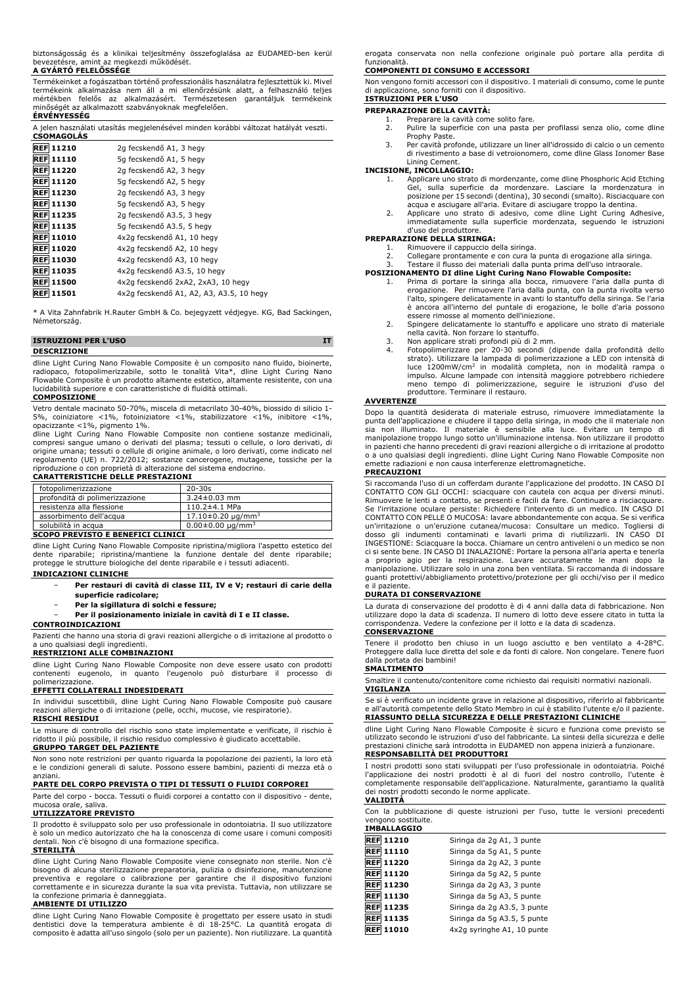biztonságosság és a klinikai teljesítmény összefoglalása az EUDAMED-ben kerül bevezetésre, amint az megkezdi működését. **A GYÁRTÓ FELELŐSSÉGE**

Termékeinket a fogászatban történő professzionális használatra fejlesztettük ki. Mivel termékeink alkalmazása nem áll a mi ellenőrzésünk alatt, a felhasználó teljes mértékben felelős az alkalmazásért. Természetesen garantáljuk termékeink minőségét az alkalmazott szabványoknak megfelelően. **ÉRVÉNYESSÉG**

jelen használati utasítás megjelenésével minden korábbi változat hatályát veszti. **CSOMAGOLÁS**

| <b>REF 11210</b>    | 2g fecskendő A1, 3 hegy                  |
|---------------------|------------------------------------------|
| <b>REF 11110</b>    | 5q fecskendő A1, 5 hegy                  |
| <b>REF 11220</b>    | 2g fecskendő A2, 3 hegy                  |
| <b>REF 11120</b>    | 5g fecskendő A2, 5 hegy                  |
| <b>REF 11230</b>    | 2g fecskendő A3, 3 hegy                  |
| <b>REF 11130</b>    | 5g fecskendő A3, 5 hegy                  |
| <b>REF 11235</b>    | 2g fecskendő A3.5, 3 hegy                |
| <b>REF 11135</b>    | 5g fecskendő A3.5, 5 hegy                |
| <b>REF 11010</b>    | 4x2q fecskendő A1, 10 hegy               |
| <b>REF 11020</b>    | 4x2q fecskendő A2, 10 hegy               |
| <b>REF 11030</b>    | 4x2q fecskendő A3, 10 hegy               |
| <b>REF 11035</b>    | 4x2q fecskendő A3.5, 10 hegy             |
| <b>REF 11500</b>    | 4x2q fecskendő 2xA2, 2xA3, 10 hegy       |
| <b>REF</b><br>11501 | 4x2q fecskendő A1, A2, A3, A3.5, 10 hegy |

\* A Vita Zahnfabrik H.Rauter GmbH & Co. bejegyzett védjegye. KG, Bad Sackingen, Németország.

| <b>ISTRUZIONI PER L'USO</b> |  |
|-----------------------------|--|
| <b>DESCRIZIONE</b>          |  |

dline Light Curing Nano Flowable Composite è un composito nano fluido, bioinerte, radiopaco, fotopolimerizzabile, sotto le tonalità Vita\*, dline Light Curing Nano Flowable Composite è un prodotto altamente estetico, altamente resistente, con una lucidabilità superiore e con caratteristiche di fluidità ottimali.

### **COMPOSIZIONE**

Vetro dentale macinato 50-70%, miscela di metacrilato 30-40%, biossido di silicio 1- 5%, coiniziatore <1%, fotoiniziatore <1%, stabilizzatore <1%, inibitore <1%,

opacizzante <1%, pigmento 1%. dline Light Curing Nano Flowable Composite non contiene sostanze medicinali, compresi sangue umano o derivati del plasma; tessuti o cellule, o loro derivati, di origine umana; tessuti o cellule di origine animale, o loro derivati, come indicato nel regolamento (UE) n. 722/2012; sostanze cancerogene, mutagene, tossiche per la riproduzione o con proprietà di alterazione del sistema endocrino.

# **CARATTERISTICHE DELLE PRESTAZIONI**

| fotopolimerizzazione              | $20 - 30s$                 |
|-----------------------------------|----------------------------|
| profondità di polimerizzazione    | $3.24 \pm 0.03$ mm         |
| resistenza alla flessione         | $110.2 \pm 4.1$ MPa        |
| assorbimento dell'acqua           | $17.10\pm0.20 \mu q/mm^3$  |
| solubilità in acqua               | $0.00 \pm 0.00 \mu q/mm^3$ |
| COODO BREVICEO E BENEFICI OLIMICI |                            |

#### **SCOPO PREVISTO E BENEFICI CLINICI**

dline Light Curing Nano Flowable Composite ripristina/migliora l'aspetto estetico del dente riparabile; ripristina/mantiene la funzione dentale del dente riparabile; protegge le strutture biologiche del dente riparabile e i tessuti adiacenti.

# **INDICAZIONI CLINICHE**

- − **Per restauri di cavità di classe III, IV e V; restauri di carie della superficie radicolare;**
- − **Per la sigillatura di solchi e fessure;**
- − **Per il posizionamento iniziale in cavità di I e II classe.**

## **CONTROINDICAZIONI**

Pazienti che hanno una storia di gravi reazioni allergiche o di irritazione al prodotto o a uno qualsiasi degli ingredienti.

# **RESTRIZIONI ALLE COMBINAZIONI**

dline Light Curing Nano Flowable Composite non deve essere usato con prodotti contenenti eugenolo, in quanto l'eugenolo può disturbare il processo di polimerizzazione. **EFFETTI COLLATERALI INDESIDERATI**

In individui suscettibili, dline Light Curing Nano Flowable Composite può causare reazioni allergiche o di irritazione (pelle, occhi, mucose, vie respiratorie). **RISCHI RESIDUI**

Le misure di controllo del rischio sono state implementate e verificate, il rischio è ridotto il più possibile, il rischio residuo complessivo è giudicato accettabile.

# **GRUPPO TARGET DEL PAZIENTE**

Non sono note restrizioni per quanto riguarda la popolazione dei pazienti, la loro età e le condizioni generali di salute. Possono essere bambini, pazienti di mezza età o anziani.

# **PARTE DEL CORPO PREVISTA O TIPI DI TESSUTI O FLUIDI CORPOREI**

Parte del corpo - bocca. Tessuti o fluidi corporei a contatto con il dispositivo - dente, mucosa orale, saliva. **UTILIZZATORE PREVISTO**

Il prodotto è sviluppato solo per uso professionale in odontoiatria. Il suo utilizzatore è solo un medico autorizzato che ha la conoscenza di come usare i comuni compositi dentali. Non c'è bisogno di una formazione specifica.

#### **STERILITÀ**

dline Light Curing Nano Flowable Composite viene consegnato non sterile. Non c'è bisogno di alcuna sterilizzazione preparatoria, pulizia o disinfezione, manutenzione preventiva e regolare o calibrazione per garantire che il dispositivo funzioni correttamente e in sicurezza durante la sua vita prevista. Tuttavia, non utilizzare se la confezione primaria è danneggiata. **AMBIENTE DI UTILIZZO**

dline Light Curing Nano Flowable Composite è progettato per essere usato in studi dentistici dove la temperatura ambiente è di 18-25°C. La quantità erogata di composito è adatta all'uso singolo (solo per un paziente). Non riutilizzare. La quantità erogata conservata non nella confezione originale può portare alla perdita di funzionalità.

### **COMPONENTI DI CONSUMO E ACCESSORI**

Non vengono forniti accessori con il dispositivo. I materiali di consumo, come le punte di applicazione, sono forniti con il dispositivo. **ISTRUZIONI PER L'USO**

**PREPARAZIONE DELLA CAVITÀ:**

- 1. Preparare la cavità come solito fare.<br>2. Pulire la superficie con una pasta p Pulire la superficie con una pasta per profilassi senza olio, come dline Prophy Paste.
- 3. Per cavità profonde, utilizzare un liner all'idrossido di calcio o un cemento di rivestimento a base di vetroionomero, come dline Glass Ionomer Base Lining Cement.

#### **INCISIONE, INCOLLAGGIO:**

- 1. Applicare uno strato di mordenzante, come dline Phosphoric Acid Etching Gel, sulla superficie da mordenzare. Lasciare la mordenzatura in posizione per 15 secondi (dentina), 30 secondi (smalto). Risciacquare con acqua e asciugare all'aria. Evitare di asciugare troppo la dentina.
- 2. Applicare uno strato di adesivo, come dline Light Curing Adhesive, immediatamente sulla superficie mordenzata, seguendo le istruzioni d'uso del produttore.

#### **PREPARAZIONE DELLA SIRINGA:**

- 
- 1. Rimuovere il cappuccio della siringa.<br>2. Collegare prontamente e con cura la punta di erogazione alla siringa.<br>3. Testare il flusso dei materiali dalla punta prima dell'uso intraorale.

- **POSIZIONAMENTO DI dline Light Curing Nano Flowable Composite:** 1. Prima di portare la siringa alla bocca, rimuovere l'aria dalla punta di erogazione. Per rimuovere l'aria dalla punta, con la punta rivolta verso l'alto, spingere delicatamente in avanti lo stantuffo della siringa. Se l'aria è ancora all'interno del puntale di erogazione, le bolle d'aria possono essere rimosse al momento dell'iniezione.
	- 2. Spingere delicatamente lo stantuffo e applicare uno strato di materiale nella cavità. Non forzare lo stantuffo.
	-
	- 3. Non applicare strati profondi più di 2 mm.<br>4. Fotopolimerizzare per 20-30 secondi (dipende dalla profondità dello<br> strato). Utilizzare la lampada di polimerizzazione a LED con intensità di luce 1200mW/cm<sup>2</sup> in modalità completa, non in modalità rampa o<br>impulso. Alcune lampade con intensità maggiore potrebbero richiedere<br>meno tempo di polimerizzazione, seguire le istruzioni d'uso del produttore. Terminare il restauro.

#### **AVVERTENZE**

Dopo la quantità desiderata di materiale estruso, rimuovere immediatamente la<br>punta dell'applicazione e chiudere il tappo della siringa, in modo che il materiale non<br>sia non illuminato. Il materiale è esnsibile alla luce. emette radiazioni e non causa interferenze elettromagnetiche.

#### **PRECAUZIONI**

Si raccomanda l'uso di un cofferdam durante l'applicazione del prodotto. IN CASO DI CONTATTO CON GLI OCCHI: sciacquare con cautela con acqua per diversi minuti.<br>Rimuovere le lenti a contatto, se presenti e facili da fare. Continuare a risciacquare.<br>Se l'irritazione oculare persiste: Richiedere l'intervent CONTATTO CON PELLE O MUCOSA: lavare abbondantemente con acqua. Se si verifica un'irritazione o un'eruzione cutanea/mucosa: Consultare un medico. Togliersi di<br>dosso gli indumenti contaminati e lavarli prima di riutilizzarli. IN CASO DI<br>INGESTIONE: Sciacquarelabocca.Chiamare.un.centro.antiveleni.o.un. ci si sente bene. IN CASO DI INALAZIONE: Portare la persona all'aria aperta e tenerla a proprio agio per la respirazione. Lavare accuratamente le mani dopo la manipolazione. Utilizzare solo in una zona ben ventilata. Si raccomanda di indossare guanti protettivi/abbigliamento protettivo/protezione per gli occhi/viso per il medico e il paziente.

### **DURATA DI CONSERVAZIONE**

La durata di conservazione del prodotto è di 4 anni dalla data di fabbricazione. Non utilizzare dopo la data di scadenza. Il numero di lotto deve essere citato in tutta la corrispondenza. Vedere la confezione per il lotto e la data di scadenza.

## **CONSERVAZIONE**

Tenere il prodotto ben chiuso in un luogo asciutto e ben ventilato a 4-28°C. Proteggere dalla luce diretta del sole e da fonti di calore. Non congelare. Tenere fuori dalla portata dei bambini!

## **SMALTIMENTO**

Smaltire il contenuto/contenitore come richiesto dai requisiti normativi nazionali. **VIGILANZA**

Se si è verificato un incidente grave in relazione al dispositivo, riferirlo al fabbricante e all'autorità competente dello Stato Membro in cui è stabilito l'utente e/o il paziente. **RIASSUNTO DELLA SICUREZZA E DELLE PRESTAZIONI CLINICHE**

dline Light Curing Nano Flowable Composite è sicuro e funziona come previsto se utilizzato secondo le istruzioni d'uso del fabbricante. La sintesi della sicurezza e delle prestazioni cliniche sarà introdotta in EUDAMED non appena inizierà a funzionare. **RESPONSABILITÀ DEI PRODUTTORI**

I nostri prodotti sono stati sviluppati per l'uso professionale in odontoiatria. Poiché<br>l'applicazione dei nostri prodotti è al di fuori del nostro controllo, l'utente è<br>completamente responsabile dell'applicazione. Natura dei nostri prodotti secondo le norme applicate. **VALIDITÀ**

Con la pubblicazione di queste istruzioni per l'uso, tutte le versioni precedenti vengono sostituite. **IMBALLAGGIO**

| <b>REF 11210</b> | Siringa da 2g A1, 3 punte   |
|------------------|-----------------------------|
| <b>REF</b> 11110 | Siringa da 5g A1, 5 punte   |
| <b>REF 11220</b> | Siringa da 2g A2, 3 punte   |
| <b>REF</b> 11120 | Siringa da 5g A2, 5 punte   |
| <b>REF 11230</b> | Siringa da 2g A3, 3 punte   |
| <b>REF 11130</b> | Siringa da 5g A3, 5 punte   |
| <b>REF 11235</b> | Siringa da 2g A3.5, 3 punte |
| REF 11135        | Siringa da 5q A3.5, 5 punte |
| <b>REF</b> 11010 | 4x2q syringhe A1, 10 punte  |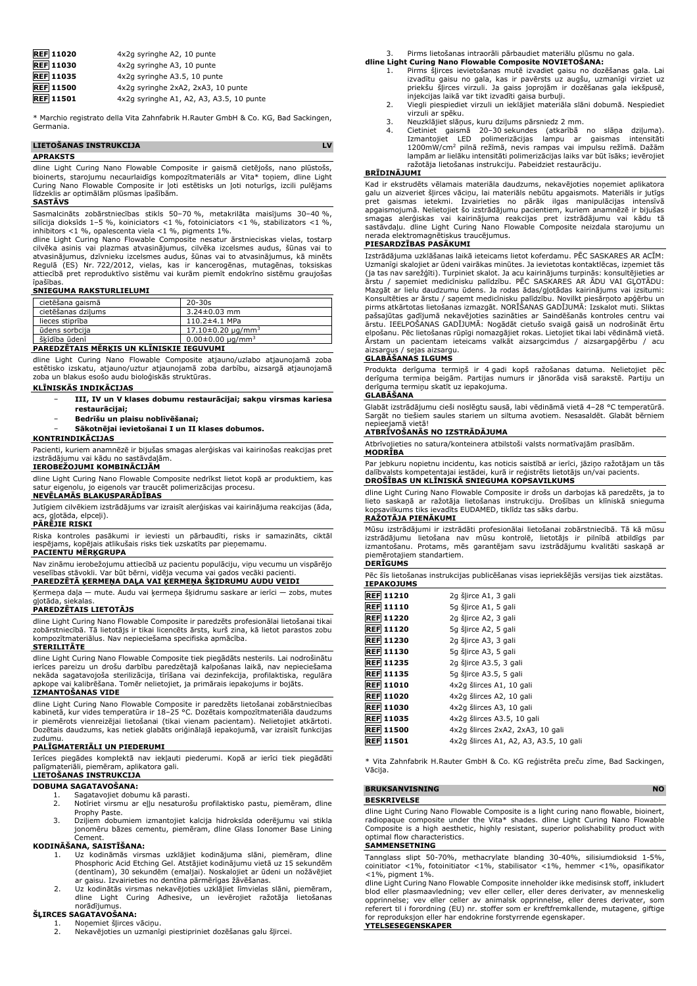| <b>REF 11020</b> | 4x2q syringhe A2, 10 punte               |
|------------------|------------------------------------------|
| <b>REF</b> 11030 | 4x2q syringhe A3, 10 punte               |
| <b>REF</b> 11035 | 4x2q syringhe A3.5, 10 punte             |
| <b>REF</b> 11500 | 4x2g syringhe 2xA2, 2xA3, 10 punte       |
| <b>REF</b> 11501 | 4x2g syringhe A1, A2, A3, A3.5, 10 punte |

\* Marchio registrato della Vita Zahnfabrik H.Rauter GmbH & Co. KG, Bad Sackingen, Germania.

# **LIETOŠANAS INSTRUKCIJA LV**

## **APRAKSTS**

dline Light Curing Nano Flowable Composite ir gaismā cietējošs, nano plūstošs,<br>bioinerts, starojumu necaurlaidīgs kompozītmateriāls ar Vita\* toņiem, dline Light<br>Curing Nano Flowable Composite ir ļoti estētisks un ļoti notu līdzeklis ar optimālām plūsmas īpašībām.

#### **SASTĀVS**

Sasmalcināts zobārstniecības stikls 50–70 %, metakrilāta maisījums 30–40 %,<br>silīcija dioksīds 1–5 %, koiniciators <1 %, fotoiniciators <1 %, stabilizators <1 %,<br>inhibitors <1 %, opalescenta viela <1 %, pigments 1%.

dline Light Curing Nano Flowable Composite nesatur ārstnieciskas vielas, tostarp cilvēka asinis vai plazmas atvasinājumus, cilvēka izcelsmes audus, šūnas vai to atvasinājumus, dzīvnieku izcelsmes audus, šūnas vai to atvasinājumus, kā minēts Regulā (ES) Nr. 722/2012, vielas, kas ir kancerogēnas, mutagēnas, toksiskas attiecībā pret reproduktīvo sistēmu vai kurām piemīt endokrīno sistēmu graujošas īpašības.

# **SNIEGUMA RAKSTURLIELUMI**

| cietēšana gaismā   | $20 - 30s$                 |
|--------------------|----------------------------|
| cietēšanas dzilums | $3.24 \pm 0.03$ mm         |
| lieces stiprība    | $110.2 \pm 4.1$ MPa        |
| ūdens sorbcija     | $17.10\pm0.20 \mu q/mm^3$  |
| šķīdība ūdenī      | $0.00 \pm 0.00 \mu q/mm^3$ |

#### **PAREDZĒTAIS MĒRĶIS UN KLĪNISKIE IEGUVUMI**

dline Light Curing Nano Flowable Composite atjauno/uzlabo atjaunojamā zoba estētisko izskatu, atjauno/uztur atjaunojamā zoba darbību, aizsargā atjaunojamā zoba un blakus esošo audu bioloģiskās struktūras.

#### **KLĪNISKĀS INDIKĀCIJAS**

- − **III, IV un V klases dobumu restaurācijai; sakņu virsmas kariesa restaurācijai;**
- − **Bedrīšu un plaisu noblīvēšanai;**
- − **Sākotnējai ievietošanai I un II klases dobumos.**

#### **KONTRINDIKĀCIJAS**

Pacienti, kuriem anamnēzē ir bijušas smagas alerģiskas vai kairinošas reakcijas pret izstrādājumu vai kādu no sastāvdaļām.

# **IEROBEŽOJUMI KOMBINĀCIJĀM**

dline Light Curing Nano Flowable Composite nedrīkst lietot kopā ar produktiem, kas satur eigenolu, jo eigenols var traucēt polimerizācijas procesu.

# **NEVĒLAMĀS BLAKUSPARĀDĪBAS**

Jutīgiem cilvēkiem izstrādājums var izraisīt alerģiskas vai kairinājuma reakcijas (āda, gļotāda, elpceļi).

# **PĀRĒJIE RISKI**

Riska kontroles pasākumi ir ieviesti un pārbaudīti, risks ir samazināts, ciktāl iespējams, kopējais atlikušais risks tiek uzskatīts par pieņemamu.

## **PACIENTU MĒRĶGRUPA**

Nav zināmu ierobežojumu attiecībā uz pacientu populāciju, viņu vecumu un vispārējo veselības stāvokli. Var būt bērni, vidēja vecuma vai gados vecāki pacienti.

# **PAREDZĒTĀ ĶERMEŅA DAĻA VAI ĶERMEŅA ŠĶIDRUMU AUDU VEIDI**

Ķermeņa daļa — mute. Audu vai ķermeņa šķidrumu saskare ar ierīci — zobs, mutes gļotāda, siekalas.

# **PAREDZĒTAIS LIETOTĀJS**

dline Light Curing Nano Flowable Composite ir paredzēts profesionālai lietošanai tikai zobārstniecībā. Tā lietotājs ir tikai licencēts ārsts, kurš zina, kā lietot parastos zobu kompozītmateriālus. Nav nepieciešama specifiska apmācība.

# **STERILITĀTE**

dline Light Curing Nano Flowable Composite tiek piegādāts nesterils. Lai nodrošinātu ierīces pareizu un drošu darbību paredzētajā kalpošanas laikā, nav nepieciešama nekāda sagatavojoša sterilizācija, tīrīšana vai dezinfekcija, profilaktiska, regulāra apkope vai kalibrēšana. Tomēr nelietojiet, ja primārais iepakojums ir bojāts. **IZMANTOŠANAS VIDE**

dline Light Curing Nano Flowable Composite ir paredzēts lietošanai zobārstniecības kabinetā, kur vides temperatūra ir 18–25 °C. Dozētais kompozītmateriāla daudzums ir piemērots vienreizējai lietošanai (tikai vienam pacientam). Nelietojiet atkārtoti. Dozētais daudzums, kas netiek glabāts oriģinālajā iepakojumā, var izraisīt funkcijas

#### zudumu. **PALĪGMATERIĀLI UN PIEDERUMI**

Ierīces piegādes komplektā nav iekļauti piederumi. Kopā ar ierīci tiek piegādāti palīgmateriāli, piemēram, aplikatora gali.

#### **LIETOŠANAS INSTRUKCIJA DOBUMA SAGATAVOŠANA:**

1. Sagatavojiet dobumu kā parasti.<br>2. Notīriet virsmu ar ellu nesaturo:

- 2. Notīriet virsmu ar eļļu nesaturošu profilaktisko pastu, piemēram, dline Prophy Paste.
- 3. Dziļiem dobumiem izmantojiet kalcija hidroksīda oderējumu vai stikla jonomēru bāzes cementu, piemēram, dline Glass Ionomer Base Lining Cement.

# **KODINĀŠANA, SAISTĪŠANA:**

- 1. Uz kodināmās virsmas uzklājiet kodinājuma slāni, piemēram, dline Phosphoric Acid Etching Gel. Atstājiet kodinājumu vietā uz 15 sekundēm (dentīnam), 30 sekundēm (emaljai). Noskalojiet ar ūdeni un nožāvējiet ar gaisu. Izvairieties no dentīna pārmērīgas žāvēšanas.
- 2. Uz kodinātās virsmas nekavējoties uzklājiet līmvielas slāni, piemēram, dline Light Curing Adhesive, un ievērojiet ražotāja lietošanas norādījumus.

## **ŠĻIRCES SAGATAVOŠANA:**

1. Noņemiet šļirces vāciņu.<br>2. Nekavējoties un uzmanī

2. Nekavējoties un uzmanīgi piestipriniet dozēšanas galu šļircei.

3. Pirms lietošanas intraorāli pārbaudiet materiālu plūsmu no gala.

- **dline Light Curing Nano Flowable Composite NOVIETOŠANA:** 1. Pirms šļirces ievietošanas mutē izvadiet gaisu no dozēšanas gala. Lai izvadītu gaisu no gala, kas ir pavērsts uz augšu, uzmanīgi virziet uz priekšu šļirces virzuli. Ja gaiss joprojām ir dozēšanas gala iekšpusē, injekcijas laikā var tikt izvadīti gaisa burbuļi. 2. Viegli piespiediet virzuli un ieklājiet materiāla slāni dobumā. Nespiediet
	- virzuli ar spēku.
	- 3. Neuzklājiet slāņus, kuru dziļums pārsniedz 2 mm.
	- 4. Cietiniet gaismā 20–30-sekundes (atkarībā no slāņa dziļuma).<br>120 Izmantojiet LED polimerizācijas lampu ar gaismas intensitāti<br>1200mW/cm<sup>2</sup> pilnā režīmā, nevis rampas vai impulsu režīmā. Dažām lampām ar lielāku intensitāti polimerizācijas laiks var būt īsāks; ievērojiet ražotāja lietošanas instrukciju. Pabeidziet restaurāciju.

#### **BRĪDINĀJUMI**

Kad ir ekstrudēts vēlamais materiāla daudzums, nekavējoties noņemiet aplikatora galu un aizveriet šļirces vāciņu, lai materiāls nebūtu apgaismots. Materiāls ir jutīgs pret gaismas ietekmi. Izvairieties no pārāk ilgas manipulācijas intensīvā apgaismojumā. Nelietojiet šo izstrādājumu pacientiem, kuriem anamnēzē ir bijušas smagas alerģiskas vai kairinājuma reakcijas pret izstrādājumu vai kādu tā sastāvdaļu. dline Light Curing Nano Flowable Composite neizdala starojumu un nerada elektromagnētiskus traucējumus.

#### **PIESARDZĪBAS PASĀKUMI**

Izstrādājuma uzklāšanas laikā ieteicams lietot koferdamu. PĒC SASKARES AR ACĪM: Uzmanīgi skalojiet ar ūdeni vairākas minūtes. Ja ievietotas kontaktlēcas, izņemiet tās (ja tas nav sarežģīti). Turpiniet skalot. Ja acu kairinājums turpinās: konsultējieties ar ārstu / saņemiet medicīnisku palīdzību. PĒC SASKARES AR ĀDU VAI GĻOTĀDU: Mazgāt ar lielu daudzumu ūdens. Ja rodas ādas/gļotādas kairinājums vai izsitumi: Konsultēties ar ārstu / saņemt medicīnisku palīdzību. Novilkt piesārņoto apģērbu un pirms atkārtotas lietošanas izmazgāt. NORĪŠANAS GADĪJUMĀ: Izskalot muti. Sliktas pašsajūtas gadījumā nekavējoties sazināties ar Saindēšanās kontroles centru vai<br>ārstu. IEELPOŠANAS GADĪJUMĀ: Nogādāt cietušo svaigā gaisā un nodrošināt ērtu<br>elpošanu. Pēc lietošanas rūpīgi nomazgājiet rokas. Lietojiet tika Ārstam un pacientam ieteicams valkāt aizsargcimdus / aizsargapģērbu / acu aizsargus / sejas aizsargu.

### **GLABĀŠANAS ILGUMS**

Produkta derīguma termiņš ir 4 gadi kopš ražošanas datuma. Nelietojiet pēc derīguma termiņa beigām. Partijas numurs ir jānorāda visā sarakstē. Partiju un derīguma termiņu skatīt uz iepakojuma. **GLABĀŠANA**

Glabāt izstrādājumu cieši noslēgtu sausā, labi vēdināmā vietā 4–28 °C temperatūrā. Sargāt no tiešiem saules stariem un siltuma avotiem. Nesasaldēt. Glabāt bērniem nepieejamā vietā!

#### **ATBRĪVOŠANĀS NO IZSTRĀDĀJUMA**

Atbrīvojieties no satura/konteinera atbilstoši valsts normatīvajām prasībām. **MODRĪBA**

Par jebkuru nopietnu incidentu, kas noticis saistībā ar ierīci, jāziņo ražotājam un tās dalībvalsts kompetentajai iestādei, kurā ir reģistrēts lietotājs un/vai pacients. **DROŠĪBAS UN KLĪNISKĀ SNIEGUMA KOPSAVILKUMS**

dline Light Curing Nano Flowable Composite ir drošs un darbojas kā paredzēts, ja to lieto saskaņā ar ražotāja lietošanas instrukciju. Drošības un klīniskā snieguma kopsavilkums tiks ievadīts EUDAMED, tiklīdz tas sāks darbu. **RAŽOTĀJA PIENĀKUMI**

Mūsu izstrādājumi ir izstrādāti profesionālai lietošanai zobārstniecībā. Tā kā mūsu izstrādājumu lietošana nav mūsu kontrolē, lietotājs ir pilnībā atbildīgs par izmantošanu. Protams, mēs garantējam savu izstrādājumu kvalitāti saskaņā ar piemērotajiem standartiem.

#### **DERĪGUMS**

Pēc šīs lietošanas instrukcijas publicēšanas visas iepriekšējās versijas tiek aizstātas. **IEPAKOJUMS**

| <b>REF 11210</b> | 2g šlirce A1, 3 gali                   |
|------------------|----------------------------------------|
| <b>REF 11110</b> | 5g šļirce A1, 5 gali                   |
| <b>REF 11220</b> | 2q šlirce A2, 3 gali                   |
| <b>REF 11120</b> | 5g šļirce A2, 5 gali                   |
| <b>REF 11230</b> | 2g šlirce A3, 3 gali                   |
| <b>REF 11130</b> | 5g šļirce A3, 5 gali                   |
| <b>REF 11235</b> | 2g šļirce A3.5, 3 gali                 |
| <b>REF 11135</b> | 5g šlirce A3.5, 5 gali                 |
| <b>REF 11010</b> | 4x2g šlirces A1, 10 gali               |
| <b>REF 11020</b> | 4x2q šlirces A2, 10 gali               |
| <b>REF 11030</b> | 4x2g šlirces A3, 10 gali               |
| <b>REF 11035</b> | 4x2q šlirces A3.5, 10 gali             |
| <b>REF 11500</b> | 4x2q šlirces 2xA2, 2xA3, 10 gali       |
| <b>REF 11501</b> | 4x2g šlirces A1, A2, A3, A3.5, 10 gali |

\* Vita Zahnfabrik H.Rauter GmbH & Co. KG reģistrēta preču zīme, Bad Sackingen, Vācija.

# **BRUKSANVISNING NO BESKRIVELSE**

dline Light Curing Nano Flowable Composite is a light curing nano flowable, bioinert, radiopaque composite under the Vita\* shades. dline Light Curing Nano Flowable Composite is a high aesthetic, highly resistant, superior polishability product with optimal flow characteristics.

#### **SAMMENSETNING**

Tannglass slipt 50-70%, methacrylate blanding 30-40%, silisiumdioksid 1-5%, coinitiator <1%, fotoinitiator <1%, stabilisator <1%, hemmer <1%, opasifikator  $<$ 1%, pigment 1%.

dline Light Curing Nano Flowable Composite inneholder ikke medisinsk stoff, inkludert blod eller plasmaavledning; vev eller celler, eller deres derivater, av menneskelig opprinnelse; vev eller celler av animalsk opprinnelse, eller deres derivater, som referert til i forordning (EU) nr. stoffer som er kreftfremkallende, mutagene, giftige for reproduksjon eller har endokrine forstyrrende egenskaper. **YTELSESEGENSKAPER**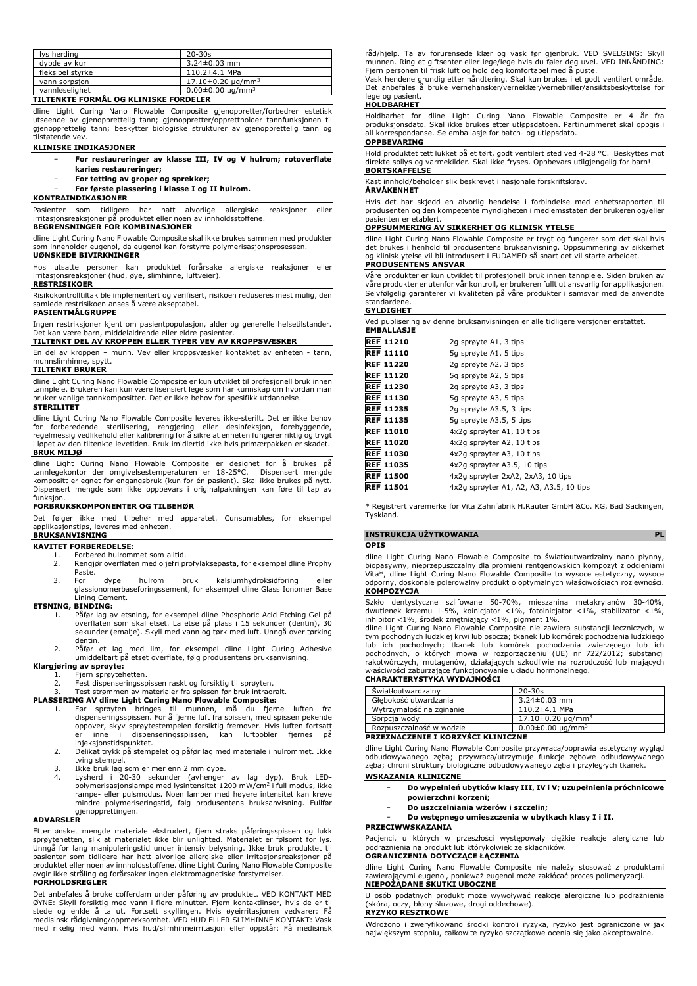| lys herding      | $20 - 30s$                         |
|------------------|------------------------------------|
| dybde av kur     | $3.24 \pm 0.03$ mm                 |
| fleksibel styrke | $110.2 \pm 4.1$ MPa                |
| vann sorpsjon    | $17.10\pm0.20 \mu q/mm^3$          |
| vannløselighet   | $0.00 \pm 0.00$ ug/mm <sup>3</sup> |

# **TILTENKTE FORMÅL OG KLINISKE FORDELER**

dline Light Curing Nano Flowable Composite gjenoppretter/forbedrer estetisk utseende av gjenopprettelig tann; gjenoppretter/opprettholder tannfunksjonen til gjenopprettelig tann; beskytter biologiske strukturer av gjenopprettelig tann og tilstøtende vev.

### **KLINISKE INDIKASJONER**

- − **For restaureringer av klasse III, IV og V hulrom; rotoverflate karies restaureringer;**
	- − **For tetting av groper og sprekker;**
	- − **For første plassering i klasse I og II hulrom.**

# **KONTRAINDIKASJONER**

Pasienter som tidligere har hatt alvorlige allergiske reaksjoner eller irritasjonsreaksjoner på produktet eller noen av innholdsstoffene.

#### **BEGRENSNINGER FOR KOMBINASJONER**

dline Light Curing Nano Flowable Composite skal ikke brukes sammen med produkter som inneholder eugenol, da eugenol kan forstyrre polymerisasjonsprosessen. **UØNSKEDE BIVIRKNINGER**

Hos utsatte personer kan produktet forårsake allergiske reaksjoner eller irritasjonsreaksjoner (hud, øye, slimhinne, luftveier).

#### **RESTRISIKOER**

Risikokontrolltiltak ble implementert og verifisert, risikoen reduseres mest mulig, den samlede restrisikoen anses å være akseptabel.

# **PASIENTMÅLGRUPPE**

Ingen restriksjoner kjent om pasientpopulasjon, alder og generelle helsetilstander. Det kan være barn, middelaldrende eller eldre pasienter.

#### **TILTENKT DEL AV KROPPEN ELLER TYPER VEV AV KROPPSVÆSKER**

En del av kroppen – munn. Vev eller kroppsvæsker kontaktet av enheten - tann,

# munnslimhinne, spytt. **TILTENKT BRUKER**

dline Light Curing Nano Flowable Composite er kun utviklet til profesjonell bruk innen tannpleie. Brukeren kan kun være lisensiert lege som har kunnskap om hvordan man bruker vanlige tannkompositter. Det er ikke behov for spesifikk utdannelse. **STERILITET**

dline Light Curing Nano Flowable Composite leveres ikke-sterilt. Det er ikke behov<br>for forberedende sterilisering, rengjøring eller desinfeksjon, forebyggende,<br>regelmessig vedlikehold eller kalibrering for å sikre at **BRUK MILJØ**

dline Light Curing Nano Flowable Composite er designet for å brukes på tannlegekontor der omgivelsestemperaturen er 18-25°C. Dispensert mengde kompositt er egnet for engangsbruk (kun for én pasient). Skal ikke brukes på nytt. Dispensert mengde som ikke oppbevars i originalpakningen kan føre til tap av funksjon.

### **FORBRUKSKOMPONENTER OG TILBEHØR**

Det følger ikke med tilbehør med apparatet. Cunsumables, for eksempel applikasjonstips, leveres med enheten. **BRUKSANVISNING**

## **KAVITET FORBEREDELSE:**

- 1. Forbered hulrommet som alltid.<br>2. Rengiør overflaten med oliefri pi
- 2. Rengjør overflaten med oljefri profylaksepasta, for eksempel dline Prophy Paste.
- 3. For dype hulrom bruk kalsiumhydroksidforing eller glassionomerbaseforingssement, for eksempel dline Glass Ionomer Base Lining Cement.

#### **ETSNING, BINDING:**

- 1. Påfør lag av etsning, for eksempel dline Phosphoric Acid Etching Gel på overflaten som skal etset. La etse på plass i 15 sekunder (dentin), 30 sekunder (emalje). Skyll med vann og tørk med luft. Unngå over tørking
- dentin. 2. Påfør et lag med lim, for eksempel dline Light Curing Adhesive umiddelbart på etset overflate, følg produsentens bruksanvisning.

# **Klargjøring av sprøyte:** 1. Fjern sprøytehetten.

- 
- 2. Fest dispenseringsspissen raskt og forsiktig til sprøyten.

- 3. Test strømmen av materialer fra spissen før bruk intraoralt.<br>**PLASSERING AV dline Light Curing Nano Flowable Composite:**<br>1. Før sprøyten bringes til munnen, må du fjerne luften fra<br>dispenseringsspissen. For å fjerne luf oppover, skyv sprøytestempelen forsiktig fremover. Hvis luften fortsatt inne i dispenseringsspissen, kan luftbobler fjernes på injeksjonstidspunktet.
	- 2. Delikat trykk på stempelet og påfør lag med materiale i hulrommet. Ikke tving stempel.
	-
	- 3. Ikke bruk lag som er mer enn 2 mm dype.<br>4. Lysherd i 20-30 sekunder (avhenger av lag dyp). Bruk LED-<br>polymerisasjonslampe med lysintensitet 1200 mW/cm<sup>2</sup> i full modus, ikke rampe- eller pulsmodus. Noen lamper med høyere intensitet kan kreve mindre polymeriseringstid, følg produsentens bruksanvisning. Fullfør gjenopprettingen.

#### **ADVARSLER**

Etter ønsket mengde materiale ekstrudert, fjern straks påføringsspissen og lukk sprøytehetten, slik at materialet ikke blir unlighted. Materialet er følsomt for lys. Unngå for lang manipuleringstid under intensiv belysning. Ikke bruk produktet til pasienter som tidligere har hatt alvorlige allergiske eller irritasjonsreaksjoner på produktet eller noen av innholdsstoffene. dline Light Curing Nano Flowable Composite ikke stråling og forårsaker ingen elektromagnetiske forstyrrelser.

#### **FORHOLDSREGLER**

Det anbefales å bruke cofferdam under påføring av produktet. VED KONTAKT MED ØYNE: Skyll forsiktig med vann i flere minutter. Fjern kontaktlinser, hvis de er til<br>stede og enkle å ta ut. Fortsett skyllingen. Hvis øyeirritasjonen vedvarer: Få<br>medisinsk rådgivning/oppmerksomhet. VED HUD ELLER SLIMHINN med rikelig med vann. Hvis hud/slimhinneirritasjon eller oppstår: Få medisinsk råd/hjelp. Ta av forurensede klær og vask før gjenbruk. VED SVELGING: Skyll munnen. Ring et giftsenter eller lege/lege hvis du føler deg uvel. VED INNÅNDING: Fjern personen til frisk luft og hold deg komfortabel med å puste.

Vask hendene grundig etter håndtering. Skal kun brukes i et godt ventilert område. Det anbefales å bruke vernehansker/verneklær/vernebriller/ansiktsbeskyttelse for lege og pasient.

# **HOLDBARHET**

Holdbarhet for dline Light Curing Nano Flowable Composite er 4 år fra produksjonsdato. Skal ikke brukes etter utløpsdatoen. Partinummeret skal oppgis i all korrespondanse. Se emballasje for batch- og utløpsdato.

### **OPPBEVARING**

Hold produktet tett lukket på et tørt, godt ventilert sted ved 4-28 °C. Beskyttes mot direkte sollys og varmekilder. Skal ikke fryses. Oppbevars utilgjengelig for barn! **BORTSKAFFELSE**

Kast innhold/beholder slik beskrevet i nasjonale forskriftskrav.

### **ÅRVÅKENHET**

Hvis det har skjedd en alvorlig hendelse i forbindelse med enhetsrapporten til produsenten og den kompetente myndigheten i medlemsstaten der brukeren og/eller .<br>nasienten er etablert

# **OPPSUMMERING AV SIKKERHET OG KLINISK YTELSE**

dline Light Curing Nano Flowable Composite er trygt og fungerer som det skal hvis det brukes i henhold til produsentens bruksanvisning. Oppsummering av sikkerhet og klinisk ytelse vil bli introdusert i EUDAMED så snart det vil starte arbeidet. **PRODUSENTENS ANSVAR**

Våre produkter er kun utviklet til profesjonell bruk innen tannpleie. Siden bruken av våre produkter er utenfor vår kontroll, er brukeren fullt ut ansvarlig for applikasjonen. Selvfølgelig garanterer vi kvaliteten på våre produkter i samsvar med de anvendte standarden

#### **GYLDIGHET**

Ved publisering av denne bruksanvisningen er alle tidligere versjoner erstattet.

| <b>EMBALLASJE</b> |                                         |
|-------------------|-----------------------------------------|
| <b>REF 11210</b>  | 2g sprøyte A1, 3 tips                   |
| <b>REF 11110</b>  | 5g sprøyte A1, 5 tips                   |
| <b>REF 11220</b>  | 2g sprøyte A2, 3 tips                   |
| <b>REF 11120</b>  | 5q sprøyte A2, 5 tips                   |
| <b>REF 11230</b>  | 2g sprøyte A3, 3 tips                   |
| <b>REF 11130</b>  | 5q sprøyte A3, 5 tips                   |
| <b>REF 11235</b>  | 2g sprøyte A3.5, 3 tips                 |
| <b>REF 11135</b>  | 5g sprøyte A3.5, 5 tips                 |
| <b>REF 11010</b>  | 4x2g sprøyter A1, 10 tips               |
| <b>REF 11020</b>  | 4x2g sprøyter A2, 10 tips               |
| <b>REF 11030</b>  | 4x2q sprøyter A3, 10 tips               |
| <b>REF 11035</b>  | 4x2g sprøyter A3.5, 10 tips             |
| <b>REF 11500</b>  | 4x2q sprøyter 2xA2, 2xA3, 10 tips       |
| <b>REF 11501</b>  | 4x2g sprøyter A1, A2, A3, A3.5, 10 tips |
|                   |                                         |

\* Registrert varemerke for Vita Zahnfabrik H.Rauter GmbH &Co. KG, Bad Sackingen, Tyskland.

# **INSTRUKCJA UŻYTKOWANIA PL**

# **OPIS**

dline Light Curing Nano Flowable Composite to światłoutwardzalny nano płynny, biopasywny, nieprzepuszczalny dla promieni rentgenowskich kompozyt z odcieniami Vita\*, dline Light Curing Nano Flowable Composite to wysoce estetyczny, wysoce odporny, doskonale polerowalny produkt o optymalnych właściwościach rozlewności. **KOMPOZYCJA**

Szkło dentystyczne szlifowane 50-70%, mieszanina metakrylanów 30-40%, dwutlenek krzemu 1-5%, koinicjator <1%, fotoinicjator <1%, stabilizator <1%,

inhibitor <1%, środek zmętniający <1%, pigment 1%. dline Light Curing Nano Flowable Composite nie zawiera substancji leczniczych, w tym pochodnych ludzkiej krwi lub osocza; tkanek lub komórek pochodzenia ludzkiego<br>lub ich pochodnych; tkanek lub komórek pochodzenia zwierzęcego lub ich<br>pochodnych, o których mowa w rozporządzeniu rakotwórczych, mutagenów, działających szkodliwie na rozrodczość lub mających właściwości zaburzające funkcjonowanie układu hormonalnego. **CHARAKTERYSTYKA WYDAJNOŚCI**

| <b>Swiatłoutwardzalny</b>          | $20 - 30s$                 |
|------------------------------------|----------------------------|
| Głebokość utwardzania              | $3.24 \pm 0.03$ mm         |
| Wytrzymałość na zginanie           | $110.2 \pm 4.1$ MPa        |
| Sorpcja wody                       | $17.10\pm0.20 \mu q/mm^3$  |
| Rozpuszczalność w wodzie           | $0.00 \pm 0.00 \mu q/mm^3$ |
| PRZEZNACZENIE I KORZYŚCI KLINICZNE |                            |

dline Light Curing Nano Flowable Composite przywraca/poprawia estetyczny wygląd odbudowywanego zęba; przywraca/utrzymuje funkcje zębowe odbudowywanego zęba; chroni struktury biologiczne odbudowywanego zęba i przyległych tkanek.

# **WSKAZANIA KLINICZNE**

- − **Do wypełnień ubytków klasy III, IV i V; uzupełnienia próchnicowe powierzchni korzeni;**
	- − **Do uszczelniania wżerów i szczelin;**
- − **Do wstępnego umieszczenia w ubytkach klasy I i II.**

#### **PRZECIWWSKAZANIA**

Pacjenci, u których w przeszłości występowały ciężkie reakcje alergiczne lub podrażnienia na produkt lub którykolwiek ze składników.

# **OGRANICZENIA DOTYCZĄCE ŁĄCZENIA**

dline Light Curing Nano Flowable Composite nie należy stosować z produktami zawierającymi eugenol, ponieważ eugenol może zakłócać proces polimeryzacji. **NIEPOŻĄDANE SKUTKI UBOCZNE**

U osób podatnych produkt może wywoływać reakcje alergiczne lub podrażnienia (skóra, oczy, błony śluzowe, drogi oddechowe). **RYZYKO RESZTKOWE**

Wdrożono i zweryfikowano środki kontroli ryzyka, ryzyko jest ograniczone w jak największym stopniu, całkowite ryzyko szczątkowe ocenia się jako akceptowalne.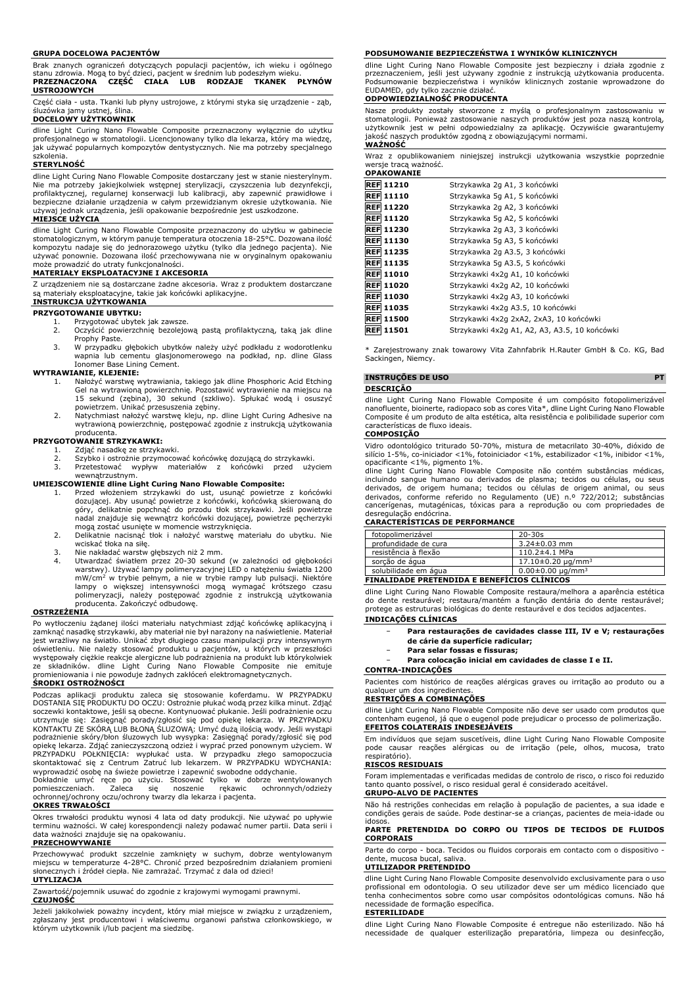#### **GRUPA DOCELOWA PACJENTÓW**

Brak znanych ograniczeń dotyczących populacji pacjentów, ich wieku i ogólnego stanu zdrowia. Mogą to być dzieci, pacjent w średnim lub podeszłym wieku. **PRZEZNACZONA CZĘŚĆ CIAŁA LUB RODZAJE TKANEK PŁYNÓW USTROJOWYCH**

Część ciała - usta. Tkanki lub płyny ustrojowe, z którymi styka się urządzenie - ząb, śluzówka jamy ustnej, ślina.

#### **DOCELOWY UŻYTKOWNIK**

dline Light Curing Nano Flowable Composite przeznaczony wyłącznie do użytku profesjonalnego w stomatologii. Licencjonowany tylko dla lekarza, który ma wiedzę, jak używać popularnych kompozytów dentystycznych. Nie ma potrzeby specjalnego szkolenia.

#### **STERYLNOŚĆ**

dline Light Curing Nano Flowable Composite dostarczany jest w stanie niesterylnym. Nie ma potrzeby jakiejkolwiek wstępnej sterylizacji, czyszczenia lub dezynfekcji, profilaktycznej, regularnej konserwacji lub kalibracji, aby zapewnić prawidłowe i bezpieczne działanie urządzenia w całym przewidzianym okresie użytkowania. Nie używaj jednak urządzenia, jeśli opakowanie bezpośrednie jest uszkodzone.

#### **MIEJSCE UŻYCIA**

dline Light Curing Nano Flowable Composite przeznaczony do użytku w gabinecie stomatologicznym, w którym panuje temperatura otoczenia 18-25°C. Dozowana ilość kompozytu nadaje się do jednorazowego użytku (tylko dla jednego pacjenta). Nie używać ponownie. Dozowana ilość przechowywana nie w oryginalnym opakowaniu może prowadzić do utraty funkcjonalności.

### **MATERIAŁY EKSPLOATACYJNE I AKCESORIA**

Z urządzeniem nie są dostarczane żadne akcesoria. Wraz z produktem dostarczane są materiały eksploatacyjne, takie jak końcówki aplikacyjne.

#### **INSTRUKCJA UŻYTKOWANIA PRZYGOTOWANIE UBYTKU:**

- 1. Przygotować ubytek jak zawsze.<br>2. Oczyścić powierzchnie bezolejo 2. Oczyścić powierzchnię bezolejową pastą profilaktyczną, taką jak dline Prophy Paste.
- 3. W przypadku głębokich ubytków należy użyć podkładu z wodorotlenku wapnia lub cementu glasjonomerowego na podkład, np. dline Glass Ionomer Base Lining Cement.

#### **WYTRAWIANIE, KLEJENIE:**

- 1. Nałożyć warstwę wytrawiania, takiego jak dline Phosphoric Acid Etching Gel na wytrawioną powierzchnię. Pozostawić wytrawienie na miejscu na<br>15 sekund (zębina), 30 sekund (szkliwo). Spłukać wodą i osuszyć<br>powietrzem. Unikać przesuszenia zębiny.<br>2. Natychmiast nałożyć warstwę kleju, np. dline L
- producenta.

# **PRZYGOTOWANIE STRZYKAWKI:**

1. Zdjąć nasadkę ze strzykawki.<br>2. Szybko i ostrożnie przymocov

- 2. Szybko i ostrożnie przymocować końcówkę dozującą do strzykawki. 3. Przetestować wypływ materiałów z końcówki przed użyciem
- 

# wewnątrzustnym. **UMIEJSCOWIENIE dline Light Curing Nano Flowable Composite:**

- 1. Przed włożeniem strzykawki do ust, usunąć powietrze z końcówki<br>dozującej. Aby usunąć powietrze z końcówki, końcówką skierowaną do<br>góry, delikatnie popchnąć do przodu tłok strzykawki. Jeśli powietrze nadal znajduje się wewnątrz końcówki dozującej, powietrze pęcherzyki mogą zostać usunięte w momencie wstrzyknięcia.
- 2. Delikatnie nacisnąć tłok i nałożyć warstwę materiału do ubytku. Nie
- wciskać tłoka na siłę. 3. Nie nakładać warstw głębszych niż 2 mm.
- 4. Utwardzać światłem przez 20-30 sekund (w zależności od głębokości warstwy). Używać lampy polimeryzacyjnej LED o natężeniu światła 1200 mW/cm<sup>2</sup> w trybie pełnym, a nie w trybie rampy lub pulsacji. Niektóre<br>lampy o większej intensywności mogą wymagać krótszego czasu<br>polimeryzacji, należy postępować zgodnie z instrukcją użytkowania<br>producenta. Zakończyć odbu

#### **OSTRZEŻENIA**

Po wytłoczeniu żądanej ilości materiału natychmiast zdjąć końcówkę aplikacyjną i zamknąć nasadkę strzykawki, aby materiał nie był narażony na naświetlenie. Materiał jest wrażliwy na światło. Unikać zbyt długiego czasu manipulacji przy intensywnym<br>oświetleniu. Nie należy stosować produktu u pacjentów, u których w przeszłości<br>występowały ciężkie reakcje alergiczne lub podrażnienia na pr ze składników. dline Light Curing Nano Flowable Composite nie emituje promieniowania i nie powoduje żadnych zakłóceń elektromagnetycznych. **ŚRODKI OSTROŻNOŚCI**

Podczas aplikacji produktu zaleca się stosowanie koferdamu. W PRZYPADKU DOSTANIA SIĘ PRODUKTU DO OCZU: Ostrożnie płukać wodą przez kilka minut. Zdjąć soczewki kontaktowe, jeśli są obecne. Kontynuować płukanie. Jeśli podrażnienie oczu<br>utrzymuje się: Zasiegnąć porady/zgłosić się pod opiekę lekarza. W PRZYPADKU<br>KONTAKTU ZE SKÓRĄ LUB BŁONĄ ŚLUZOWĄ: Umyć dużą ilością wody. J wyprowadzić osobę na świeże powietrze i zapewnić swobodne oddychanie.

Dokładnie umyć ręce po użyciu. Stosować tylko w dobrze wentylowanych pomieszczeniach. Zaleca się noszenie rękawic ochronnych/odzieży ochronnej/ochrony oczu/ochrony twarzy dla lekarza i pacjenta.

## **OKRES TRWAŁOŚCI**

Okres trwałości produktu wynosi 4 lata od daty produkcji. Nie używać po upływie terminu ważności. W całej korespondencji należy podawać numer partii. Data serii i data ważności znajduje się na opakowaniu.

#### **PRZECHOWYWANIE**

Przechowywać produkt szczelnie zamknięty w suchym, dobrze wentylowanym miejscu w temperaturze 4-28°C. Chronić przed bezpośrednim działaniem promieni słonecznych i źródeł ciepła. Nie zamrażać. Trzymać z dala od dzieci!

# **UTYLIZACJA**

Zawartość/pojemnik usuwać do zgodnie z krajowymi wymogami prawnymi. **CZUJNOŚĆ**

Jeżeli jakikolwiek poważny incydent, który miał miejsce w związku z urządzeniem, zgłaszany jest producentowi i właściwemu organowi państwa członkowskiego, w którym użytkownik i/lub pacjent ma siedzibę.

#### **PODSUMOWANIE BEZPIECZEŃSTWA I WYNIKÓW KLINICZNYCH**

dline Light Curing Nano Flowable Composite jest bezpieczny i działa zgodnie z przeznaczeniem, jeśli jest używany zgodnie z instrukcją użytkowania producenta. Podsumowanie bezpieczeństwa i wyników klinicznych zostanie wprowadzone do EUDAMED, gdy tylko zacznie działać.

# **ODPOWIEDZIALNOŚĆ PRODUCENTA**

Nasze produkty zostały stworzone z myślą o profesjonalnym zastosowaniu w stomatologii. Ponieważ zastosowanie naszych produktów jest poza naszą kontrolą, użytkownik jest w pełni odpowiedzialny za aplikację. Oczywiście gwarantujemy jakość naszych produktów zgodną z obowiązującymi normami. **WAŻNOŚĆ**

Wraz z opublikowaniem niniejszej instrukcji użytkowania wszystkie poprzednie wersje tracą ważność. **OPAKOWANIE**

| <b>REF 11210</b> | Strzykawka 2g A1, 3 końcówki                  |
|------------------|-----------------------------------------------|
| <b>REF 11110</b> | Strzykawka 5g A1, 5 końcówki                  |
| <b>REF 11220</b> | Strzykawka 2g A2, 3 końcówki                  |
| <b>REF 11120</b> | Strzykawka 5g A2, 5 końcówki                  |
| <b>REF 11230</b> | Strzykawka 2g A3, 3 końcówki                  |
| <b>REF 11130</b> | Strzykawka 5g A3, 5 końcówki                  |
| <b>REF 11235</b> | Strzykawka 2g A3.5, 3 końcówki                |
| <b>REF 11135</b> | Strzykawka 5g A3.5, 5 końcówki                |
| <b>REF 11010</b> | Strzykawki 4x2q A1, 10 końcówki               |
| <b>REF 11020</b> | Strzykawki 4x2q A2, 10 końcówki               |
| <b>REF 11030</b> | Strzykawki 4x2q A3, 10 końcówki               |
| <b>REF 11035</b> | Strzykawki 4x2q A3.5, 10 końcówki             |
| <b>REF 11500</b> | Strzykawki 4x2q 2xA2, 2xA3, 10 końcówki       |
| <b>REF 11501</b> | Strzykawki 4x2q A1, A2, A3, A3.5, 10 końcówki |

Zarejestrowany znak towarowy Vita Zahnfabrik H.Rauter GmbH & Co. KG, Bad Sackingen, Niemcy.

### **INSTRUÇÕES DE USO PT**

#### **DESCRIÇÃO**

dline Light Curing Nano Flowable Composite é um compósito fotopolimerizável nanofluente, bioinerte, radiopaco sob as cores Vita\*, dline Light Curing Nano Flowable Composite é um produto de alta estética, alta resistência e polibilidade superior com características de fluxo ideais.

#### **COMPOSIÇÃO**

Vidro odontológico triturado 50-70%, mistura de metacrilato 30-40%, dióxido de silício 1-5%, co-iniciador <1%, fotoiniciador <1%, estabilizador <1%, inibidor <1%, opacificante <1%, pigmento 1%.

dline Light Curing Nano Flowable Composite não contém substâncias médicas,<br>incluindo sangue humano ou derivados de plasma; tecidos ou células, ou seus<br>derivados, de origem humana; tecidos ou células de origem animal, ou se cancerígenas, mutagénicas, tóxicas para a reprodução ou com propriedades de desregulação endócrina.

#### **CARACTERÍSTICAS DE PERFORMANCE**

| fotopolimerizável                            | $20 - 30s$                 |
|----------------------------------------------|----------------------------|
| profundidade de cura                         | $3.24 \pm 0.03$ mm         |
| resistência à flexão                         | $110.2 \pm 4.1$ MPa        |
| sorção de água                               | $17.10\pm0.20 \mu q/mm^3$  |
| solubilidade em água                         | $0.00 \pm 0.00 \mu q/mm^3$ |
| EINAI IDADE BRETENDIDA E RENEEÍCIOS CLÍNICOS |                            |

#### **FINALIDADE PRETENDIDA E BENEFÍCIOS CLÍNICOS**

dline Light Curing Nano Flowable Composite restaura/melhora a aparência estética do dente restaurável; restaura/mantém a função dentária do dente restaurável; protege as estruturas biológicas do dente restaurável e dos tecidos adjacentes.

# **INDICAÇÕES CLÍNICAS**

- − **Para restaurações de cavidades classe III, IV e V; restaurações de cárie da superfície radicular;**
- − **Para selar fossas e fissuras;**
- − **Para colocação inicial em cavidades de classe I e II.**

## **CONTRA-INDICAÇÕES**

Pacientes com histórico de reações alérgicas graves ou irritação ao produto ou a qualquer um dos ingredientes.

### **RESTRIÇÕES A COMBINAÇÕES**

dline Light Curing Nano Flowable Composite não deve ser usado com produtos que contenham eugenol, já que o eugenol pode prejudicar o processo de polimerização. **EFEITOS COLATERAIS INDESEJÁVEIS**

Em indivíduos que sejam suscetíveis, dline Light Curing Nano Flowable Composite pode causar reações alérgicas ou de irritação (pele, olhos, mucosa, trato respiratório).

#### **RISCOS RESIDUAIS**

Foram implementadas e verificadas medidas de controlo de risco, o risco foi reduzido tanto quanto possível, o risco residual geral é considerado aceitável. **GRUPO-ALVO DE PACIENTES**

Não há restrições conhecidas em relação à população de pacientes, a sua idade e condições gerais de saúde. Pode destinar-se a crianças, pacientes de meia-idade ou idosos

#### **PARTE PRETENDIDA DO CORPO OU TIPOS DE TECIDOS DE FLUIDOS CORPORAIS**

Parte do corpo - boca. Tecidos ou fluidos corporais em contacto com o dispositivo dente, mucosa bucal, saliva.

#### **UTILIZADOR PRETENDIDO**

dline Light Curing Nano Flowable Composite desenvolvido exclusivamente para o uso profissional em odontologia. O seu utilizador deve ser um médico licenciado que tenha conhecimentos sobre como usar compósitos odontológicas comuns. Não há necessidade de formação específica.

#### **ESTERILIDADE**

dline Light Curing Nano Flowable Composite é entregue não esterilizado. Não há necessidade de qualquer esterilização preparatória, limpeza ou desinfecção,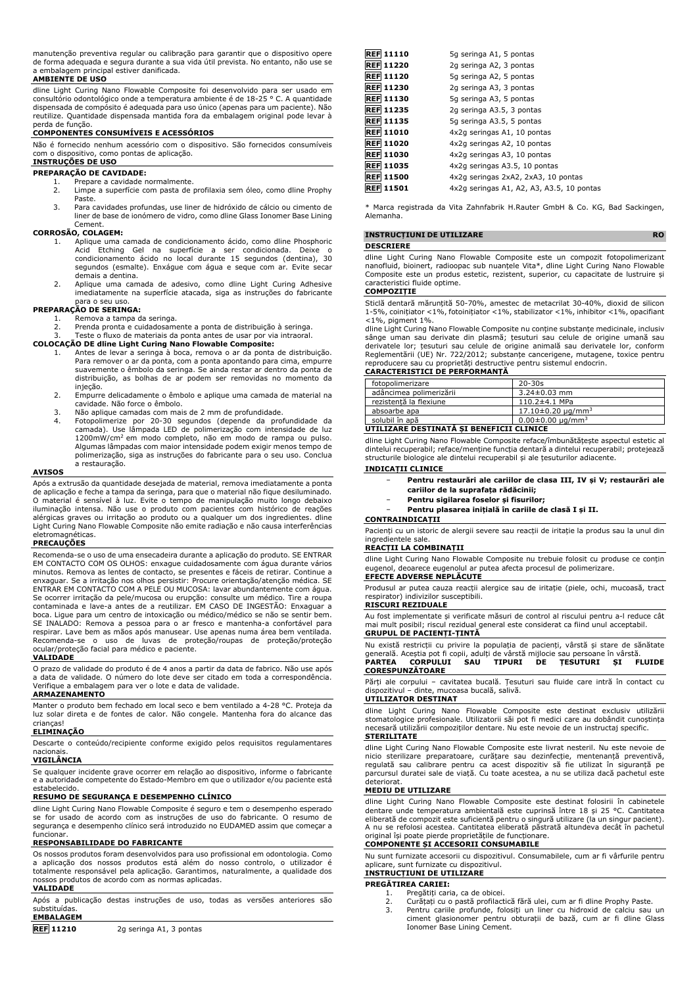manutenção preventiva regular ou calibração para garantir que o dispositivo opere de forma adequada e segura durante a sua vida útil prevista. No entanto, não use se a embalagem principal estiver danificada.

#### **AMBIENTE DE USO**

dline Light Curing Nano Flowable Composite foi desenvolvido para ser usado em consultório odontológico onde a temperatura ambiente é de 18-25 ° C. A quantidade dispensada de compósito é adequada para uso único (apenas para um paciente). Não reutilize. Quantidade dispensada mantida fora da embalagem original pode levar à perda de função.

# **COMPONENTES CONSUMÍVEIS E ACESSÓRIOS**

Não é fornecido nenhum acessório com o dispositivo. São fornecidos consumíveis com o dispositivo, como pontas de aplicação. **INSTRUÇÕES DE USO**

# **PREPARAÇÃO DE CAVIDADE:**

- 1. Prepare a cavidade normalmente.<br>2. Limpe a superfície com pasta de Limpe a superfície com pasta de profilaxia sem óleo, como dline Prophy Paste.
- 3. Para cavidades profundas, use liner de hidróxido de cálcio ou cimento de liner de base de ionómero de vidro, como dline Glass Ionomer Base Lining Cement.

#### **CORROSÃO, COLAGEM:**

- 1. Aplique uma camada de condicionamento ácido, como dline Phosphoric<br>Acid Etching Gel na superfície a ser condicionamento ácido no local durante 15 segundos (dentina), 30<br>segundos (esmalte). Enxágue com água e seque com a demais a dentina.
- 2. Aplique uma camada de adesivo, como dline Light Curing Adhesive imediatamente na superfície atacada, siga as instruções do fabricante para o seu uso.

# **PREPARAÇÃO DE SERINGA:**

- 1. Remova a tampa da seringa.<br>2. Prenda pronta e cuidadosam
- 2. Prenda pronta e cuidadosamente a ponta de distribuição à seringa. 3. Teste o fluxo de materiais da ponta antes de usar por via intraoral.

# **COLOCAÇÃO DE dline Light Curing Nano Flowable Composite:**

- 1. Antes de levar a seringa à boca, remova o ar da ponta de distribuição. Para remover o ar da ponta, com a ponta apontando para cima, empurre suavemente o êmbolo da seringa. Se ainda restar ar dentro da ponta de distribuição, as bolhas de ar podem ser removidas no momento da
- injeção. 2. Empurre delicadamente o êmbolo e aplique uma camada de material na cavidade. Não force o êmbolo.
- 3. Não aplique camadas com mais de 2 mm de profundidade.
- 4. Fotopolimerize por 20-30 segundos (depende da profundidade da camada). Use lâmpada LED de polimerização com intensidade de luz 1200mW/cm<sup>2</sup> em modo completo, não em modo de rampa ou pulso. Algumas lâmpadas com maior intensidade podem exigir menos tempo de polimerização, siga as instruções do fabricante para o seu uso. Conclua a restauração.

# **AVISOS**

Após a extrusão da quantidade desejada de material, remova imediatamente a ponta de aplicação e feche a tampa da seringa, para que o material não fique desiluminado. O material é sensível à luz. Evite o tempo de manipulação muito longo debaixo iluminação intensa. Não use o produto com pacientes com histórico de reações alérgicas graves ou irritação ao produto ou a qualquer um dos ingredientes. dline Light Curing Nano Flowable Composite não emite radiação e não causa interferências eletromagnéticas.

#### **PRECAUÇÕES**

Recomenda-se o uso de uma ensecadeira durante a aplicação do produto. SE ENTRAR EM CONTACTO COM OS OLHOS: enxague cuidadosamente com água durante vários minutos. Remova as lentes de contacto, se presentes e fáceis de retirar. Continue a enxaguar. Se a irritação nos olhos persistir: Procure orientação/atenção médica. SE ENTRAR EM CONTACTO COM A PELE OU MUCOSA: lavar abundantemente com água. Se ocorrer irritação da pele/mucosa ou erupção: consulte um médico. Tire a roupa contaminada e lave-a antes de a reutilizar. EM CASO DE INGESTÃO: Enxaguar a boca. Ligue para um centro de intoxicação ou médico/médico se não se sentir bem. SE INALADO: Remova a pessoa para o ar fresco e mantenha-a confortável para respirar. Lave bem as mãos após manusear. Use apenas numa área bem ventilada. Recomenda-se o uso de luvas de proteção/roupas de proteção/proteção ocular/proteção facial para médico e paciente.

## **VALIDADE**

O prazo de validade do produto é de 4 anos a partir da data de fabrico. Não use após a data de validade. O número do lote deve ser citado em toda a correspondência. Verifique a embalagem para ver o lote e data de validade.

# **ARMAZENAMENTO**

Manter o produto bem fechado em local seco e bem ventilado a 4-28 °C. Proteja da luz solar direta e de fontes de calor. Não congele. Mantenha fora do alcance das crianças!

# **ELIMINAÇÃO**

Descarte o conteúdo/recipiente conforme exigido pelos requisitos regulamentares nacionais.

#### **VIGILÂNCIA**

Se qualquer incidente grave ocorrer em relação ao dispositivo, informe o fabricante e a autoridade competente do Estado-Membro em que o utilizador e/ou paciente está estabelecido.

#### **RESUMO DE SEGURANÇA E DESEMPENHO CLÍNICO**

dline Light Curing Nano Flowable Composite é seguro e tem o desempenho esperado se for usado de acordo com as instruções de uso do fabricante. O resumo de segurança e desempenho clínico será introduzido no EUDAMED assim que começar a funcionar.

#### **RESPONSABILIDADE DO FABRICANTE**

Os nossos produtos foram desenvolvidos para uso profissional em odontologia. Como a aplicação dos nossos produtos está além do nosso controlo, o utilizador é totalmente responsável pela aplicação. Garantimos, naturalmente, a qualidade dos nossos produtos de acordo com as normas aplicadas.

## **VALIDADE**

Após a publicação destas instruções de uso, todas as versões anteriores são substituídas. **EMBALAGEM**

| <b>REF 11110</b> | 5q seringa A1, 5 pontas                   |
|------------------|-------------------------------------------|
| <b>REF 11220</b> | 2q seringa A2, 3 pontas                   |
| <b>REF 11120</b> | 5q seringa A2, 5 pontas                   |
| <b>REF 11230</b> | 2q seringa A3, 3 pontas                   |
| <b>REF 11130</b> | 5q seringa A3, 5 pontas                   |
| <b>REF 11235</b> | 2g seringa A3.5, 3 pontas                 |
| <b>REF 11135</b> | 5q seringa A3.5, 5 pontas                 |
| <b>REF 11010</b> | 4x2g seringas A1, 10 pontas               |
| <b>REF 11020</b> | 4x2q seringas A2, 10 pontas               |
| <b>REF 11030</b> | 4x2q seringas A3, 10 pontas               |
| <b>REF 11035</b> | 4x2q seringas A3.5, 10 pontas             |
| <b>REF 11500</b> | 4x2q seringas 2xA2, 2xA3, 10 pontas       |
| <b>REF 11501</b> | 4x2g seringas A1, A2, A3, A3.5, 10 pontas |

\* Marca registrada da Vita Zahnfabrik H.Rauter GmbH & Co. KG, Bad Sackingen, Alemanha.

# **INSTRUCȚIUNI DE UTILIZARE RO**

#### **DESCRIERE**

dline Light Curing Nano Flowable Composite este un compozit fotopolimerizant nanofluid, bioinert, radioopac sub nuanțele Vita\*, dline Light Curing Nano Flowable Composite este un produs estetic, rezistent, superior, cu capacitate de lustruire și caracteristici fluide optime.

#### **COMPOZIȚIE**

Sticlă dentară mărunțită 50-70%, amestec de metacrilat 30-40%, dioxid de silicon 1-5%, coinițiator <1%, fotoinițiator <1%, stabilizator <1%, inhibitor <1%, opacifiant  $<$ 1%, pigment 1%.

dline Light Curing Nano Flowable Composite nu conține substanțe medicinale, inclusiv sânge uman sau derivate din plasmă; țesuturi sau celule de origine umană sau derivatele lor; țesuturi sau celule de origine animală sau derivatele lor, conform Reglementării (UE) Nr. 722/2012; substanțe cancerigene, mutagene, toxice pentru reproducere sau cu proprietăți destructive pentru sistemul endocrin. **CARACTERISTICI DE PERFORMANȚĂ**

| fotopolimerizare                         | $20 - 30s$                 |
|------------------------------------------|----------------------------|
| adâncimea polimerizării                  | $3.24 \pm 0.03$ mm         |
| rezistentă la flexiune                   | $110.2 \pm 4.1$ MPa        |
| absoarbe apa                             | $17.10\pm0.20 \mu q/mm^3$  |
| solubil în apă                           | $0.00 \pm 0.00 \mu q/mm^3$ |
| UTILIZARE DESTINATĂ SI BENEFICII CLINICE |                            |

dline Light Curing Nano Flowable Composite reface/îmbunătățește aspectul estetic al dintelui recuperabil; reface/menține funcția dentară a dintelui recuperabil; protejează structurile biologice ale dintelui recuperabil și ale țesuturilor adiacente.

#### **INDICAȚII CLINICE**

- − **Pentru restaurări ale cariilor de clasa III, IV și V; restaurări ale cariilor de la suprafața rădăcinii;**
	- − **Pentru sigilarea foselor și fisurilor;**
- − **Pentru plasarea inițială în cariile de clasă I și II.**

#### **CONTRAINDICAȚII**

Pacienți cu un istoric de alergii severe sau reacții de iritație la produs sau la unul din ingredientele sale

# **REACȚII LA COMBINAȚII**

dline Light Curing Nano Flowable Composite nu trebuie folosit cu produse ce conțin eugenol, deoarece eugenolul ar putea afecta procesul de polimerizare.

### **EFECTE ADVERSE NEPLĂCUTE**

Produsul ar putea cauza reacții alergice sau de iritație (piele, ochi, mucoasă, tract respirator) indivizilor susceptibili. **RISCURI REZIDUALE**

Au fost implementate și verificate măsuri de control al riscului pentru a-l reduce cât mai mult posibil; riscul rezidual general este considerat ca fiind unul acceptabil. **GRUPUL DE PACIENȚI-ȚINTĂ**

Nu există restricții cu privire la populația de pacienți, vârstă și stare de sănătate<br>generală. Aceștia pot fi copii, adulți de vârstă mijlocie sau persoane în vârstă.<br>**PARTEA CORPULUI SAU TIPURI DE TES CORESPUNZĂTOARE**

Părți ale corpului – cavitatea bucală. Țesuturi sau fluide care intră în contact cu dispozitivul – dinte, mucoasa bucală, salivă.

# **UTILIZATOR DESTINAT**

dline Light Curing Nano Flowable Composite este destinat exclusiv utilizării stomatologice profesionale. Utilizatorii săi pot fi medici care au dobândit cunoștința necesară utilizării compoziților dentare. Nu este nevoie de un instructaj specific. **STERILITATE**

dline Light Curing Nano Flowable Composite este livrat nesteril. Nu este nevoie de nicio sterilizare preparatoare, curățare sau dezinfecție, mentenanță preventivă, regulată sau calibrare pentru ca acest dispozitiv să fie utilizat în siguranță pe parcursul duratei sale de viață. Cu toate acestea, a nu se utiliza dacă pachetul este

# deteriorat. **MEDIU DE UTILIZARE**

dline Light Curing Nano Flowable Composite este destinat folosirii în cabinetele dentare unde temperatura ambientală este cuprinsă între 18 și 25 °C. Cantitatea eliberată de compozit este suficientă pentru o singură utilizare (la un singur pacient). A nu se refolosi acestea. Cantitatea eliberată păstrată altundeva decât în pachetul original își poate pierde proprietățile de funcționare.

# **COMPONENTE ȘI ACCESORII CONSUMABILE**

Nu sunt furnizate accesorii cu dispozitivul. Consumabilele, cum ar fi vârfurile pentru aplicare, sunt furnizate cu dispozitivul. **INSTRUCȚIUNI DE UTILIZARE**

# **PREGĂTIREA CARIEI:**

1. Pregătiți caria, ca de obicei.<br>2. Curătati cu o pastă profilact

- 
- 2. Curățați cu o pastă profilactică fără ulei, cum ar fi dline Prophy Paste. 3. Pentru cariile profunde, folosiți un liner cu hidroxid de calciu sau un ciment glasionomer pentru obturații de bază, cum ar fi dline Glass Ionomer Base Lining Cement.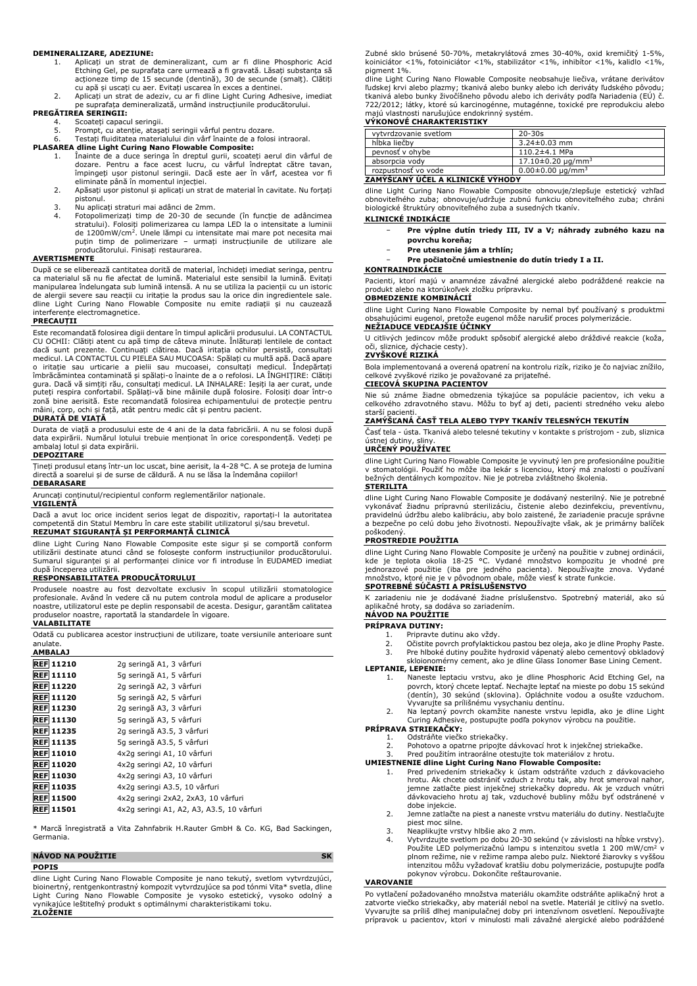#### **DEMINERALIZARE, ADEZIUNE:**

- 1. Aplicați un strat de demineralizant, cum ar fi dline Phosphoric Acid Etching Gel, pe suprafața care urmează a fi gravată. Lăsați substanța să acționeze timp de 15 secunde (dentină), 30 de secunde (smalț). Clătiți
- cu apă și uscați cu aer. Evitați uscarea în exces a dentinei. 2. Aplicați un strat de adeziv, cu ar fi dline Light Curing Adhesive, imediat pe suprafața demineralizată, urmând instrucțiunile producătorului.

#### **PREGĂTIREA SERINGII:**

- 4. Scoateți capacul seringii.<br>5. Prompt, cu atentie, atasa
- 
- 5. Prompt, cu atenție, atașați seringii vârful pentru dozare. 6. Testați fluiditatea materialului din vârf înainte de a folosi intraoral.

# **PLASAREA dline Light Curing Nano Flowable Composite:**

- 1. Înainte de a duce seringa în dreptul gurii, scoateți aerul din vârful de dozare. Pentru a face acest lucru, cu vârful îndreptat către tavan, împingeți ușor pistonul seringii. Dacă este aer în vârf, acestea vor fi eliminate până în momentul injecției.
- 2. Apăsați ușor pistonul și aplicați un strat de material în cavitate. Nu forțați pistonul.
- 3. Nu aplicați straturi mai adânci de 2mm.
- 4. Fotopolimerizați timp de 20-30 de secunde (în funcție de adâncimea stratului). Folosiți polimerizarea cu lampa LED la o intensitate a luminii de 1200mW/cm<sup>2</sup>. Unele lămpi cu intensitate mai mare pot necesita mai puțin timp de polimerizare – urmați instrucțiunile de utilizare ale producătorului. Finisați restaurarea.

#### **AVERTISMENTE**

După ce se eliberează cantitatea dorită de material, închideți imediat seringa, pentru<br>ca materialul să nu fie afectat de lumină. Materialul este sensibil la lumină. Evitați<br>manipularea îndelungata sub lumină intensă. A nu de alergii severe sau reacții cu iritație la produs sau la orice din ingredientele sale. dline Light Curing Nano Flowable Composite nu emite radiații și nu cauzează interferențe electromagnetice.

#### **PRECAUȚII**

Este recomandată folosirea digii dentare în timpul aplicării produsului. LA CONTACTUL CU OCHII: Clătiți atent cu apă timp de câteva minute. Inlăturați lentilele de contact<br>dacă sunt prezente. Continuați clătirea. Dacă iritația ochilor persistă, consultați<br>medicul. LA CONTACTUL CU PIELEA SAU MUCOASA: o iritație sau urticarie a pielii sau mucoasei, consultați medicul. Îndepărtați îmbrăcămintea contaminată și spălați-o înainte de a o refolosi. LA ÎNGHIȚIRE: Clătiți gura. Dacă vă simțiți rău, consultați medicul. LA INHALARE: Ieșiți la aer curat, unde puteți respira confortabil. Spălați-vă bine mâinile după folosire. Folosiți doar într-o zonă bine aerisită. Este recomandată folosirea echipamentului de protecție pentru mâini, corp, ochi și față, atât pentru medic cât și pentru pacient.

# **DURATĂ DE VIAȚĂ**

Durata de viață a produsului este de 4 ani de la data fabricării. A nu se folosi după data expirării. Numărul lotului trebuie menționat în orice corespondență. Vedeți pe lotul și data expirării.

## **DEPOZITARE**

Țineți produsul etanș într-un loc uscat, bine aerisit, la 4-28 °C. A se proteja de lumina directă a soarelui și de surse de căldură. A nu se lăsa la îndemâna copiilor! **DEBARASARE**

Aruncați conținutul/recipientul conform reglementărilor naționale.

#### **VIGILENȚĂ**

Dacă a avut loc orice incident serios legat de dispozitiv, raportați-l la autoritatea competentă din Statul Membru în care este stabilit utilizatorul și/sau brevetul. **REZUMAT SIGURANȚĂ ȘI PERFORMANȚĂ CLINICĂ**

dline Light Curing Nano Flowable Composite este sigur și se comportă conform utilizării destinate atunci când se folosește conform instrucțiunilor producătorului. Sumarul siguranței și al performanței clinice vor fi introduse în EUDAMED imediat după începerea utilizării.

## **RESPONSABILITATEA PRODUCĂTORULUI**

Produsele noastre au fost dezvoltate exclusiv în scopul utilizării stomatologice profesionale. Având în vedere că nu putem controla modul de aplicare a produselor noastre, utilizatorul este pe deplin responsabil de acesta. Desigur, garantăm calitatea produselor noastre, raportată la standardele în vigoare.

#### **VALABILITATE**

Odată cu publicarea acestor instrucțiuni de utilizare, toate versiunile anterioare sunt anulate. **AMBALAJ**

| --------         |                                           |
|------------------|-------------------------------------------|
| <b>REF 11210</b> | 2g seringă A1, 3 vârfuri                  |
| <b>REF 11110</b> | 5g seringă A1, 5 vârfuri                  |
| <b>REF 11220</b> | 2g seringă A2, 3 vârfuri                  |
| <b>REF 11120</b> | 5g seringă A2, 5 vârfuri                  |
| <b>REF 11230</b> | 2g seringă A3, 3 vârfuri                  |
| <b>REF 11130</b> | 5g seringă A3, 5 vârfuri                  |
| <b>REF 11235</b> | 2g seringă A3.5, 3 vârfuri                |
| <b>REF 11135</b> | 5g seringă A3.5, 5 vârfuri                |
| <b>REF 11010</b> | 4x2q seringi A1, 10 vârfuri               |
| <b>REF 11020</b> | 4x2q seringi A2, 10 vârfuri               |
| <b>REF 11030</b> | 4x2q seringi A3, 10 vârfuri               |
| <b>REF 11035</b> | 4x2q seringi A3.5, 10 vârfuri             |
| <b>REF 11500</b> | 4x2q seringi 2xA2, 2xA3, 10 vârfuri       |
| <b>REF 11501</b> | 4x2q seringi A1, A2, A3, A3.5, 10 vârfuri |
|                  |                                           |

Marcă înregistrată a Vita Zahnfabrik H.Rauter GmbH & Co. KG, Bad Sackingen, Germania.

#### **NÁVOD NA POUŽITIE SK POPIS**

dline Light Curing Nano Flowable Composite je nano tekutý, svetlom vytvrdzujúci, bioinertný, rentgenkontrastný kompozit vytvrdzujúce sa pod tónmi Vita\* svetla, dline Light Curing Nano Flowable Composite je vysoko estetický, vysoko odolný a vynikajúce leštiteľný produkt s optimálnymi charakteristikami toku. **ZLOŽENIE**

Zubné sklo brúsené 50-70%, metakrylátová zmes 30-40%, oxid kremičitý 1-5%, koiniciátor <1%, fotoiniciátor <1%, stabilizátor <1%, inhibítor <1%, kalidlo <1%, pigment 1%.

dline Light Curing Nano Flowable Composite neobsahuje liečiva, vrátane derivátov ľudskej krvi alebo plazmy; tkanivá alebo bunky alebo ich deriváty ľudského pôvodu; tkanivá alebo bunky živočíšneho pôvodu alebo ich deriváty podľa Nariadenia (EÚ) č. 722/2012; látky, ktoré sú karcinogénne, mutagénne, toxické pre reprodukciu alebo majú vlastnosti narušujúce endokrinný systém.

# **VÝKONOVÉ CHARAKTERISTIKY**

| vytvrdzovanie svetlom            | $20 - 30s$                        |
|----------------------------------|-----------------------------------|
| hĺbka liečby                     | $3.24 \pm 0.03$ mm                |
| pevnosť v ohvbe                  | $110.2 \pm 4.1$ MPa               |
| absorpcia vody                   | $17.10\pm0.20$ ug/mm <sup>3</sup> |
| rozpustnosť vo vode              | $0.00 \pm 0.00 \mu q/mm^3$        |
| ZAMÝŠĽANÝ ÚČEL A KLINICKÉ VÝHODY |                                   |

# dline Light Curing Nano Flowable Composite obnovuje/zlepšuje estetický vzhľad

obnoviteľného zuba; obnovuje/udržuje zubnú funkciu obnoviteľného zuba; chráni biologické štruktúry obnoviteľného zuba a susedných tkanív.

### **KLINICKÉ INDIKÁCIE**

- − **Pre výplne dutín triedy III, IV a V; náhrady zubného kazu na povrchu koreňa;**
- − **Pre utesnenie jám a trhlín;**
- − **Pre počiatočné umiestnenie do dutín triedy I a II.**

## **KONTRAINDIKÁCIE**

Pacienti, ktorí majú v anamnéze závažné alergické alebo podráždené reakcie na produkt alebo na ktorúkoľvek zložku prípravku.

# **OBMEDZENIE KOMBINÁCIÍ** dline Light Curing Nano Flowable Composite by nemal byť používaný s produktmi

obsahujúcimi eugenol, pretože eugenol môže narušiť proces polymerizácie. **NEŽIADUCE VEDĽAJŠIE ÚČINKY**

U citlivých jedincov môže produkt spôsobiť alergické alebo dráždivé reakcie (koža, oči, sliznice, dýchacie cesty).

# **ZVYŠKOVÉ RIZIKÁ**

Bola implementovaná a overená opatrení na kontrolu rizík, riziko je čo najviac znížilo, celkové zvyškové riziko je považované za prijateľné. **CIEĽOVÁ SKUPINA PACIENTOV**

Nie sú známe žiadne obmedzenia týkajúce sa populácie pacientov, ich veku a celkového zdravotného stavu. Môžu to byť aj deti, pacienti stredného veku alebo starší pacienti.

# **ZAMÝŠĽANÁ ČASŤ TELA ALEBO TYPY TKANÍV TELESNÝCH TEKUTÍN**

Časť tela - ústa. Tkanivá alebo telesné tekutiny v kontakte s prístrojom - zub, sliznica ústnej dutiny, sliny. **URČENÝ POUŽÍVATEĽ**

dline Light Curing Nano Flowable Composite je vyvinutý len pre profesionálne použitie v stomatológii. Použiť ho môže iba lekár s licenciou, ktorý má znalosti o používaní bežných dentálnych kompozitov. Nie je potreba zvláštneho školenia. **STERILITA**

dline Light Curing Nano Flowable Composite je dodávaný nesterilný. Nie je potrebné vykonávať žiadnu prípravnú sterilizáciu, čistenie alebo dezinfekciu, preventívnu, pravidelnú údržbu alebo kalibráciu, aby bolo zaistené, že zariadenie pracuje správne a bezpečne po celú dobu jeho životnosti. Nepoužívajte však, ak je primárny balíček poškodený.

# **PROSTREDIE POUŽITIA**

dline Light Curing Nano Flowable Composite je určený na použitie v zubnej ordinácii, kde je teplota okolia 18-25 °C. Vydané množstvo kompozitu je vhodné pre jednorazové použitie (iba pre jedného pacienta). Nepoužívajte znova. Vydané množstvo, ktoré nie je v pôvodnom obale, môže viesť k strate funkcie. **SPOTREBNÉ SÚČASTI A PRÍSLUŠENSTVO**

K zariadeniu nie je dodávané žiadne príslušenstvo. Spotrebný materiál, ako sú aplikačné hroty, sa dodáva so zariadením. **NÁVOD NA POUŽITIE**

## **PRÍPRAVA DUTINY:**

- - 1. Pripravte dutinu ako vždy.<br>2. Očistite povrch profylaktick 2. Očistite povrch profylaktickou pastou bez oleja, ako je dline Prophy Paste.
	-
- 3. Pre hlboké dutiny použite hydroxid vápenatý alebo cementový obkladový skloionomérny cement, ako je dline Glass Ionomer Base Lining Cement. **LEPTANIE, LEPENIE:**

- 1. Naneste leptaciu vrstvu, ako je dline Phosphoric Acid Etching Gel, na povrch, ktorý chcete leptať. Nechajte leptať na mieste po dobu 15 sekúnd (dentín), 30 sekúnd (sklovina). Opláchnite vodou a osušte vzduchom. Vyvarujte sa prílišnému vysychaniu dentínu.
- 2. Na leptaný povrch okamžite naneste vrstvu lepidla, ako je dline Light Curing Adhesive, postupujte podľa pokynov výrobcu na použitie.

# **PRÍPRAVA STRIEKAČKY:** 1. Odstráňte viečko striekačky.

- 
- 2. Pohotovo a opatrne pripojte dávkovací hrot k injekčnej striekačke. 3. Pred použitím intraorálne otestujte tok materiálov z hrotu.

### **UMIESTNENIE dline Light Curing Nano Flowable Composite:**

- 1. Pred privedením striekačky k ústam odstráňte vzduch z dávkovacieho hrotu. Ak chcete odstrániť vzduch z hrotu tak, aby hrot smeroval nahor, jemne zatlačte piest injekčnej striekačky dopredu. Ak je vzduch vnútri dávkovacieho hrotu aj tak, vzduchové bubliny môžu byť odstránené v dobe injekcie.
- 2. Jemne zatlačte na piest a naneste vrstvu materiálu do dutiny. Nestlačujte piest moc silne.
- 3. Neaplikujte vrstvy hlbšie ako 2 mm.<br>4. Vytvrdzujte svetlom po dobu 20-30 s
- 4. Vytvrdzujte svetlom po dobu 20-30 sekúnd (v závislosti na hĺbke vrstvy).<br>Použite LED polymerizačnú lampu s intenzitou svetla 1 200 mW/cm<sup>2</sup> v plnom režime, nie v režime rampa alebo pulz. Niektoré žiarovky s vyššou intenzitou môžu vyžadovať kratšiu dobu polymerizácie, postupujte podľa pokynov výrobcu. Dokončite reštaurovanie.

#### **VAROVANIE**

Po vytlačení požadovaného množstva materiálu okamžite odstráňte aplikačný hrot a zatvorte viečko striekačky, aby materiál nebol na svetle. Materiál je citlivý na svetlo.<br>Vyvarujte sa príliš dlhej manipulačnej doby pri intenzívnom osvetlení. Nepoužívajte<br>prípravok u pacientov, ktorí v minulosti mali záv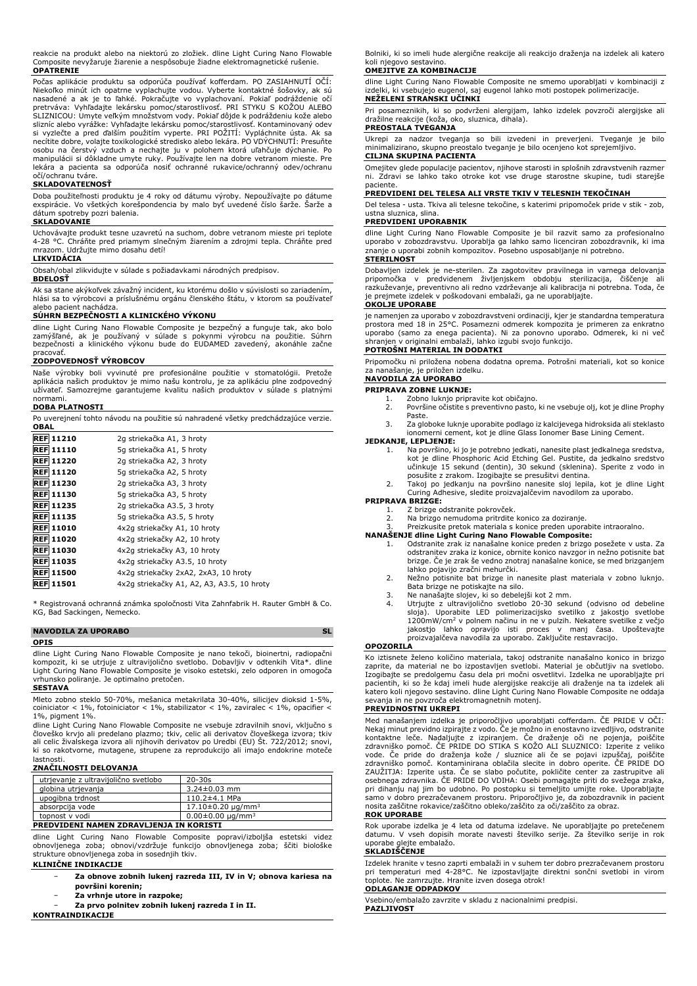reakcie na produkt alebo na niektorú zo zložiek. dline Light Curing Nano Flowable Composite nevyžaruje žiarenie a nespôsobuje žiadne elektromagnetické rušenie. **OPATRENIE**

Počas aplikacie produktu sa odporúča používať kofferdam. PO ZASIAHNUTI OCI:<br>Niekoľko minút ich opatrne vyplachujte vodou. Vyberte kontaktné šošovky, ak sú<br>nasadené a ak je to ľahké. Pokračujte vo vyplachovaní. Pokiaľ podrá pretrváva: Vyhľadajte lekársku pomoc/starostlivosť. PRI STYKU S KOŽOU ALEBO SLIZNICOU: Umyte veľkým množstvom vody. Pokiaľ dôjde k podráždeniu kože alebo slizníc alebo vyrážke: Vyhľadajte lekársku pomoc/starostlivosť. Kontaminovaný odev si vyzlečte a pred ďalším použitím vyperte. PRI POŽITÍ: Vypláchnite ústa. Ak sa necítite dobre, volajte toxikologické stredisko alebo lekára. PO VDÝCHNUTÍ: Presuňte osobu na čerstvý vzduch a nechajte ju v polohem ktorá uľahčuje dýchanie. Po manipulácii si dôkladne umyte ruky. Používajte len na dobre vetranom mieste. Pre lekára a pacienta sa odporúča nosiť ochranné rukavice/ochranný odev/ochranu očí/ochranu tváre.

### **SKLADOVATEĽNOSŤ**

Doba použiteľnosti produktu je 4 roky od dátumu výroby. Nepoužívajte po dátume exspirácie. Vo všetkých korešpondencia by malo byť uvedené číslo šarže. Šarže a dátum spotreby pozri balenia.

#### **SKLADOVANIE**

Uchovávajte produkt tesne uzavretú na suchom, dobre vetranom mieste pri teplote 4-28 °C. Chráňte pred priamym slnečným žiarením a zdrojmi tepla. Chráňte pred mrazom. Udržujte mimo dosahu detí!

# **LIKVIDÁCIA**

Obsah/obal zlikvidujte v súlade s požiadavkami národných predpisov.

# **BDELOSŤ**

Ak sa stane akýkoľvek závažný incident, ku ktorému došlo v súvislosti so zariadením, hlási sa to výrobcovi a príslušnému orgánu členského štátu, v ktorom sa používateľ alebo pacient nachádza.

#### **SÚHRN BEZPEČNOSTI A KLINICKÉHO VÝKONU**

dline Light Curing Nano Flowable Composite je bezpečný a funguje tak, ako bolo zamýšľané, ak je používaný v súlade s pokynmi výrobcu na použitie. Súhrn bezpečnosti a klinického výkonu bude do EUDAMED zavedený, akonáhle začne pracovať.

#### **ZODPOVEDNOSŤ VÝROBCOV**

Naše výrobky boli vyvinuté pre profesionálne použitie v stomatológii. Pretože aplikácia našich produktov je mimo našu kontrolu, je za aplikáciu plne zodpovedný užívateľ. Samozrejme garantujeme kvalitu našich produktov v súlade s platnými normami.

#### **DOBA PLATNOSTI**

Po uverejnení tohto návodu na použitie sú nahradené všetky predchádzajúce verzie. **OBAL**

| <b>REF 11210</b> | 2q striekačka A1, 3 hroty                  |
|------------------|--------------------------------------------|
| <b>REF 11110</b> | 5q striekačka A1, 5 hroty                  |
| <b>REF 11220</b> | 2g striekačka A2, 3 hroty                  |
| <b>REF 11120</b> | 5q striekačka A2, 5 hroty                  |
| <b>REF 11230</b> | 2g striekačka A3, 3 hroty                  |
| <b>REF 11130</b> | 5g striekačka A3, 5 hroty                  |
| <b>REF 11235</b> | 2g striekačka A3.5, 3 hroty                |
| <b>REF 11135</b> | 5g striekačka A3.5, 5 hroty                |
| <b>REF 11010</b> | 4x2q striekačky A1, 10 hroty               |
| <b>REF 11020</b> | 4x2g striekačky A2, 10 hroty               |
| <b>REF 11030</b> | 4x2q striekačky A3, 10 hroty               |
| <b>REF 11035</b> | 4x2q striekačky A3.5, 10 hroty             |
| <b>REF 11500</b> | 4x2q striekačky 2xA2, 2xA3, 10 hroty       |
| <b>REF 11501</b> | 4x2q striekačky A1, A2, A3, A3.5, 10 hroty |

\* Registrovaná ochranná známka spoločnosti Vita Zahnfabrik H. Rauter GmbH & Co. KG, Bad Sackingen, Nemecko.

# **NAVODILA ZA UPORABO SL**

# **OPIS**

dline Light Curing Nano Flowable Composite je nano tekoči, bioinertni, radiopačni<br>kompozit, ki se utrjuje z ultravijolično svetlobo. Dobavljiv v odtenkih Vita\*. dline<br>Light Curing Nano Flowable Composite je visoko estetski vrhunsko poliranje. Je optimalno pretočen. **SESTAVA**

Mleto zobno steklo 50-70%, mešanica metakrilata 30-40%, silicijev dioksid 1-5%, coiniciator < 1%, fotoiniciator < 1%, stabilizator < 1%, zaviralec < 1%, opacifier < 1%, pigment 1%.

dline Light Curing Nano Flowable Composite ne vsebuje zdravilnih snovi, vključno s<br>človeško krvjo ali predelano plazmo; tkiv, celic ali derivatov človeškega izvora; tkiv<br>ali celic živalskega izvora ali njihovih derivatov p ki so rakotvorne, mutagene, strupene za reprodukcijo ali imajo endokrine moteče

# lastnosti. **ZNAČILNOSTI DELOVANJA**

| utrjevanje z ultravijolično svetlobo         | $20 - 30s$                        |  |
|----------------------------------------------|-----------------------------------|--|
| globina utrjevanja                           | $3.24 \pm 0.03$ mm                |  |
| upogibna trdnost                             | $110.2 \pm 4.1$ MPa               |  |
| absorpcija vode                              | $17.10\pm0.20$ ug/mm <sup>3</sup> |  |
| $0.00 \pm 0.00 \mu q/mm^3$<br>topnost v vodi |                                   |  |
| PREDVIDENI NAMEN ZDRAVLJENJA IN KORISTI      |                                   |  |

dline Light Curing Nano Flowable Composite popravi/izboljša estetski videz obnovljenega zoba; obnovi/vzdržuje funkcijo obnovljenega zoba; ščiti biološke strukture obnovljenega zoba in sosednjih tkiv.

- **KLINIČNE INDIKACIJE**
	- − **Za obnove zobnih lukenj razreda III, IV in V; obnova kariesa na površini korenin;**
	- − **Za vrhnje utore in razpoke;**
	- − **Za prvo polnitev zobnih lukenj razreda I in II.**

**KONTRAINDIKACIJE**

Bolniki, ki so imeli hude alergične reakcije ali reakcijo draženja na izdelek ali katero koli njegovo sestavino.

### **OMEJITVE ZA KOMBINACIJE**

dline Light Curing Nano Flowable Composite ne smemo uporabljati v kombinaciji z izdelki, ki vsebujejo eugenol, saj eugenol lahko moti postopek polimerizacije. **NEŽELENI STRANSKI UČINKI**

Pri posameznikih, ki so podvrženi alergijam, lahko izdelek povzroči alergijske ali dražilne reakcije (koža, oko, sluznica, dihala).

# **PREOSTALA TVEGANJA**

Ukrepi za nadzor tveganja so bili izvedeni in preverjeni. Tveganje je bilo minimalizirano, skupno preostalo tveganje je bilo ocenjeno kot sprejemljivo. **CILJNA SKUPINA PACIENTA**

Omejitev glede populacije pacientov, njihove starosti in splošnih zdravstvenih razmer ni. Zdravi se lahko tako otroke kot vse druge starostne skupine, tudi starejše paciente.

#### **PREDVIDENI DEL TELESA ALI VRSTE TKIV V TELESNIH TEKOČINAH**

Del telesa - usta. Tkiva ali telesne tekočine, s katerimi pripomoček pride v stik - zob, ustna sluznica, slina.

# **PREDVIDENI UPORABNIK**

dline Light Curing Nano Flowable Composite je bil razvit samo za profesionalno uporabo v zobozdravstvu. Uporablja ga lahko samo licenciran zobozdravnik, ki ima znanje o uporabi zobnih kompozitov. Posebno usposabljanje ni potrebno. **STERILNOST**

# Dobavljen izdelek je ne-sterilen. Za zagotovitev pravilnega in varnega delovanja<br>pripomočka v predvidenem življenjskem obdobju sterilizacija, čiščenje ali pripomočka v predvidenem življenjskem obdobju sterilizacija, razkuževanje, preventivno ali redno vzdrževanje ali kalibracija ni potrebna. Toda, če je prejmete izdelek v poškodovani embalaži, ga ne uporabljajte.

#### **OKOLJE UPORABE**

je namenjen za uporabo v zobozdravstveni ordinaciji, kjer je standardna temperatura prostora med 18 in 25°C. Posamezni odmerek kompozita je primeren za enkratno uporabo (samo za enega pacienta). Ni za ponovno uporabo. Odmerek, ki ni več shranjen v originalni embalaži, lahko izgubi svojo funkcijo.

### **POTROŠNI MATERIAL IN DODATKI**

Pripomočku ni priložena nobena dodatna oprema. Potrošni materiali, kot so konice za nanašanje, je priložen izdelku. **NAVODILA ZA UPORABO**

- **PRIPRAVA ZOBNE LUKNJE:**
	- 1. Zobno luknjo pripravite kot običajno.<br>2. Površine očistite s preventivno pasto, 2. Površine očistite s preventivno pasto, ki ne vsebuje olj, kot je dline Prophy Paste.
	- 3. Za globoke luknje uporabite podlago iz kalcijevega hidroksida ali steklasto ionomerni cement, kot je dline Glass Ionomer Base Lining Cement.

# **JEDKANJE, LEPLJENJE:**

- 1. Na površino, ki jo je potrebno jedkati, nanesite plast jedkalnega sredstva,<br>kot je dline Phosphoric Acid Etching Gel. Pustite, da jedkalno sredstvo<br>učinkuje 15 sekund (dentin), 30 sekund (sklenina). Sperite z vodo in
- posušite z zrakom. Izogibajte se presušitvi dentina. 2. Takoj po jedkanju na površino nanesite sloj lepila, kot je dline Light Curing Adhesive, sledite proizvajalčevim navodilom za uporabo.

## **PRIPRAVA BRIZGE:**

- 1. Z brizge odstranite pokrovček.<br>2. Na brizgo nemudoma pritrdite
- 2. Na brizgo nemudoma pritrdite konico za doziranje. 3. Preizkusite pretok materiala s konice preden uporabite intraoralno.

# **NANAŠENJE dline Light Curing Nano Flowable Composite:**

- 1. Odstranite zrak iz nanašalne konice preden z brizgo posežete v usta. Za odstranitev zraka iz konice, obrnite konico navzgor in nežno potisnite bat brizge. Če je zrak še vedno znotraj nanašalne konice, se med brizganjem lahko pojavijo zračni mehurčki.
- 2. Nežno potisnite bat brizge in nanesite plast materiala v zobno luknjo. Bata brizge ne potiskajte na silo. 3. Ne nanašajte slojev, ki so debelejši kot 2 mm.
- 
- 4. Utrjujte z ultravijolično svetlobo 20-30 sekund (odvisno od debeline sloja). Uporabite LED polimerizacijsko svetilko z jakostjo svetlobe 1200mW/cm<sup>2</sup> v polnem načinu in ne v pulzih. Nekatere svetilke z večjo jakostjo lahko opravijo isti proces v manj časa. Upoštevajte proizvajalčeva navodila za uporabo. Zaključite restavracijo.

## **OPOZORILA**

Ko iztisnete želeno količino materiala, takoj odstranite nanašalno konico in brizgo zaprite, da material ne bo izpostavljen svetlobi. Material je občutljiv na svetlobo. Izogibajte se predolgemu času dela pri močni osvetlitvi. Izdelka ne uporabljajte pri pacientih, ki so že kdaj imeli hude alergijske reakcije ali draženje na ta izdelek ali<br>katero koli njegovo sestavino. dline Light Curing Nano Flowable Composite ne oddaja<br>sevanja in ne povzroča elektromagnetnih motenj.

### **PREVIDNOSTNI UKREPI**

Med nanašanjem izdelka je priporočljivo uporabljati cofferdam. CE PRIDE V OCI:<br>Nekaj minut previdno izpirajte z vodo. Če je možno in enostavno izvedljivo, odstranite<br>kontaktne leče. Nadaljujte z izpiranjem. Če draženje oči vode. Če pride do draženja kože / sluznice ali če se pojavi izpuščaj, poiščite zdravniško pomoč. Kontaminirana oblačila slecite in dobro operite. ČE PRIDE DO ZAUŽITJA: Izperite usta. Če se slabo počutite, pokličite center za zastrupitve ali osebnega zdravnika. ČE PRIDE DO VDIHA: Osebi pomagajte priti do svežega zraka, pri dihanju naj jim bo udobno. Po postopku si temeljito umijte roke. Uporabljajte samo v dobro prezračevanem prostoru. Priporočljivo je, da zobozdravnik in pacient nosita zaščitne rokavice/zaščitno obleko/zaščito za oči/zaščito za obraz.

# **ROK UPORABE**

Rok uporabe izdelka je 4 leta od datuma izdelave. Ne uporabljajte po pretečenem datumu. V vseh dopisih morate navesti številko serije. Za številko serije in rok uporabe glejte embalažo.

#### **SKLADIŠČENJE**

Izdelek hranite v tesno zaprti embalaži in v suhem ter dobro prezračevanem prostoru pri temperaturi med 4-28°C. Ne izpostavljajte direktni sončni svetlobi in virom toplote. Ne zamrzujte. Hranite izven dosega otrok! **ODLAGANJE ODPADKOV**

Vsebino/embalažo zavrzite v skladu z nacionalnimi predpisi. **PAZLJIVOST**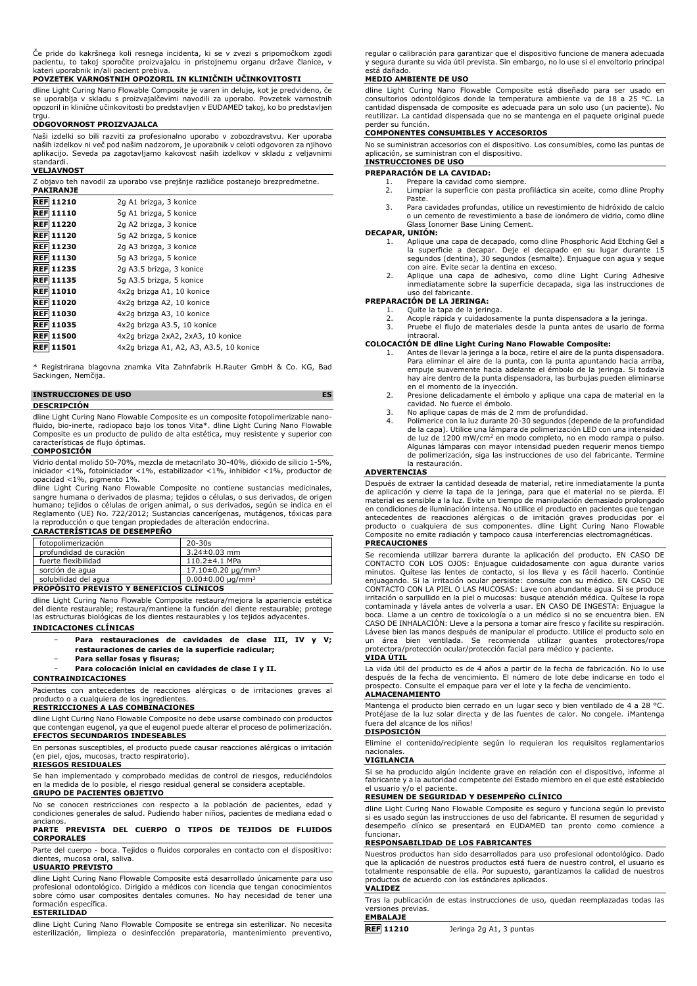Če pride do kakršnega koli resnega incidenta, ki se v zvezi s pripomočkom zgodi pacientu, to takoj sporočite proizvajalcu in pristojnemu organu države članice, v kateri uporabnik in/ali pacient prebiva.

#### **POVZETEK VARNOSTNIH OPOZORIL IN KLINIČNIH UČINKOVITOSTI**

dline Light Curing Nano Flowable Composite je varen in deluje, kot je predvideno, če se uporablja v skladu s proizvajalčevimi navodili za uporabo. Povzetek varnostnih opozoril in klinične učinkovitosti bo predstavljen v EUDAMED takoj, ko bo predstavljen trau.

## **ODGOVORNOST PROIZVAJALCA**

Naši izdelki so bili razviti za profesionalno uporabo v zobozdravstvu. Ker uporaba<br>naših izdelkov ni več pod našim nadzorom, je uporabnik v celoti odgovoren za njihovo naših izdelkov ni več pod našim nadzorom, je uporabnik v celoti odgovoren za njihovo aplikacijo. Seveda pa zagotavljamo kakovost naših izdelkov v skladu z veljavnimi standardi.

#### **VELJAVNOST**

| Z objavo teh navodil za uporabo vse prejšnje različice postanejo brezpredmetne. |                                         |  |
|---------------------------------------------------------------------------------|-----------------------------------------|--|
| <b>PAKIRANJE</b>                                                                |                                         |  |
| <b>REF 11210</b>                                                                | 2g A1 brizga, 3 konice                  |  |
| <b>REF 11110</b>                                                                | 5g A1 brizga, 5 konice                  |  |
| <b>REF 11220</b>                                                                | 2g A2 brizga, 3 konice                  |  |
| <b>REF 11120</b>                                                                | 5g A2 brizga, 5 konice                  |  |
| <b>REF 11230</b>                                                                | 2g A3 brizga, 3 konice                  |  |
| <b>REF 11130</b>                                                                | 5g A3 brizga, 5 konice                  |  |
| <b>REF 11235</b>                                                                | 2g A3.5 brizga, 3 konice                |  |
| <b>REF 11135</b>                                                                | 5q A3.5 brizga, 5 konice                |  |
| <b>REF 11010</b>                                                                | 4x2q brizga A1, 10 konice               |  |
| <b>REF 11020</b>                                                                | 4x2q brizga A2, 10 konice               |  |
| <b>REF 11030</b>                                                                | 4x2q brizga A3, 10 konice               |  |
| <b>REF 11035</b>                                                                | 4x2q brizga A3.5, 10 konice             |  |
| <b>REF 11500</b>                                                                | 4x2q brizga 2xA2, 2xA3, 10 konice       |  |
| <b>REF 11501</b>                                                                | 4x2g brizga A1, A2, A3, A3.5, 10 konice |  |

\* Registrirana blagovna znamka Vita Zahnfabrik H.Rauter GmbH & Co. KG, Bad Sackingen, Nemčija.

# **INSTRUCCIONES DE USO ES**

**DESCRIPCIÓN**

dline Light Curing Nano Flowable Composite es un composite fotopolimerizable nanofluido, bio-inerte, radiopaco bajo los tonos Vita\*. dline Light Curing Nano Flowable Composite es un producto de pulido de alta estética, muy resistente y superior con características de flujo óptimas.

#### **COMPOSICIÓN**

Vidrio dental molido 50-70%, mezcla de metacrilato 30-40%, dióxido de silicio 1-5%, iniciador <1%, fotoiniciador <1%, estabilizador <1%, inhibidor <1%, productor de opacidad <1%, pigmento 1%.

dline Light Curing Nano Flowable Composite no contiene sustancias medicinales, sangre humana o derivados de plasma; tejidos o células, o sus derivados, de origen humano; tejidos o células de origen animal, o sus derivados, según se indica en el<br>Reglamento (UE) No. 722/2012; Sustancias cancerígenas, mutágenos, tóxicas para<br>la reproducción o que tengan propiedades de alteración endoc

#### **CARACTERÍSTICAS DE DESEMPEÑO**

| fotopolimerización                              | $20 - 30s$                 |
|-------------------------------------------------|----------------------------|
| profundidad de curación                         | $3.24 \pm 0.03$ mm         |
| fuerte flexibilidad                             | $110.2 \pm 4.1$ MPa        |
| sorción de agua                                 | $17.10\pm0.20 \mu q/mm^3$  |
| solubilidad del aqua                            | $0.00 \pm 0.00 \mu q/mm^3$ |
| <b>PROPÓSITO PREVISTO Y BENEFICIOS CLÍNICOS</b> |                            |

dline Light Curing Nano Flowable Composite restaura/mejora la apariencia estética del diente restaurable; restaura/mantiene la función del diente restaurable; protege las estructuras biológicas de los dientes restaurables y los tejidos adyacentes.

# **INDICACIONES CLÍNICAS**

- − **Para restauraciones de cavidades de clase III, IV y V; restauraciones de caries de la superficie radicular;**
- − **Para sellar fosas y fisuras;**
- − **Para colocación inicial en cavidades de clase I y II.**

## **CONTRAINDICACIONES**

Pacientes con antecedentes de reacciones alérgicas o de irritaciones graves al producto o a cualquiera de los ingredientes.

**RESTRICCIONES A LAS COMBINACIONES**

dline Light Curing Nano Flowable Composite no debe usarse combinado con productos que contengan eugenol, ya que el eugenol puede alterar el proceso de polimerización. **EFECTOS SECUNDARIOS INDESEABLES**

En personas susceptibles, el producto puede causar reacciones alérgicas o irritación (en piel, ojos, mucosas, tracto respiratorio).

# **RIESGOS RESIDUALES**

Se han implementado y comprobado medidas de control de riesgos, reduciéndolos en la medida de lo posible, el riesgo residual general se considera aceptable. **GRUPO DE PACIENTES OBJETIVO**

No se conocen restricciones con respecto a la población de pacientes, edad y condiciones generales de salud. Pudiendo haber niños, pacientes de mediana edad o ancianos.

#### **PARTE PREVISTA DEL CUERPO O TIPOS DE TEJIDOS DE FLUIDOS CORPORALES**

Parte del cuerpo - boca. Tejidos o fluidos corporales en contacto con el dispositivo: dientes, mucosa oral, saliva.

# **USUARIO PREVISTO**

dline Light Curing Nano Flowable Composite está desarrollado únicamente para uso profesional odontológico. Dirigido a médicos con licencia que tengan conocimientos sobre cómo usar composites dentales comunes. No hay necesidad de tener una formación específica.

#### **ESTERILIDAD**

dline Light Curing Nano Flowable Composite se entrega sin esterilizar. No necesita esterilización, limpieza o desinfección preparatoria, mantenimiento preventivo, regular o calibración para garantizar que el dispositivo funcione de manera adecuada y segura durante su vida útil prevista. Sin embargo, no lo use si el envoltorio principal está dañado.

## **MEDIO AMBIENTE DE USO**

dline Light Curing Nano Flowable Composite está diseñado para ser usado en consultorios odontológicos donde la temperatura ambiente va de 18 a 25 °C. La consultorios odontológicos donde la temperatura ambiente va de 18 a 25 cantidad dispensada de composite es adecuada para un solo uso (un paciente). No reutilizar. La cantidad dispensada que no se mantenga en el paquete original puede perder su función.

### **COMPONENTES CONSUMIBLES Y ACCESORIOS**

No se suministran accesorios con el dispositivo. Los consumibles, como las puntas de aplicación, se suministran con el dispositivo. **INSTRUCCIONES DE USO**

# **PREPARACIÓN DE LA CAVIDAD:**

- - 1. Prepare la cavidad como siempre.<br>2. Limpiar la superficie con pasta pr Limpiar la superficie con pasta profiláctica sin aceite, como dline Prophy Paste.
	- 3. Para cavidades profundas, utilice un revestimiento de hidróxido de calcio o un cemento de revestimiento a base de ionómero de vidrio, como dline Glass Ionomer Base Lining Cement.

#### **DECAPAR, UNIÓN:**

- 1. Aplique una capa de decapado, como dline Phosphoric Acid Etching Gel a la superficie a decapar. Deje el decapado en su lugar durante 15 segundos (dentina), 30 segundos (esmalte). Enjuague con agua y seque con aire. Evite secar la dentina en exceso.
- 2. Aplique una capa de adhesivo, como dline Light Curing Adhesive inmediatamente sobre la superficie decapada, siga las instrucciones de uso del fabricante

#### **PREPARACIÓN DE LA JERINGA:**

- 
- 1. Quite la tapa de la jeringa. 2. Acople rápida y cuidadosamente la punta dispensadora a la jeringa. 3. Pruebe el flujo de materiales desde la punta antes de usarlo de forma intraoral.

## **COLOCACIÓN DE dline Light Curing Nano Flowable Composite:**

- 1. Antes de llevar la jeringa a la boca, retire el aire de la punta dispensadora. Para eliminar el aire de la punta, con la punta apuntando hacia arriba, empuje suavemente hacia adelante el émbolo de la jeringa. Si todavía hay aire dentro de la punta dispensadora, las burbujas pueden eliminarse
- en el momento de la inyección. 2. Presione delicadamente el émbolo y aplique una capa de material en la cavidad. No fuerce el émbolo.
- 
- 3. No aplique capas de más de 2 mm de profundidad.<br>4. Polimerice con la luz durante 20-30 segundos (depende de la profundidad<br>de la capa). Utilice una lámpara de polimerización LED con una intensidad<br>de luz de 1200 mW/cm<sup>2</sup> Algunas lámparas con mayor intensidad pueden requerir menos tiempo de polimerización, siga las instrucciones de uso del fabricante. Termine la restauración.

#### **ADVERTENCIAS**

Después de extraer la cantidad deseada de material, retire inmediatamente la punta de aplicación y cierre la tapa de la jeringa, para que el material no se pierda. El<br>material es sensible a la luz. Evite un tiempo de manipulación demasiado prolongado<br>en condiciones de iluminación intensa. No utilice el p antecedentes de reacciones alérgicas o de irritación graves producidas por el<br>producto o cualquiera de sus componentes. dline Light Curing Nano Flowable<br>Composite-no-emite-radiación-y-tampoco-causa-interferencias-electroma **PRECAUCIONES**

Se recomienda utilizar barrera durante la aplicación del producto. EN CASO DE CONTACTO CON LOS OJOS: Enjuague cuidadosamente con agua durante varios minutos. Quítese las lentes de contacto, si los lleva y es fácil hacerlo. Continúe enjuagando. Si la irritación ocular persiste: consulte con su médico. EN CASO DE CONTACTO CON LA PIEL O LAS MUCOSAS: Lave con abundante agua. Si se produce irritación o sarpullido en la piel o mucosas: busque atención médica. Quítese la ropa<br>contaminada y lávela antes de volverla a usar. EN CASO DE INGESTA: Enjuague la<br>boca. Llame a un centro de toxicología o a un médico si n CASO DE INHALACIÓN: Lleve a la persona a tomar aire fresco y facilite su respiración. Lávese bien las manos después de manipular el producto. Utilice el producto solo en un área bien ventilada. Se recomienda utilizar guantes protectores/ropa protectora/protección ocular/protección facial para médico y paciente. **VIDA ÚTIL**

La vida útil del producto es de 4 años a partir de la fecha de fabricación. No lo use después de la fecha de vencimiento. El número de lote debe indicarse en todo el prospecto. Consulte el empaque para ver el lote y la fecha de vencimiento.

### **ALMACENAMIENTO**

Mantenga el producto bien cerrado en un lugar seco y bien ventilado de 4 a 28 °C. Protéjase de la luz solar directa y de las fuentes de calor. No congele. iMantenga fuera del alcance de los niños! **DISPOSICIÓN**

#### Elimine el contenido/recipiente según lo requieran los requisitos reglamentarios nacionales.

#### **VIGILANCIA**

Si se ha producido algún incidente grave en relación con el dispositivo, informe al fabricante y a la autoridad competente del Estado miembro en el que esté establecido el usuario y/o el paciente.

### **RESUMEN DE SEGURIDAD Y DESEMPEÑO CLÍNICO**

dline Light Curing Nano Flowable Composite es seguro y funciona según lo previsto si es usado según las instrucciones de uso del fabricante. El resumen de seguridad y desempeño clínico se presentará en EUDAMED tan pronto como comience a funcionar.

## **RESPONSABILIDAD DE LOS FABRICANTES**

Nuestros productos han sido desarrollados para uso profesional odontológico. Dado que la aplicación de nuestros productos está fuera de nuestro control, el usuario es totalmente responsable de ella. Por supuesto, garantizamos la calidad de nuestros productos de acuerdo con los estándares aplicados.

# **VALIDEZ**

Tras la publicación de estas instrucciones de uso, quedan reemplazadas todas las versiones previas. **EMBALAJE**

| <b>REF 11210</b> | Jeringa |
|------------------|---------|
|------------------|---------|

2g A1, 3 puntas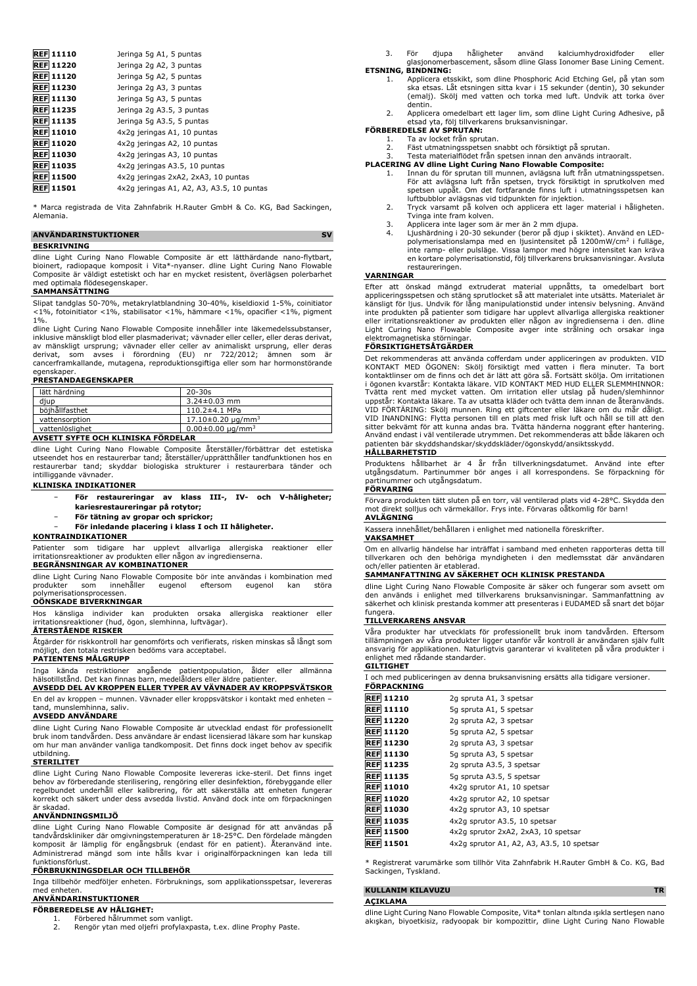| <b>REF 11110</b> | Jeringa 5g A1, 5 puntas                   |
|------------------|-------------------------------------------|
| <b>REF 11220</b> | Jeringa 2g A2, 3 puntas                   |
| <b>REF 11120</b> | Jeringa 5g A2, 5 puntas                   |
| <b>REF 11230</b> | Jeringa 2g A3, 3 puntas                   |
| <b>REF 11130</b> | Jeringa 5g A3, 5 puntas                   |
| <b>REF 11235</b> | Jeringa 2g A3.5, 3 puntas                 |
| <b>REF 11135</b> | Jeringa 5g A3.5, 5 puntas                 |
| <b>REF 11010</b> | 4x2q jeringas A1, 10 puntas               |
| <b>REF 11020</b> | 4x2q jeringas A2, 10 puntas               |
| <b>REF 11030</b> | 4x2q jeringas A3, 10 puntas               |
| <b>REF 11035</b> | 4x2q jeringas A3.5, 10 puntas             |
| <b>REF 11500</b> | 4x2q jeringas 2xA2, 2xA3, 10 puntas       |
| 11501<br>REFI    | 4x2q jeringas A1, A2, A3, A3.5, 10 puntas |

\* Marca registrada de Vita Zahnfabrik H.Rauter GmbH & Co. KG, Bad Sackingen, Alemania.

| <b>ANVANDARINSTUKTIONER</b> |  |
|-----------------------------|--|
| <b>BESKRIVNING</b>          |  |

dline Light Curing Nano Flowable Composite är ett lätthärdande nano-flytbart, bioinert, radiopaque komposit i Vita\*-nyanser. dline Light Curing Nano Flowable Composite är väldigt estetiskt och har en mycket resistent, överlägsen polerbarhet med optimala flödesegenskaper.

#### **SAMMANSÄTTNING**

Slipat tandglas 50-70%, metakrylatblandning 30-40%, kiseldioxid 1-5%, coinitiator <1%, fotoinitiator <1%, stabilisator <1%, hämmare <1%, opacifier <1%, pigment 1%.

dline Light Curing Nano Flowable Composite innehåller inte läkemedelssubstanser, inklusive mänskligt blod eller plasmaderivat; vävnader eller celler, eller deras derivat,<br>av mänskligt ursprung; vävnader eller celler av animaliskt ursprung, eller deras<br>derivat, som avses i förordning (EU) nr egenskaper.

#### **PRESTANDAEGENSKAPER**

| $20 - 30s$                     |
|--------------------------------|
| $3.24 \pm 0.03$ mm             |
| $110.2 \pm 4.1$ MPa            |
| $17.10\pm0.20 \text{ uq/mm}^3$ |
| $0.00 \pm 0.00 \mu q/mm^3$     |
|                                |

## **AVSETT SYFTE OCH KLINISKA FÖRDELAR**

dline Light Curing Nano Flowable Composite återställer/förbättrar det estetiska utseendet hos en restaurerbar tand; återställer/upprätthåller tandfunktionen hos en restaurerbar tand; skyddar biologiska strukturer i restaurerbara tänder och intilliggande vävnader.

## **KLINISKA INDIKATIONER**

- − **För restaureringar av klass III-, IV- och V-håligheter; kariesrestaureringar på rotytor;**
- − **För tätning av gropar och sprickor;**
- − **För inledande placering i klass I och II håligheter.**

# **KONTRAINDIKATIONER**

Patienter som tidigare har upplevt allvarliga allergiska reaktioner eller irritationsreaktioner av produkten eller någon av ingredienserna. **BEGRÄNSNINGAR AV KOMBINATIONER**

dline Light Curing Nano Flowable Composite bör inte användas i kombination med<br>produkter som innehåller eugenol eftersom eugenol kan störa produkter som innehåller eugenol eftersom eugenol kan störa polymerisationsprocessen.

#### **OÖNSKADE BIVERKNINGAR**

Hos känsliga individer kan produkten orsaka allergiska reaktioner eller irritationsreaktioner (hud, ögon, slemhinna, luftvägar). **ÅTERSTÅENDE RISKER**

Åtgärder för riskkontroll har genomförts och verifierats, risken minskas så långt som möjligt, den totala restrisken bedöms vara acceptabel.

# **PATIENTENS MÅLGRUPP**

Inga kända restriktioner angående patientpopulation, ålder eller allmänna hälsotillstånd. Det kan finnas barn, medelålders eller äldre patienter. **AVSEDD DEL AV KROPPEN ELLER TYPER AV VÄVNADER AV KROPPSVÄTSKOR**

En del av kroppen – munnen. Vävnader eller kroppsvätskor i kontakt med enheten – tand, munslemhinna, saliv.

# **AVSEDD ANVÄNDARE**

dline Light Curing Nano Flowable Composite är utvecklad endast för professionellt bruk inom tandvården. Dess användare är endast licensierad läkare som har kunskap om hur man använder vanliga tandkomposit. Det finns dock inget behov av specifik utbildning.

#### **STERILITET**

dline Light Curing Nano Flowable Composite levereras icke-steril. Det finns inget behov av förberedande sterilisering, rengöring eller desinfektion, förebyggande eller<br>regelbundet underhåll eller kalibrering, för att säkerställa att enheten fungerar<br>korrekt och säkert under dess avsedda livsti är skadad.

# **ANVÄNDNINGSMILJÖ**

dline Light Curing Nano Flowable Composite är designad för att användas på<br>tandvårdskliniker där omgivningstemperaturen är 18-25°C. Den fördelade mängden<br>komposit är lämplig för engångsbruk (endast för en patient). Återanv Administrerad mängd som inte hålls kvar i originalförpackningen kan leda till funktionsförlust.

## **FÖRBRUKNINGSDELAR OCH TILLBEHÖR**

Inga tillbehör medföljer enheten. Förbruknings, som applikationsspetsar, levereras med enheten.

#### **ANVÄNDARINSTUKTIONER FÖRBEREDELSE AV HÅLIGHET:**

1. Förbered hålrummet som vanligt. 2. Rengör ytan med oljefri profylaxpasta, t.ex. dline Prophy Paste.

3. För djupa håligheter använd kalciumhydroxidfoder eller glasjonomerbascement, såsom dline Glass Ionomer Base Lining Cement. **ETSNING, BINDNING:**

- 1. Applicera etsskikt, som dline Phosphoric Acid Etching Gel, på ytan som ska etsas. Låt etsningen sitta kvar i 15 sekunder (dentin), 30 sekunder (emalj). Skölj med vatten och torka med luft. Undvik att torka över dentin.
	- 2. Applicera omedelbart ett lager lim, som dline Light Curing Adhesive, på etsad yta, följ tillverkarens bruksanvisningar.

# **FORBEREDELSE AV SPRUTAN:**<br>1. Ta av locket från sprutan.

- - 2. Fäst utmatningsspetsen snabbt och försiktigt på sprutan.
- 3. Testa materialflödet från spetsen innan den används intraoralt.

# **PLACERING AV dline Light Curing Nano Flowable Composite:**

- 1. Innan du för sprutan till munnen, avlägsna luft från utmatningsspetsen.<br>För att avlägsna luft från spetsen, tryck försiktigt in sprutkolven med<br>spetsen uppåt. Om det fortfarande finns luft i utmatningsspetsen kan<br>luftbu
- Tvinga inte fram kolven. 3. Applicera inte lager som är mer än 2 mm djupa.
- 4. Ljushärdning i 20-30 sekunder (beror på djup i skiktet). Använd en LED-polymerisationslampa med en ljusintensitet på 1200mW/cm<sup>2</sup> i fulläge, inte ramp- eller pulsläge. Vissa lampor med högre intensitet kan kräva en kortare polymerisationstid, följ tillverkarens bruksanvisningar. Avsluta restaureringen.

#### **VARNINGAR**

Efter att önskad mängd extruderat material uppnåtts, ta omedelbart bort appliceringsspetsen och stäng sprutlocket så att materialet inte utsätts. Materialet är<br>känsligt för ljus. Undvik för lång manipulationstid under intensiv belysning. Använd<br>inte produkten på patienter som tidigare har uppl eller irritationsreaktioner av produkten eller någon av ingredienserna i den. dline Light Curing Nano Flowable Composite avger inte strålning och orsakar inga elektromagnetiska störningar.

### **FÖRSIKTIGHETSÅTGÄRDER**

Det rekommenderas att använda cofferdam under appliceringen av produkten. VID KONTAKT MED OGONEN: Skölj försiktigt med vatten i flera minuter. Ta bort<br>kontaktlinser om de finns och det är lätt att göra så. Fortsätt skölja. Om irritationen<br>i ögonen kvarstår: Kontakta läkare. VID KONTAKT MED HUD ELLER uppstår: Kontakta läkare. Ta av utsatta kläder och tvätta dem innan de återanvänds. VID FÖRTÄRING: Skölj munnen. Ring ett giftcenter eller läkare om du mår dåligt. VID INANDNING: Flytta personen till en plats med frisk luft och håll se till att den sitter bekvämt för att kunna andas bra. Tvätta händerna noggrant efter hantering. Använd endast i väl ventilerade utrymmen. Det rekommenderas att både läkaren och patienten bär skyddshandskar/skyddskläder/ögonskydd/ansiktsskydd. **HÅLLBARHETSTID**

Produktens hållbarhet är 4 år från tillverkningsdatumet. Använd inte efter utgångsdatum. Partinummer bör anges i all korrespondens. Se förpackning för partinummer och utgångsdatum.

#### **FÖRVARING**

Förvara produkten tätt sluten på en torr, väl ventilerad plats vid 4-28°C. Skydda den mot direkt solljus och värmekällor. Frys inte. Förvaras oåtkomlig för barn! **AVLÄGNING**

# Kassera innehållet/behållaren i enlighet med nationella föreskrifter.

**VAKSAMHET**

Om en allvarlig händelse har inträffat i samband med enheten rapporteras detta till tillverkaren och den behöriga myndigheten i den medlemsstat där användaren och/eller patienten är etablerad.

#### **SAMMANFATTNING AV SÄKERHET OCH KLINISK PRESTANDA**

dline Light Curing Nano Flowable Composite är säker och fungerar som avsett om den används i enlighet med tillverkarens bruksanvisningar. Sammanfattning av säkerhet och klinisk prestanda kommer att presenteras i EUDAMED så snart det böjar fungera.

### **TILLVERKARENS ANSVAR**

Våra produkter har utvecklats för professionellt bruk inom tandvården. Eftersom tillämpningen av våra produkter ligger utanför vår kontroll är användaren själv fullt ansvarig för applikationen. Naturligtvis garanterar vi kvaliteten på våra produkter i enlighet med rådande standarder. **GILTIGHET**

| I och med publiceringen av denna bruksanvisning ersätts alla tidigare versioner.<br>FÖRPACKNING |                  |                                           |  |
|-------------------------------------------------------------------------------------------------|------------------|-------------------------------------------|--|
|                                                                                                 | <b>REF 11210</b> | 2g spruta A1, 3 spetsar                   |  |
|                                                                                                 | <b>REF 11110</b> | 5g spruta A1, 5 spetsar                   |  |
|                                                                                                 | <b>REF 11220</b> | 2g spruta A2, 3 spetsar                   |  |
|                                                                                                 | <b>REF 11120</b> | 5g spruta A2, 5 spetsar                   |  |
|                                                                                                 | <b>REF 11230</b> | 2g spruta A3, 3 spetsar                   |  |
|                                                                                                 | <b>REF 11130</b> | 5q spruta A3, 5 spetsar                   |  |
|                                                                                                 | <b>REF 11235</b> | 2g spruta A3.5, 3 spetsar                 |  |
|                                                                                                 | <b>REF 11135</b> | 5g spruta A3.5, 5 spetsar                 |  |
|                                                                                                 | <b>REF 11010</b> | 4x2q sprutor A1, 10 spetsar               |  |
|                                                                                                 | <b>REF 11020</b> | 4x2g sprutor A2, 10 spetsar               |  |
|                                                                                                 | <b>REF 11030</b> | 4x2q sprutor A3, 10 spetsar               |  |
|                                                                                                 | <b>REF 11035</b> | 4x2q sprutor A3.5, 10 spetsar             |  |
|                                                                                                 | <b>REF 11500</b> | 4x2q sprutor 2xA2, 2xA3, 10 spetsar       |  |
|                                                                                                 | <b>REF 11501</b> | 4x2q sprutor A1, A2, A3, A3.5, 10 spetsar |  |

\* Registrerat varumärke som tillhör Vita Zahnfabrik H.Rauter GmbH & Co. KG, Bad Sackingen, Tyskland.

# **KULLANIM KILAVUZU TR**

**AÇIKLAMA**

dline Light Curing Nano Flowable Composite, Vita\* tonları altında ışıkla sertleşen nano akışkan, biyoetkisiz, radyoopak bir kompozittir, dline Light Curing Nano Flowable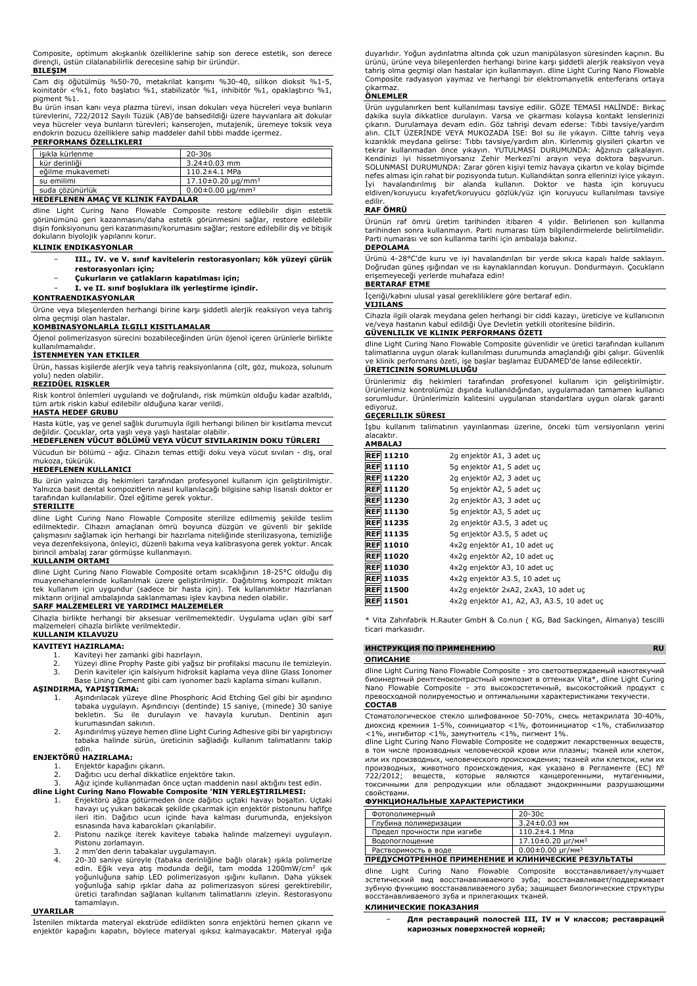Composite, optimum akışkanlık özelliklerine sahip son derece estetik, son derece dirençli, üstün cilalanabilirlik derecesine sahip bir üründür. **BILEŞIM**

Cam diş öğütülmüş %50-70, metakrilat karışımı %30-40, silikon dioksit %1-5, koinitatör <%1, foto başlatıcı %1, stabilizatör %1, inhibitör %1, opaklaştırıcı %1, pigment %1.

Bu ürün insan kanı veya plazma türevi, insan dokuları veya hücreleri veya bunların türevlerini, 722/2012 Sayılı Tüzük (AB)'de bahsedildiği üzere hayvanlara ait dokular veya hücreler veya bunların türevleri; kanserojen, mutajenik, üremeye toksik veya endokrin bozucu özelliklere sahip maddeler dahil tıbbi madde içermez.

# **PERFORMANS ÖZELLIKLERI**

| $20 - 30s$                |
|---------------------------|
| $3.24 \pm 0.03$ mm        |
| $110.2 \pm 4.1$ MPa       |
| $17.10\pm0.20 \mu q/mm^3$ |
| $0.00\pm0.00 \mu q/mm^3$  |
|                           |

#### **HEDEFLENEN AMAÇ VE KLINIK FAYDALAR**

dline Light Curing Nano Flowable Composite restore edilebilir dişin estetik görünümünü geri kazanmasını/daha estetik görünmesini sağlar, restore edilebilir dişin fonksiyonunu geri kazanmasını/korumasını sağlar; restore edilebilir diş ve bitişik dokuların biyolojik yapılarını korur.

**KLINIK ENDIKASYONLAR**

- − **III., IV. ve V. sınıf kavitelerin restorasyonları; kök yüzeyi çürük restorasyonları için;**
- − **Çukurların ve çatlakların kapatılması için;**

− **I. ve II. sınıf boşluklara ilk yerleştirme içindir.**

#### **KONTRAENDIKASYONLAR**

Ürüne veya bileşenlerden herhangi birine karşı şiddetli alerjik reaksiyon veya tahriş olma geçmişi olan hastalar.

# **KOMBINASYONLARLA ILGILI KISITLAMALAR**

Öjenol polimerizasyon sürecini bozabileceğinden ürün öjenol içeren ürünlerle birlikte kullanılmamalıdır.

#### **İSTENMEYEN YAN ETKILER**

Ürün, hassas kişilerde alerjik veya tahriş reaksiyonlarına (cilt, göz, mukoza, solunum yolu) neden olabilir.

# **REZIDÜEL RISKLER**

Risk kontrol önlemleri uygulandı ve doğrulandı, risk mümkün olduğu kadar azaltıldı, tüm artık riskin kabul edilebilir olduğuna karar verildi.

#### **HASTA HEDEF GRUBU**

Hasta kütle, yaş ve genel sağlık durumuyla ilgili herhangi bilinen bir kısıtlama mevcut değildir. Çocuklar, orta yaşlı veya yaşlı hastalar olabilir. **HEDEFLENEN VÜCUT BÖLÜMÜ VEYA VÜCUT SIVILARININ DOKU TÜRLERI**

Vücudun bir bölümü - ağız. Cihazın temas ettiği doku veya vücut sıvıları - diş, oral mukoza, tükürük.

#### **HEDEFLENEN KULLANICI**

Bu ürün yalnızca diş hekimleri tarafından profesyonel kullanım için geliştirilmiştir. Yalnızca basit dental kompozitlerin nasıl kullanılacağı bilgisine sahip lisanslı doktor er tarafından kullanılabilir. Özel eğitime gerek yoktur.

#### **STERILITE**

dline Light Curing Nano Flowable Composite sterilize edilmemiş şekilde teslim<br>edilmektedir. Cihazın amaçlanan ömrü boyunca düzgün ve güvenli bir şekilde<br>çalışmasını sağlamak için herhangi bir hazırlama niteliğinde steriliz veya dezenfeksiyona, önleyici, düzenli bakıma veya kalibrasyona gerek yoktur. Ancak birincil ambalaj zarar görmüşse kullanmayın.

#### **KULLANIM ORTAMI**

dline Light Curing Nano Flowable Composite ortam sıcaklığının 18-25°C olduğu diş muayenehanelerinde kullanılmak üzere geliştirilmiştir. Dağıtılmış kompozit miktarı tek kullanım için uygundur (sadece bir hasta için). Tek kullanımlıktır Hazırlanan miktarın orijinal ambalajında saklanmaması işlev kaybına neden olabilir.

## **SARF MALZEMELERI VE YARDIMCI MALZEMELER**

Cihazla birlikte herhangi bir aksesuar verilmemektedir. Uygulama uçları gibi sarf malzemeleri cihazla birlikte verilmektedir. **KULLANIM KILAVUZU**

### **KAVITEYI HAZIRLAMA:**

1. Kaviteyi her zamanki gibi hazırlayın.

- 
- 2. Yüzeyi dline Prophy Paste gibi yağsız bir profilaksi macunu ile temizleyin. 3. Derin kaviteler için kalsiyum hidroksit kaplama veya dline Glass Ionomer Base Lining Cement gibi cam iyonomer bazlı kaplama simanı kullanın.

#### **AŞINDIRMA, YAPIŞTIRMA:**

- 1. Aşındırılacak yüzeye dline Phosphoric Acid Etching Gel gibi bir aşındırıcı<br>tabaka uygulayın. Aşındırıcıyı (dentinde) 15 saniye, (minede) 30 saniye<br>bekletin. Su ile durulayın ve havayla kurutun. Dentinin kurumasından sakının.
- 2. Aşındırılmış yüzeye hemen dline Light Curing Adhesive gibi bir yapıştırıcıyı tabaka halinde sürün, üreticinin sağladığı kullanım talimatlarını takip edin.

#### **ENJEKTÖRÜ HAZIRLAMA:**

- 1. Enjektör kapağını çıkarın.<br>2. Dağıtıcı ucu derhal dikkat
- 

2. Dağıtıcı ucu derhal dikkatlice enjektöre takın. 3. Ağız içinde kullanmadan önce uçtan maddenin nasıl aktığını test edin.

- **dline Light Curing Nano Flowable Composite 'NIN YERLEŞTIRILMESI:** 1. Enjektörü ağza götürmeden önce dağıtıcı uçtaki havayı boşaltın. Uçtaki havayı uç yukarı bakacak şekilde çıkarmak için enjektör pistonunu hafifçe ileri itin. Dağıtıcı ucun içinde hava kalması durumunda, enjeksiyon esnasında hava kabarcıkları çıkarılabilir.
	- 2. Pistonu nazikçe iterek kaviteye tabaka halinde malzemeyi uygulayın. Pistonu zorlamayın.
	- 3. 2 mm'den derin tabakalar uygulamayın.
	- 4. 20-30 saniye süreyle (tabaka derinliğine bağlı olarak) ışıkla polimerize edin. Eğik veya atış modunda değil, tam modda 1200mW/cm<sup>2</sup> ışık yoğunluğuna sahip LED polimerizasyon ışığını kullanın. Daha yüksek yoğunluğa sahip ışıklar daha az polimerizasyon süresi gerektirebilir, üretici tarafından sağlanan kullanım talimatlarını izleyin. Restorasyonu tamamlayın.

#### **UYARILAR**

İstenilen miktarda materyal ekstrüde edildikten sonra enjektörü hemen çıkarın ve enjektör kapağını kapatın, böylece materyal ışıksız kalmayacaktır. Materyal ışığa duyarlıdır. Yoğun aydınlatma altında çok uzun manipülasyon süresinden kaçının. Bu ürünü, ürüne veya bileşenlerden herhangi birine karşı şiddetli alerjik reaksiyon veya tahriş olma geçmişi olan hastalar için kullanmayın. dline Light Curing Nano Flowable Composite radyasyon yaymaz ve herhangi bir elektromanyetik enterferans ortaya

# çıkarmaz. **ÖNLEMLER**

Urün uygulanırken bent kullanılması tavsiye edilir. GOZE TEMASI HALINDE: Birkaç<br>dakika suyla dikkatlice durulayın. Varsa ve çıkarması kolaysa kontakt lenslerinizi<br>çıkarın. Durulamaya devam edin. Göz tahrişi devam ederse: T alın. CILT UZERINDE VEYA MUKOZADA ISE: Bol su ile yıkayın. Ciltte tahriş veya<br>kızarıklık meydana gelirse: Tıbbı tavsiye/yardım alın. Kirlenmiş giysileri çıkartın ve<br>tekrar kullanmadan önce yıkayın. YUTULMASI DURUMUNDA: Ağz SOLUNMASI DURUMUNDA: Zarar gören kişiyi temiz havaya çıkartın ve kolay biçimde nefes alması için rahat bir pozisyonda tutun. Kullandıktan sonra ellerinizi iyice yıkayın. İyi havalandırılmış bir alanda kullanın. Doktor ve hasta için koruyucu eldiven/koruyucu kıyafet/koruyucu gözlük/yüz için koruyucu kullanılması tavsiye edilir.

### **RAF ÖMRÜ**

Ürünün raf ömrü üretim tarihinden itibaren 4 yıldır. Belirlenen son kullanma tarihinden sonra kullanmayın. Parti numarası tüm bilgilendirmelerde belirtilmelidir. Parti numarası ve son kullanma tarihi için ambalaja bakınız.

# **DEPOLAMA**

Ürünü 4-28°C'de kuru ve iyi havalandırılan bir yerde sıkıca kapalı halde saklayın. Doğrudan güneş ışığından ve ısı kaynaklarından koruyun. Dondurmayın. Çocukların erişemeyeceği yerlerde muhafaza edin!

#### **BERTARAF ETME**

İçeriği/kabını ulusal yasal gerekliliklere göre bertaraf edin.

#### **VIJILANS**

Cihazla ilgili olarak meydana gelen herhangi bir ciddi kazayı, üreticiye ve kullanıcının ve/veya hastanın kabul edildiği Üye Devletin yetkili otoritesine bildirin.

# **GÜVENLILIK VE KLINIK PERFORMANS ÖZETI**

dline Light Curing Nano Flowable Composite güvenlidir ve üretici tarafından kullanım talimatlarına uygun olarak kullanılması durumunda amaçlandığı gibi çalışır. Güvenlik ve klinik performans özeti, işe başlar başlamaz EUDAMED'de lanse edilecektir. **ÜRETICININ SORUMLULUĞU**

Ürünlerimiz diş hekimleri tarafından profesyonel kullanım için geliştirilmiştir. Ürünlerimiz kontrolümüz dışında kullanıldığından, uygulamadan tamamen kullanıcı sorumludur. Ürünlerimizin kalitesini uygulanan standartlara uygun olarak garanti ediyoruz.

### **GEÇERLILIK SÜRESI**

İşbu kullanım talimatının yayınlanması üzerine, önceki tüm versiyonların yerini alacaktır. **AMBALAJ**

| <b>REF 11210</b> | 2g enjektör A1, 3 adet uc                  |
|------------------|--------------------------------------------|
| <b>REF 11110</b> | 5g enjektör A1, 5 adet uc                  |
| <b>REF 11220</b> | 2g enjektör A2, 3 adet uc                  |
| <b>REF 11120</b> | 5g enjektör A2, 5 adet uç                  |
| <b>REF 11230</b> | 2g enjektör A3, 3 adet uc                  |
| <b>REF 11130</b> | 5g enjektör A3, 5 adet uc                  |
| <b>REF 11235</b> | 2g enjektör A3.5, 3 adet uc                |
| <b>REF 11135</b> | 5g enjektör A3.5, 5 adet uc                |
| <b>REF 11010</b> | 4x2q enjektör A1, 10 adet uc               |
| <b>REF 11020</b> | 4x2q enjektör A2, 10 adet uc               |
| <b>REF 11030</b> | 4x2q enjektör A3, 10 adet uc               |
| <b>REF 11035</b> | 4x2q enjektör A3.5, 10 adet uc             |
| <b>REF 11500</b> | 4x2q enjektör 2xA2, 2xA3, 10 adet uc       |
| <b>REF 11501</b> | 4x2g enjektör A1, A2, A3, A3.5, 10 adet uç |

\* Vita Zahnfabrik H.Rauter GmbH & Co.nun ( KG, Bad Sackingen, Almanya) tescilli ticari markasıdır.

#### **ИНСТРУКЦИЯ ПО ПРИМЕНЕНИЮ RU**

# **ОПИСАНИЕ**

dline Light Curing Nano Flowable Composite - это светоотверждаемый нанотекучий биоинертный рентгеноконтрастный композит в оттенках Vita\*, dline Light Curing Nano Flowable Composite - это высокоэстетичный, высокостойкий продукт с превосходной полируемостью и оптимальными характеристиками текучести.

# **СОСТАВ**

Стоматологическое стекло шлифованное 50-70%, смесь метакрилата 30-40%, диоксид кремния 1-5%, соинициатор <1%, фотоинициатор <1%, стабилизатор <1%, ингибитор <1%, замутнитель <1%, пигмент 1%.

dline Light Curing Nano Flowable Composite не содержит лекарственных веществ, в том числе производных человеческой крови или плазмы; тканей или клеток, или их производных, человеческого происхождения; тканей или клеткок, или их производных, животного происхождения, как указано в Регламенте (ЕС) № 722/2012; веществ, которые являются канцерогенными, мутагенными, токсичными для репродукции или обладают эндокринными разрушающими свойствами.

# **ФУНКЦИОНАЛЬНЫЕ ХАРАКТЕРИСТИКИ**

| Фотополимерный              | $20 - 30c$                             |
|-----------------------------|----------------------------------------|
| Глубина полимеризации       | $3.24 \pm 0.03$ MM                     |
| Предел прочности при изгибе | $110.2 \pm 4.1$ Mna                    |
| Водопоглошение              | $17.10 \pm 0.20 \mu$ r/мм <sup>3</sup> |
| Растворимость в воде        | $0.00 \pm 0.00 \mu$ r/mm <sup>3</sup>  |

# **ПРЕДУСМОТРЕННОЕ ПРИМЕНЕНИЕ И КЛИНИЧЕСКИЕ РЕЗУЛЬТАТЫ**

dline Light Curing Nano Flowable Composite восстанавливает/улучшает эстетический вид восстанавливаемого зуба; восстанавливает/поддерживает зубную функцию восстанавливаемого зуба; защищает биологические структуры восстанавливаемого зуба и прилегающих тканей.

#### **КЛИНИЧЕСКИЕ ПОКАЗАНИЯ**

− **Для реставраций полостей III, IV и V классов; реставраций кариозных поверхностей корней;**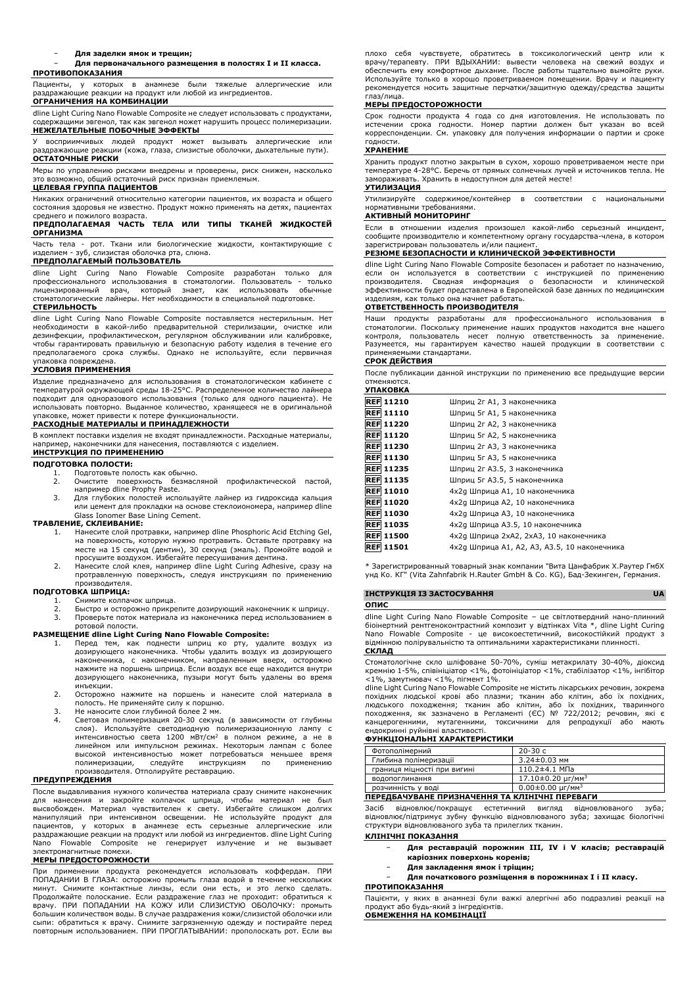− **Для заделки ямок и трещин;**

#### − **Для первоначального размещения в полостях I и II класса. ПРОТИВОПОКАЗАНИЯ**

Пациенты, у которых в анамнезе были тяжелые аллергические или раздражающие реакции на продукт или любой из ингредиентов. **ОГРАНИЧЕНИЯ НА КОМБИНАЦИИ**

dline Light Curing Nano Flowable Composite не следует использовать с продуктами, содержащими эвгенол, так как эвгенол может нарушить процесс полимеризации.

**НЕЖЕЛАТЕЛЬНЫЕ ПОБОЧНЫЕ ЭФФЕКТЫ** У восприимчивых людей продукт может вызывать аллергические или раздражающие реакции (кожа, глаза, слизистые оболочки, дыхательные пути). **ОСТАТОЧНЫЕ РИСКИ**

Меры по управлению рисками внедрены и проверены, риск снижен, насколько возможно, общий остаточный риск признан приемлемым.

# **ЦЕЛЕВАЯ ГРУППА ПАЦИЕНТОВ**

Никаких ограничений относительно категории пациентов, их возраста и общего состояния здоровья не известно. Продукт можно применять на детях, пациентах среднего и пожилого возраста.

### **ПРЕДПОЛАГАЕМАЯ ЧАСТЬ ТЕЛА ИЛИ ТИПЫ ТКАНЕЙ ЖИДКОСТЕЙ ОРГАНИЗМА**

Часть тела - рот. Ткани или биологические жидкости, контактирующие с изделием - зуб, слизистая оболочка рта, слюна.

# **ПРЕДПОЛАГАЕМЫЙ ПОЛЬЗОВАТЕЛЬ**

dline Light Curing Nano Flowable Composite разработан только для профессионального использования в стоматологии. Пользователь - только лицензированный врач, который знает, как использовать обычные стоматологические лайнеры. Нет необходимости в специальной подготовке. **СТЕРИЛЬНОСТЬ**

dline Light Curing Nano Flowable Composite поставляется нестерильным. Нет необходимости в какой-либо предварительной стерилизации, очистке или<br>дезинфекции, профилактическом, регулярном обслуживании или калибровке,<br>чтобы гарантировать правильную и безопасную работу изделия в течение его предполагаемого срока службы. Однако не используйте, если первичная

# упаковка повреждена. **УСЛОВИЯ ПРИМЕНЕНИЯ**

Изделие предназначено для использования в стоматологическом кабинете с температурой окружающей среды 18-25°C. Распределенное количество лайнера подходит для одноразового использования (только для одного пациента). Не использовать повторно. Выданное количество, хранящееся не в оригинальной упаковке, может привести к потере функциональности.

# **РАСХОДНЫЕ МАТЕРИАЛЫ И ПРИНАДЛЕЖНОСТИ**

В комплект поставки изделия не входят принадлежности. Расходные материалы, например, наконечники для нанесения, поставляются с изделием.

#### **ИНСТРУКЦИЯ ПО ПРИМЕНЕНИЮ ПОДГОТОВКА ПОЛОСТИ:**

- 1. Подготовьте полость как обычно.<br>2. Очистите поверхность безмас. 2. Очистите поверхность безмасляной профилактической пастой, например dline Prophy Paste.
- 3. Для глубоких полостей используйте лайнер из гидроксида кальция или цемент для прокладки на основе стеклоиономера, например dline Glass Ionomer Base Lining Cement.

#### **ТРАВЛЕНИЕ, СКЛЕИВАНИЕ:**

- 1. Нанесите слой протравки, например dline Phosphoric Acid Etching Gel, на поверхность, которую нужно протравить. Оставьте протравку на<br>месте на 15 секунд (дентин), 30 секунд (эмаль). Промойте водой и<br>просушите воздухом. Избегайте пересушивания дентина.
- 2. Нанесите слой клея, например dline Light Curing Adhesive, сразу на протравленную поверхность, следуя инструкциям по применению производителя.

#### **ПОДГОТОВКА ШПРИЦА:**

- 1. Снимите колпачок шприца.<br>2. Быстро и осторожно прикре
- 2. Быстро и осторожно прикрепите дозирующий наконечник к шприцу.<br>3. Проверьте поток материала из наконечника перед использованием в Проверьте поток материала из наконечника перед использованием в ротовой полости.

# **РАЗМЕЩЕНИЕ dline Light Curing Nano Flowable Composite:**

- 1. Перед тем, как поднести шприц ко рту, удалите воздух из дозирующего наконечника. Чтобы удалить воздух из дозирующего наконечника, с наконечником, направленным вверх, осторожно нажмите на поршень шприца. Если воздух все еще находится внутри дозирующего наконечника, пузыри могут быть удалены во время инъекции.
- 2. Осторожно нажмите на поршень и нанесите слой материала в полость. Не применяйте силу к поршню.
- 
- 3. Не наносите слои глубиной более 2 мм. 4. Световая полимеризация 20-30 секунд (в зависимости от глубины слоя). Используйте светодиодную полимеризационную лампу с<br>интенсивностью света 1200 мВт/см<sup>2</sup> в полном режиме, а не в<br>линейном или импульсном режимах. Некоторым лампам с более<br>высокой интенсивностью может потребоваться ме производителя. Отполируйте реставрацию.

#### **ПРЕДУПРЕЖДЕНИЯ**

После выдавливания нужного количества материала сразу снимите наконечник<br>для нанесения и закройте колпачок шприца, чтобы материал не был<br>высвобожден. Материал чувствителен к свету. Избегайте слишком долгих манипуляций при интенсивном освещении. Не используйте продукт для пациентов, у которых в анамнезе есть серьезные аллергические или раздражающие реакции на продукт или любой из ингредиентов. dline Light Curing Nano Flowable Composite не генерирует излучение и не вызывает электромагнитные помехи.

# **МЕРЫ ПРЕДОСТОРОЖНОСТИ**

При применении продукта рекомендуется использовать коффердам. ПРИ ПОПАДАНИИ В ГЛАЗА: осторожно промыть глаза водой в течение нескольких минут. Снимите контактные линзы, если они есть, и это легко сделать.<br>Продолжайте полоскание. Если раздражение глаз не проходит: обратиться к<br>врачу. ПРИ ПОПАДАНИИ НА КОЖУ ИЛИ СЛИЗИСТУЮ ОБОЛОЧКУ: промыть большим количеством воды. В случае раздражения кожи/слизистой оболочки или сыпи: обратиться к врачу. Снимите загрязненную одежду и постирайте перед повторным использованием. ПРИ ПРОГЛАТЫВАНИИ: прополоскать рот. Если вы

плохо себя чувствуете, обратитесь в токсикологический центр или к врачу/терапевту. ПРИ ВДЫХАНИИ: вывести человека на свежий воздух и обеспечить ему комфортное дыхание. После работы тщательно вымойте руки. Используйте только в хорошо проветриваемом помещении. Врачу и пациенту рекомендуется носить защитные перчатки/защитную одежду/средства защиты глаз/лица.

## **МЕРЫ ПРЕДОСТОРОЖНОСТИ**

Срок годности продукта 4 года со дня изготовления. Не использовать по истечении срока годности. Номер партии должен быт указан во всей корреспонденции. См. упаковку для получения информации о партии и сроке годности.

### **ХРАНЕНИЕ**

Хранить продукт плотно закрытым в сухом, хорошо проветриваемом месте при температуре 4-28°C. Беречь от прямых солнечных лучей и источников тепла. Не замораживать. Хранить в недоступном для детей месте!

## **УТИЛИЗАЦИЯ**

Утилизируйте содержимое/контейнер в соответствии с национальными нормативными требованиями.

#### **АКТИВНЫЙ МОНИТОРИНГ**

Если в отношении изделия произошел какой-либо серьезный инцидент, сообщите производителю и компетентному органу государства-члена, в котором зарегистрирован пользователь и/или пациент.

# **РЕЗЮМЕ БЕЗОПАСНОСТИ И КЛИНИЧЕСКОЙ ЭФФЕКТИВНОСТИ**

dline Light Curing Nano Flowable Composite безопасен и работает по назначению, если он используется в соответствии с инструкцией по применению производителя. Сводная информация о безопасности и клинической эффективности будет представлена в Европейской базе данных по медицинским изделиям, как только она начнет работать.

# **ОТВЕТСТВЕННОСТЬ ПРОИЗВОДИТЕЛЯ**

Наши продукты разработаны для профессионального использования стоматологии. Поскольку применение наших продуктов находится вне нашего контроля, пользователь несет полную ответственность за применение. Разумеется, мы гарантируем качество нашей продукции в соответствии с применяемыми стандартами.

#### **СРОК ДЕЙСТВИЯ**

После публикации данной инструкции по применению все предыдущие версии отменяются. **УПАКОВКА**

| <b>JIIARUDRA</b> |                                              |
|------------------|----------------------------------------------|
| <b>REF 11210</b> | Шприц 2г А1, 3 наконечника                   |
| <b>REF 11110</b> | Шприц 5г А1, 5 наконечника                   |
| <b>REF 11220</b> | Шприц 2г А2, 3 наконечника                   |
| <b>REF 11120</b> | Шприц 5г А2, 5 наконечника                   |
| <b>REF 11230</b> | Шприц 2г АЗ, 3 наконечника                   |
| <b>REF 11130</b> | Шприц 5г АЗ, 5 наконечника                   |
| <b>REF 11235</b> | Шприц 2г АЗ.5, 3 наконечника                 |
| <b>REF 11135</b> | Шприц 5г АЗ.5, 5 наконечника                 |
| <b>REF</b> 11010 | 4х2g Шприца А1, 10 наконечника               |
| <b>REF 11020</b> | 4х2а Шприца А2, 10 наконечника               |
| <b>REF 11030</b> | 4х2д Шприца АЗ, 10 наконечника               |
| <b>REF 11035</b> | 4х2д Шприца А3.5, 10 наконечника             |
| <b>REF 11500</b> | 4х2д Шприца 2хА2, 2хА3, 10 наконечника       |
| <b>REF 11501</b> | 4х2д Шприца А1, А2, А3, А3.5, 10 наконечника |
|                  |                                              |

\* Зарегистрированный товарный знак компании "Вита Цанфабрик Х.Раутер ГмбХ унд Ко. КГ" (Vita Zahnfabrik H.Rauter GmbH & Co. KG), Бад-Зекинген, Германия.

### **ІНСТРУКЦІЯ** ІЗ ЗАСТОСУВАННЯ

**ОПИС** dline Light Curing Nano Flowable Composite – це світлотвердний нано-плинний біоінертний рентгеноконтрастний композит у відтінках Vita \*, dline Light Curing Nano Flowable Composite - це високоестетичний, високостійкий продукт з відмінною полірувальністю та оптимальними характеристиками плинності.

#### **СКЛАД**

Стоматологічне скло шліфоване 50-70%, суміш метакрилату 30-40%, діоксид кремнію 1-5%, співініціатор <1%, фотоініціатор <1%, стабілізатор <1%, інгібітор <1%, замутнювач <1%, пігмент 1%.

dline Light Curing Nano Flowable Composite не містить лікарських речовин, зокрема<br>похідних людської крові або плазми; тканин або клітин, або їх похідних,<br>людського походження; тканин або клітин, або їх похідних, тваринно канцерогенними, мутагенними, токсичними для репродукції або мають ендокринні руйнівні властивості.

# **ФУНКЦІОНАЛЬНІ ХАРАКТЕРИСТИКИ**

| Фотополімерний                                              | $20-30c$                        |  |
|-------------------------------------------------------------|---------------------------------|--|
| Глибина полімеризації                                       | $3.24 \pm 0.03$ MM              |  |
| границя міцності при вигині                                 | $110.2 \pm 4.1$ M <sub>Ta</sub> |  |
| водопоглинання                                              | $17.10 \pm 0.20 \text{ yr/m}^3$ |  |
| $0.00 \pm 0.00 \mu$ r/mm <sup>3</sup><br>розчинність у воді |                                 |  |
| ПЕРЕДБАЧУВАНЕ ПРИЗНАЧЕННЯ ТА КЛІНІЧНІ ПЕРЕВАГИ              |                                 |  |

Засіб відновлює/покращує естетичний вигляд відновлюваного зуба; відновлює/підтримує зубну функцію відновлюваного зуба; захищає біологічні структури відновлюваного зуба та прилеглих тканин.

#### **КЛІНІЧНІ ПОКАЗАННЯ**

- − **Для реставрацій порожнин III, IV і V класів; реставрацій каріозних поверхонь коренів;**
- − **Для закладення ямок і тріщин;**
	- − **Для початкового розміщення в порожнинах I і II класу.**

#### **ПРОТИПОКАЗАННЯ**

Пацієнти, у яких в анамнезі були важкі алергічні або подразливі реакції на продукт або будь-який з інгредієнтів. **ОБМЕЖЕННЯ НА КОМБІНАЦІЇ**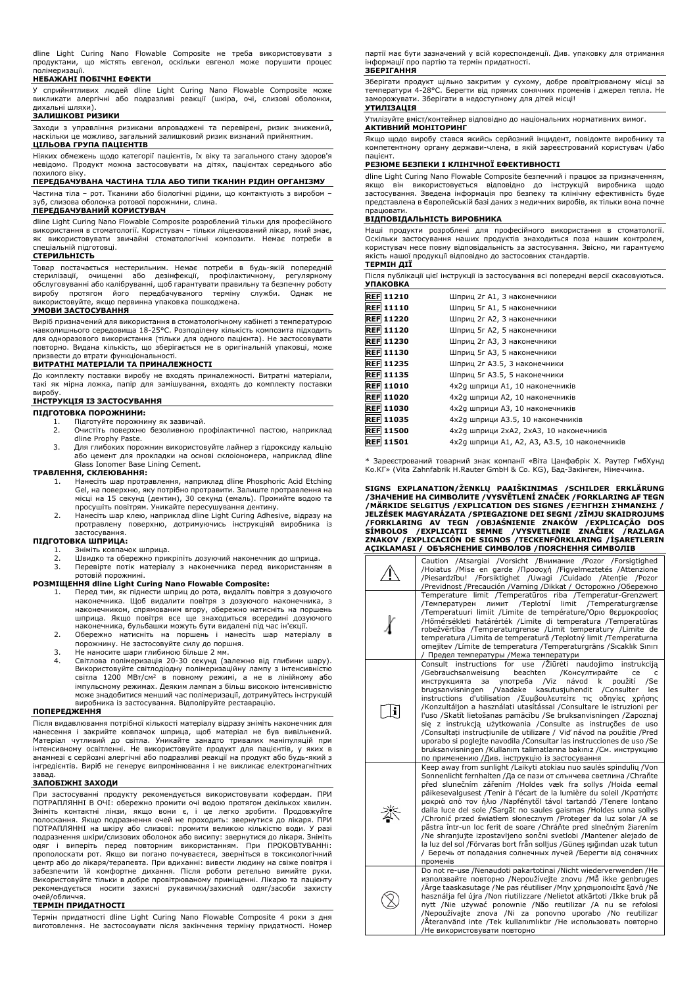dline Light Curing Nano Flowable Composite не треба використовувати з продуктами, що містять евгенол, оскільки евгенол може порушити процес полімеризації.

#### **НЕБАЖАНІ ПОБІЧНІ ЕФЕКТИ**

У сприйнятливих людей dline Light Curing Nano Flowable Composite може викликати алергічні або подразливі реакції (шкіра, очі, слизові оболонки,

# дихальні шляхи). **ЗАЛИШКОВІ РИЗИКИ**

Заходи з управління ризиками впроваджені та перевірені, ризик знижений, наскільки це можливо, загальний залишковий ризик визнаний прийнятним.

# **ЦІЛЬОВА ГРУПА ПАЦІЄНТІВ**

Ніяких обмежень щодо категорії пацієнтів, їх віку та загального стану здоров'я невідомо. Продукт можна застосовувати на дітях, пацієнтах середнього або похилого віку.

# **ПЕРЕДБАЧУВАНА ЧАСТИНА ТІЛА АБО ТИПИ ТКАНИН РІДИН ОРГАНІЗМУ**

Частина тіла – рот. Тканини або біологічні рідини, що контактують з виробом – зуб, слизова оболонка ротової порожнини, слина.

# **ПЕРЕДБАЧУВАНИЙ КОРИСТУВАЧ**

dline Light Curing Nano Flowable Composite розроблений тільки для професійного використання в стоматології. Користувач – тільки ліцензований лікар, який знає, як використовувати звичайні стоматологічні композити. Немає потреби в спеціальній підготовці.

#### **СТЕРИЛЬНІСТЬ**

Товар постачається нестерильним. Немає потреби в будь-якій попередній<br>стерилізації, очищенні або дезінфекції, профілактичному, регулярному<br>обслуговуванніабо-калібруванні, щоб-гарантувати-правильну та безпечну роботу<br> використовуйте, якщо первинна упаковка пошкоджена.

#### **УМОВИ ЗАСТОСУВАННЯ**

Виріб призначений для використання в стоматологічному кабінеті з температурою навколишнього середовища 18-25°C. Розподілену кількість композита підходить для одноразового використання (тільки для одного пацієнта). Не застосовувати повторно. Видана кількість, що зберігається не в оригінальній упаковці, може призвести до втрати функціональності.

# **ВИТРАТНІ МАТЕРІАЛИ ТА ПРИНАЛЕЖНОСТІ**

До комплекту поставки виробу не входять приналежності. Витратні матеріали, такі як мірна ложка, папір для замішування, входять до комплекту поставки виробу.

## **ІНСТРУКЦІЯ ІЗ ЗАСТОСУВАННЯ**

#### **ПІДГОТОВКА ПОРОЖНИНИ:**

- 1. Підготуйте порожнину як зазвичай.
- 2. Очистіть поверхню безоливною профілактичної пастою, наприклад dline Prophy Paste. 3. Для глибоких порожнин використовуйте лайнер з гідроксиду кальцію
- або цемент для прокладки на основі склоіономера, наприклад dline Glass Ionomer Base Lining Cement.

#### **ТРАВЛЕННЯ, СКЛЕЮВАННЯ:**

- 1. Нанесіть шар протравлення, наприклад dline Phosphoric Acid Etching Gel, на поверхню, яку потрібно протравити. Залиште протравлення на місці на 15 секунд (дентин), 30 секунд (емаль). Промийте водою та просушіть повітрям. Уникайте пересушування дентину.
- 2. Нанесіть шар клею, наприклад dline Light Curing Adhesive, відразу на протравлену поверхню, дотримуючись інструкціяй виробника із застосування. **ПІДГОТОВКА ШПРИЦА:**

- 1. Зніміть ковпачок шприца.<br>2. Швидко та обережно при
- 2. Швидко та обережно прикріпіть дозуючий наконечник до шприца.
- 3. Перевірте потік матеріалу з наконечника перед використанням в ротовій порожнині.

#### **РОЗМІЩЕННЯ dline Light Curing Nano Flowable Composite:**

- 1. Перед тим, як піднести шприц до рота, видаліть повітря з дозуючого наконечника. Щоб видалити повітря з дозуючого наконечника, з наконечником, спрямованим вгору, обережно натисніть на поршень<br>шприца. Якщо повітря все ще знаходиться всередині дозуючого<br>наконечника, бульбашки можуть бути видалені під час н'єкції.<br>2. Обережно натисніть на поршень
- порожнину. Не застосовуйте силу до поршня.
- 
- 3. Не наносите шари глибиною більше 2 мм. 4. Світлова полімеризація 20-30 секунд (залежно від глибини шару). Використовуйте світлодіодну полімеризаційну лампу з інтенсивністю<br>світла 1200 МВт/см<sup>2</sup> в повному режимі, а не в лінійному або імпульсному режимах. Деяким лампам з більш високою інтенсивністю може знадобитися менший час полімеризації, дотримуйтесь інструкцій виробника із застосування. Відполіруйте реставрацію.

#### **ПОПЕРЕДЖЕННЯ**

Після видавлювання потрібної кількості матеріалу відразу зніміть наконечник для нанесення і закрийте ковпачок шприца, щоб матеріал не був вивільнений. Матеріал чутливий до світла. Уникайте занадто тривалих маніпуляцій при інтенсивному освітленні. Не використовуйте продукт для пацієнтів, у яких в анамнезі є серйозні алергічні або подразливі реакції на продукт або будь-який з інгредієнтів. Виріб не генерує випромінювання і не викликає електромагнітних завад.

#### **ЗАПОБІЖНІ ЗАХОДИ**

При застосуванні продукту рекомендується використовувати кофердам. ПРИ ПОТРАПЛЯННІ В ОЧІ: обережно промити очі водою протягом декількох хвилин. Зніміть контактні лінзи, якщо вони є, і це легко зробити. Продовжуйте полоскання. Якщо подразнення очей не проходить: звернутися до лікаря. ПРИ ПОТРАПЛЯННІ на шкіру або слизові: промити великою кількістю води. У разі подразнення шкіри/слизових оболонок або висипу: звернутися до лікаря. Зніміть одяг і виперіть перед повторним використанням. При ПРОКОВТУВАННі: прополоскати рот. Якщо ви погано почуваєтеся, зверніться в токсикологічний центр або до лікаря/терапевта. При вдиханні: вивести людину на свіже повітря і забезпечити їй комфортне дихання. Після роботи ретельно вимийте руки. Використовуйте тільки в добре провітрюваному приміщенні. Лікарю та пацієнту рекомендується носити захисні рукавички/захисний одяг/засоби захисту очей/обличчя.

### **ТЕРМІН ПРИДАТНОСТІ**

Термін придатності dline Light Curing Nano Flowable Composite 4 роки з дня виготовлення. Не застосовувати після закінчення терміну придатності. Номер партії має бути зазначений у всій кореспонденції. Див. упаковку для отримання інформації про партію та термін придатності.

### **ЗБЕРІГАННЯ**

Зберігати продукт щільно закритим у сухому, добре провітрюваному місці за температури 4-28°C. Берегти від прямих сонячних променів і джерел тепла. Не заморожувати. Зберігати в недоступному для дітей місці! **УТИЛІЗАЦІЯ**

# Утилізуйте вміст/контейнер відповідно до національних нормативних вимог.

**АКТИВНИЙ МОНІТОРИНГ**

Якщо щодо виробу стався якийсь серйозний інцидент, повідомте виробнику та компетентному органу держави-члена, в якій зареєстрований користувач і/або пацієнт.

### **РЕЗЮМЕ БЕЗПЕКИ І КЛІНІЧНОЇ ЕФЕКТИВНОСТІ**

dline Light Curing Nano Flowable Composite безпечний і працює за призначенням, якщо він використовується відповідно до інструкцій виробника щодо застосування. Зведена інформація про безпеку та клінічну ефективність буде представлена в Європейській базі даних з медичних виробів, як тільки вона почне працювати.

#### **ВІДПОВІДАЛЬНІСТЬ ВИРОБНИКА**

Наші продукти розроблені для професійного використання в стоматології. Оскільки застосування наших продуктів знаходиться поза нашим контролем, користувач несе повну відповідальність за застосування. Звісно, ми гарантуємо нашої продукції відповідно до застосовних стандартів. **ТЕРМІН ДІЇ**

| <b>УПАКОВКА</b>  | Після публікації цієї інструкції із застосування всі попередні версії скасовуються. |
|------------------|-------------------------------------------------------------------------------------|
| <b>REF 11210</b> | Шприц 2г А1, 3 наконечники                                                          |
| <b>REF 11110</b> | Шприц 5г А1, 5 наконечники                                                          |
| <b>REF 11220</b> | Шприц 2г А2, 3 наконечники                                                          |
| <b>REF 11120</b> | Шприц 5г А2, 5 наконечники                                                          |
| <b>REF 11230</b> | Шприц 2г АЗ, 3 наконечники                                                          |
| <b>REF 11130</b> | Шприц 5г АЗ, 5 наконечники                                                          |
| <b>REF 11235</b> | Шприц 2г АЗ.5, 3 наконечники                                                        |
| <b>REF 11135</b> | Шприц 5г АЗ.5, 5 наконечники                                                        |
| <b>REF 11010</b> | 4х2д шприци А1, 10 наконечників                                                     |
| <b>REF 11020</b> | 4х2д шприци А2, 10 наконечників                                                     |
| <b>REF 11030</b> | 4х2д шприци АЗ, 10 наконечників                                                     |
| <b>REF 11035</b> | 4х2д шприци АЗ.5, 10 наконечників                                                   |
| <b>REF 11500</b> | 4х2q шприци 2хА2, 2хА3, 10 наконечників                                             |
| <b>REF 11501</b> | 4х2д шприци А1, А2, А3, А3.5, 10 наконечників                                       |

Зареєстрований товарний знак компанії «Віта Цанфабрік Х. Раутер ГмбХунд Ко.КГ» (Vita Zahnfabrik H.Rauter GmbH & Co. KG), Бад-Закінген, Німеччина.

SIGNS EXPLANATION/ZENKLŲ PAAISKINIMAS /SCHILDER ERKLARUNG<br>/3HAЧEHИE HA CИMBOЛИTE /VYSVĚTLENÍ ZNAČEK /FORKLARING AF TEGN<br>/MÄRKIDE SELGITUS /EXPLICATION DES SIGNES /E=HFHZH ZHMANZHZ<br>/JELZÉSEK MAGYARÁZATA /SPIEGAZIONE DEI SEG

|   | Caution /Atsargiai /Vorsicht /Внимание /Pozor /Forsigtighed<br>/Hoiatus /Mise en garde /Προσοχή /Figyelmeztetés /Attenzione<br>/Piesardzību! /Forsiktighet /Uwagi /Cuidado /Atentie /Pozor<br>/Previdnost /Precaución /Varning /Dikkat / Осторожно /Обережно                                                                                                                                                                                                                                                                                                                                                                                                                                                                                                                                                                             |
|---|------------------------------------------------------------------------------------------------------------------------------------------------------------------------------------------------------------------------------------------------------------------------------------------------------------------------------------------------------------------------------------------------------------------------------------------------------------------------------------------------------------------------------------------------------------------------------------------------------------------------------------------------------------------------------------------------------------------------------------------------------------------------------------------------------------------------------------------|
|   | Temperature limit /Temperatūros riba /Temperatur-Grenzwert<br>лимит /Teplotní limit /Temperaturgrænse<br>/Температурен<br>/Temperatuuri limiit /Limite de température/Όριο θερμοκρασίας<br>/Hőmérsékleti határérték /Limite di temperatura /Temperatūras<br>robežvērtība /Temperaturgrense /Limit temperatury /Limite de<br>temperatura / Limita de temperatură / Teplotný limit / Temperaturna<br>omejitev / Límite de temperatura / Temperaturgräns / Sıcaklık Sınırı<br>/ Предел температуры /Межа температури                                                                                                                                                                                                                                                                                                                        |
| i | use /Žiūrėti naudojimo<br>Consult instructions for<br>instrukcija<br>/Gebrauchsanweisung<br>beachten<br>/Консултирайте<br>ce<br>c<br>/Viz<br>návod<br>použití<br>инструкцията<br>употреба<br>/Se<br>за<br>k<br>/Vaadake<br>kasutusjuhendit / Consulter<br>brugsanvisningen<br>les<br>instructions d'utilisation / Συμβουλευτείτε τις οδηγίες χρήσης<br>/Konzultáljon a használati utasítással /Consultare le istruzioni per<br>l'uso /Skatīt lietošanas pamācību /Se bruksanvisningen /Zapoznaj<br>sie z instrukcją użytkowania /Consulte as instruções de uso<br>/Consultați instrucțiunile de utilizare / Vid' návod na použitie /Pred<br>uporabo si poglejte navodila / Consultar las instrucciones de uso / Se<br>bruksanvisningen /Kullanım talimatlarına bakınız /См. инструкцию<br>по применению /Див. інструкцію із застосування |
|   | Keep away from sunlight /Laikyti atokiau nuo saulės spindulių /Von<br>Sonnenlicht fernhalten /Да се пази от слънчева светлина /Chraňte<br>před slunečním zářením /Holdes væk fra sollys /Hoida eemal<br>päikesevalgusest /Tenir à l'écart de la lumière du soleil /Kparnore<br>μακριά από τον ήλιο /Napfénytől távol tartandó /Tenere lontano<br>dalla luce del sole /Sargāt no saules gaismas /Holdes unna sollys<br>/Chronić przed światłem słonecznym /Proteger da luz solar /A se<br>păstra într-un loc ferit de soare / Chráňte pred slnečným žiarením<br>/Ne shranjujte izpostavljeno sončni svetlobi /Mantener alejado de<br>la luz del sol /Förvaras bort från solljus /Güneş ışığından uzak tutun<br>/ Беречь от попадания солнечных лучей /Берегти від сонячних<br>променів                                                    |
|   | Do not re-use /Nenaudoti pakartotinai /Nicht wiederverwenden /He<br>използвайте повторно /Nepoužívejte znovu / Må ikke genbruges<br>Arge taaskasutage /Ne pas réutiliser /Mny χρησιμοποιείτε ξανά /Ne<br>használja fel újra /Non riutilizzare /Nelietot atkārtoti /Ikke bruk på<br>nytt /Nie używać ponownie /Não reutilizar /A nu se refolosi<br>/Nepoužívajte znova /Ni za ponovno uporabo /No reutilizar<br>/Återanvänd inte /Tek kullanımlıktır /Не использовать повторно<br>/Не використовувати повторно                                                                                                                                                                                                                                                                                                                            |